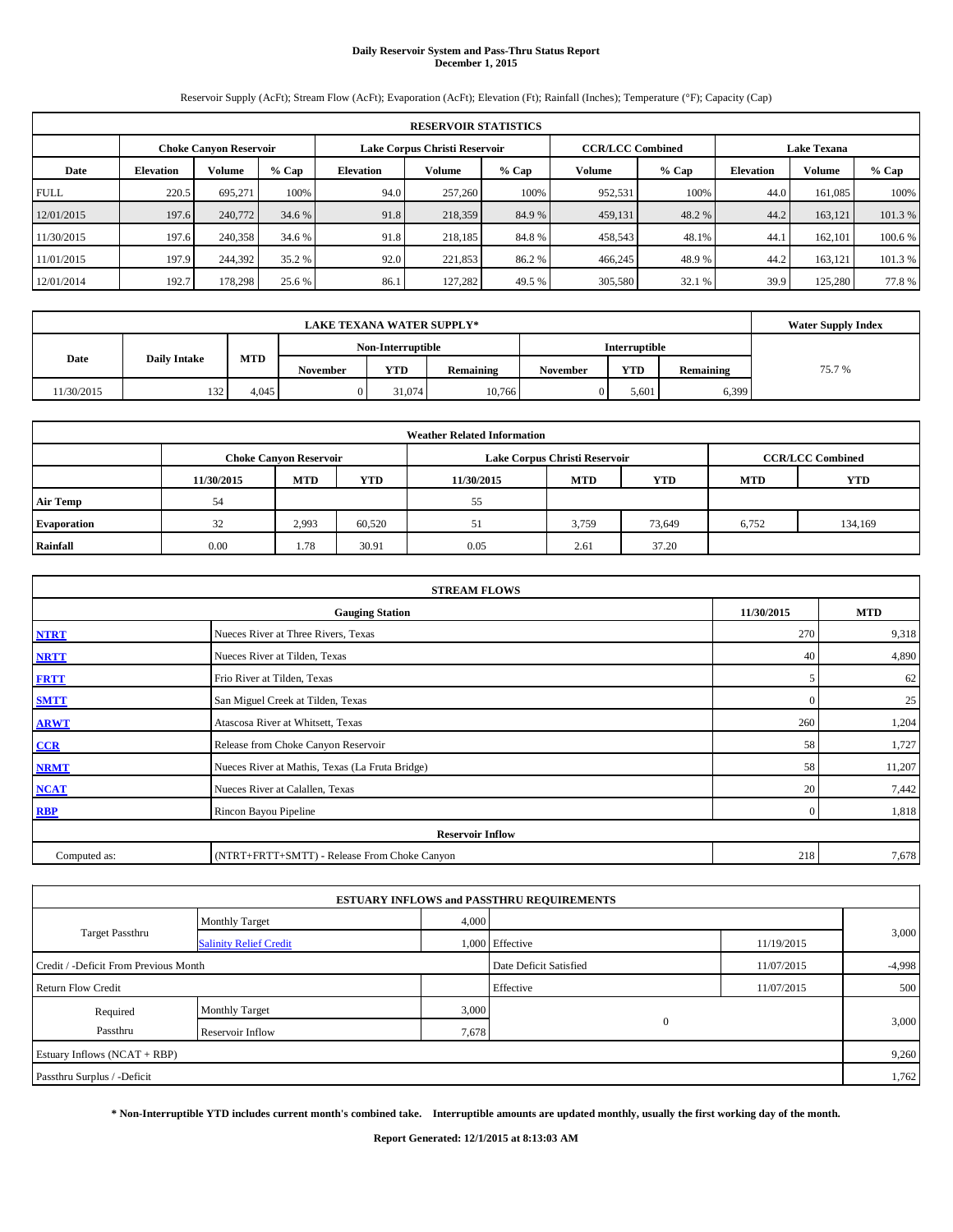#### **Daily Reservoir System and Pass-Thru Status Report December 1, 2015**

Reservoir Supply (AcFt); Stream Flow (AcFt); Evaporation (AcFt); Elevation (Ft); Rainfall (Inches); Temperature (°F); Capacity (Cap)

| <b>RESERVOIR STATISTICS</b> |                                                                                                          |         |         |                  |         |        |               |         |                  |         |         |  |  |
|-----------------------------|----------------------------------------------------------------------------------------------------------|---------|---------|------------------|---------|--------|---------------|---------|------------------|---------|---------|--|--|
|                             | <b>CCR/LCC Combined</b><br>Lake Corpus Christi Reservoir<br><b>Lake Texana</b><br>Choke Canvon Reservoir |         |         |                  |         |        |               |         |                  |         |         |  |  |
| Date                        | <b>Elevation</b>                                                                                         | Volume  | $%$ Cap | <b>Elevation</b> | Volume  | % Cap  | <b>Volume</b> | $%$ Cap | <b>Elevation</b> | Volume  | % Cap   |  |  |
| <b>FULL</b>                 | 220.5                                                                                                    | 695.271 | 100%    | 94.0             | 257,260 | 100%   | 952,531       | 100%    | 44.0             | 161.085 | 100%    |  |  |
| 12/01/2015                  | 197.6                                                                                                    | 240,772 | 34.6 %  | 91.8             | 218,359 | 84.9 % | 459,131       | 48.2 %  | 44.2             | 163.121 | 101.3 % |  |  |
| 11/30/2015                  | 197.6                                                                                                    | 240,358 | 34.6 %  | 91.8             | 218,185 | 84.8%  | 458,543       | 48.1%   | 44.1             | 162,101 | 100.6 % |  |  |
| 11/01/2015                  | 197.9                                                                                                    | 244,392 | 35.2 %  | 92.0             | 221,853 | 86.2%  | 466,245       | 48.9%   | 44.2             | 163.121 | 101.3 % |  |  |
| 12/01/2014                  | 192.7                                                                                                    | 178.298 | 25.6 %  | 86.1             | 127.282 | 49.5 % | 305,580       | 32.1 %  | 39.9             | 125,280 | 77.8%   |  |  |

|            | <b>Water Supply Index</b> |       |                 |                   |           |                 |                      |           |       |
|------------|---------------------------|-------|-----------------|-------------------|-----------|-----------------|----------------------|-----------|-------|
|            |                           |       |                 | Non-Interruptible |           |                 | <b>Interruptible</b> |           |       |
| Date       | <b>Daily Intake</b>       | MTD   | <b>November</b> | <b>YTD</b>        | Remaining | <b>November</b> | <b>YTD</b>           | Remaining | 75.7% |
| 11/30/2015 | 132                       | 4.045 |                 | 31.074            | 10.766    |                 | 5.601                | 6,399     |       |

| <b>Weather Related Information</b>                                 |      |                               |        |      |                               |                         |            |            |  |  |  |
|--------------------------------------------------------------------|------|-------------------------------|--------|------|-------------------------------|-------------------------|------------|------------|--|--|--|
|                                                                    |      | <b>Choke Canyon Reservoir</b> |        |      | Lake Corpus Christi Reservoir | <b>CCR/LCC Combined</b> |            |            |  |  |  |
| <b>YTD</b><br><b>MTD</b><br><b>MTD</b><br>11/30/2015<br>11/30/2015 |      |                               |        |      |                               |                         | <b>MTD</b> | <b>YTD</b> |  |  |  |
| <b>Air Temp</b>                                                    | 54   |                               |        | 55   |                               |                         |            |            |  |  |  |
| Evaporation                                                        | 32   | 2.993                         | 60,520 |      | 3,759                         | 73.649                  | 6.752      | 134,169    |  |  |  |
| Rainfall                                                           | 0.00 | 1.78                          | 30.91  | 0.05 | 2.61                          | 37.20                   |            |            |  |  |  |

| <b>STREAM FLOWS</b>                                |                                                 |              |        |  |  |  |  |  |  |
|----------------------------------------------------|-------------------------------------------------|--------------|--------|--|--|--|--|--|--|
| 11/30/2015<br><b>MTD</b><br><b>Gauging Station</b> |                                                 |              |        |  |  |  |  |  |  |
| <b>NTRT</b>                                        | Nueces River at Three Rivers, Texas             | 270          | 9,318  |  |  |  |  |  |  |
| <b>NRTT</b>                                        | Nueces River at Tilden, Texas                   | 40           | 4,890  |  |  |  |  |  |  |
| <b>FRTT</b>                                        | Frio River at Tilden, Texas                     | 5            | 62     |  |  |  |  |  |  |
| <b>SMTT</b>                                        | San Miguel Creek at Tilden, Texas               | $\mathbf{0}$ | 25     |  |  |  |  |  |  |
| <b>ARWT</b>                                        | Atascosa River at Whitsett, Texas               | 260          | 1,204  |  |  |  |  |  |  |
| $CCR$                                              | Release from Choke Canyon Reservoir             | 58           | 1,727  |  |  |  |  |  |  |
| <b>NRMT</b>                                        | Nueces River at Mathis, Texas (La Fruta Bridge) | 58           | 11,207 |  |  |  |  |  |  |
| <b>NCAT</b>                                        | Nueces River at Calallen, Texas                 | 20           | 7,442  |  |  |  |  |  |  |
| <b>RBP</b>                                         | Rincon Bayou Pipeline                           | $\Omega$     | 1,818  |  |  |  |  |  |  |
|                                                    | <b>Reservoir Inflow</b>                         |              |        |  |  |  |  |  |  |
| Computed as:                                       | (NTRT+FRTT+SMTT) - Release From Choke Canyon    |              |        |  |  |  |  |  |  |

|                                       |                               |       | <b>ESTUARY INFLOWS and PASSTHRU REQUIREMENTS</b> |            |          |  |
|---------------------------------------|-------------------------------|-------|--------------------------------------------------|------------|----------|--|
|                                       | <b>Monthly Target</b>         | 4,000 |                                                  |            |          |  |
| <b>Target Passthru</b>                | <b>Salinity Relief Credit</b> |       | 1,000 Effective                                  | 11/19/2015 | 3,000    |  |
| Credit / -Deficit From Previous Month |                               |       | Date Deficit Satisfied                           | 11/07/2015 | $-4,998$ |  |
| <b>Return Flow Credit</b>             |                               |       | Effective                                        | 11/07/2015 | 500      |  |
| Required                              | <b>Monthly Target</b>         | 3,000 |                                                  |            |          |  |
| Passthru                              | Reservoir Inflow              | 7,678 | $\mathbf{0}$                                     |            | 3,000    |  |
| Estuary Inflows (NCAT + RBP)          |                               |       |                                                  |            | 9,260    |  |
| Passthru Surplus / -Deficit           |                               |       |                                                  |            | 1,762    |  |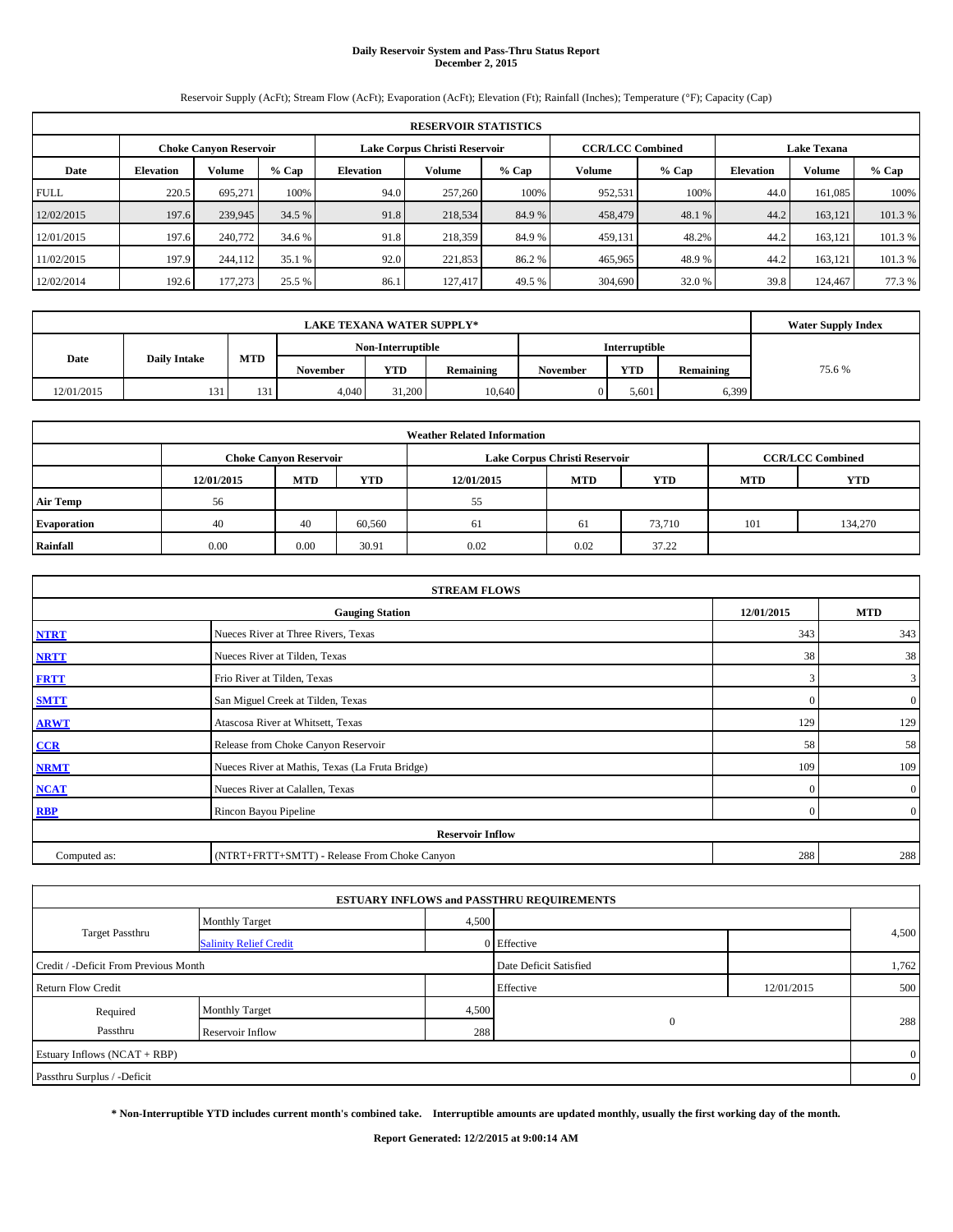#### **Daily Reservoir System and Pass-Thru Status Report December 2, 2015**

Reservoir Supply (AcFt); Stream Flow (AcFt); Evaporation (AcFt); Elevation (Ft); Rainfall (Inches); Temperature (°F); Capacity (Cap)

| <b>RESERVOIR STATISTICS</b> |                                                                                                          |                                                 |        |      |         |         |               |         |                  |         |         |  |
|-----------------------------|----------------------------------------------------------------------------------------------------------|-------------------------------------------------|--------|------|---------|---------|---------------|---------|------------------|---------|---------|--|
|                             | <b>CCR/LCC Combined</b><br>Lake Corpus Christi Reservoir<br><b>Lake Texana</b><br>Choke Canvon Reservoir |                                                 |        |      |         |         |               |         |                  |         |         |  |
| Date                        | <b>Elevation</b>                                                                                         | $%$ Cap<br>Volume<br>Volume<br><b>Elevation</b> |        |      |         | $%$ Cap | <b>Volume</b> | $%$ Cap | <b>Elevation</b> | Volume  | % Cap   |  |
| <b>FULL</b>                 | 220.5                                                                                                    | 695.271                                         | 100%   | 94.0 | 257,260 | 100%    | 952,531       | 100%    | 44.0             | 161.085 | 100%    |  |
| 12/02/2015                  | 197.6                                                                                                    | 239,945                                         | 34.5 % | 91.8 | 218,534 | 84.9 %  | 458,479       | 48.1 %  | 44.2             | 163.121 | 101.3 % |  |
| 12/01/2015                  | 197.6                                                                                                    | 240,772                                         | 34.6 % | 91.8 | 218,359 | 84.9 %  | 459,131       | 48.2%   | 44.2             | 163.121 | 101.3 % |  |
| 11/02/2015                  | 197.9                                                                                                    | 244,112                                         | 35.1 % | 92.0 | 221,853 | 86.2%   | 465,965       | 48.9%   | 44.2             | 163.121 | 101.3 % |  |
| 12/02/2014                  | 192.6                                                                                                    | 177,273                                         | 25.5 % | 86.1 | 127.417 | 49.5 %  | 304,690       | 32.0 %  | 39.8             | 124,467 | 77.3 %  |  |

|            | <b>Water Supply Index</b> |     |                 |                   |                  |                 |               |           |        |
|------------|---------------------------|-----|-----------------|-------------------|------------------|-----------------|---------------|-----------|--------|
|            |                           |     |                 | Non-Interruptible |                  |                 | Interruptible |           |        |
| Date       | <b>Daily Intake</b>       | MTD | <b>November</b> | <b>YTD</b>        | <b>Remaining</b> | <b>November</b> | <b>YTD</b>    | Remaining | 75.6 % |
| 12/01/2015 | 131                       | 131 | 4,040           | 31,200            | 10,640           |                 | 5.601         | 6,399     |        |

| <b>Weather Related Information</b> |            |                               |        |                                                      |                               |                         |     |         |  |  |  |
|------------------------------------|------------|-------------------------------|--------|------------------------------------------------------|-------------------------------|-------------------------|-----|---------|--|--|--|
|                                    |            | <b>Choke Canyon Reservoir</b> |        |                                                      | Lake Corpus Christi Reservoir | <b>CCR/LCC Combined</b> |     |         |  |  |  |
|                                    | 12/01/2015 | <b>MTD</b>                    | YTD    | <b>MTD</b><br><b>YTD</b><br>12/01/2015<br><b>MTD</b> |                               |                         |     |         |  |  |  |
| <b>Air Temp</b>                    | 56         |                               |        | 55                                                   |                               |                         |     |         |  |  |  |
| Evaporation                        | 40         | 40                            | 60,560 | 61                                                   | 61                            | 73,710                  | 101 | 134,270 |  |  |  |
| Rainfall                           | 0.00       | 0.00                          | 30.91  | 0.02                                                 | 0.02                          | 37.22                   |     |         |  |  |  |

| <b>STREAM FLOWS</b> |                                                    |              |                  |  |  |  |  |  |  |  |
|---------------------|----------------------------------------------------|--------------|------------------|--|--|--|--|--|--|--|
|                     | 12/01/2015<br><b>MTD</b><br><b>Gauging Station</b> |              |                  |  |  |  |  |  |  |  |
| <b>NTRT</b>         | Nueces River at Three Rivers, Texas                | 343          | 343              |  |  |  |  |  |  |  |
| <b>NRTT</b>         | Nueces River at Tilden, Texas                      | 38           | 38               |  |  |  |  |  |  |  |
| <b>FRTT</b>         | Frio River at Tilden, Texas                        | 3            | 3                |  |  |  |  |  |  |  |
| <b>SMTT</b>         | San Miguel Creek at Tilden, Texas                  | $\Omega$     | $\boldsymbol{0}$ |  |  |  |  |  |  |  |
| <b>ARWT</b>         | Atascosa River at Whitsett, Texas                  | 129          | 129              |  |  |  |  |  |  |  |
| CCR                 | Release from Choke Canyon Reservoir                | 58           | 58               |  |  |  |  |  |  |  |
| <b>NRMT</b>         | Nueces River at Mathis, Texas (La Fruta Bridge)    | 109          | 109              |  |  |  |  |  |  |  |
| <b>NCAT</b>         | Nueces River at Calallen, Texas                    | $\mathbf{0}$ | $\mathbf{0}$     |  |  |  |  |  |  |  |
| <b>RBP</b>          | Rincon Bayou Pipeline                              | $\Omega$     | $\overline{0}$   |  |  |  |  |  |  |  |
|                     | <b>Reservoir Inflow</b>                            |              |                  |  |  |  |  |  |  |  |
| Computed as:        | (NTRT+FRTT+SMTT) - Release From Choke Canyon       |              |                  |  |  |  |  |  |  |  |

|                                                                 |                               |       | <b>ESTUARY INFLOWS and PASSTHRU REQUIREMENTS</b> |            |                |  |  |  |
|-----------------------------------------------------------------|-------------------------------|-------|--------------------------------------------------|------------|----------------|--|--|--|
|                                                                 | <b>Monthly Target</b>         | 4,500 |                                                  |            |                |  |  |  |
| <b>Target Passthru</b>                                          | <b>Salinity Relief Credit</b> |       | 0 Effective                                      |            | 4,500          |  |  |  |
| Credit / -Deficit From Previous Month<br>Date Deficit Satisfied |                               |       |                                                  |            |                |  |  |  |
| <b>Return Flow Credit</b>                                       |                               |       | Effective                                        | 12/01/2015 | 500            |  |  |  |
| Required                                                        | <b>Monthly Target</b>         | 4,500 |                                                  |            | 288            |  |  |  |
| $\mathbf{0}$<br>Passthru<br>288<br>Reservoir Inflow             |                               |       |                                                  |            |                |  |  |  |
| Estuary Inflows (NCAT + RBP)                                    |                               |       |                                                  |            | $\overline{0}$ |  |  |  |
| Passthru Surplus / -Deficit                                     |                               |       |                                                  |            | $\overline{0}$ |  |  |  |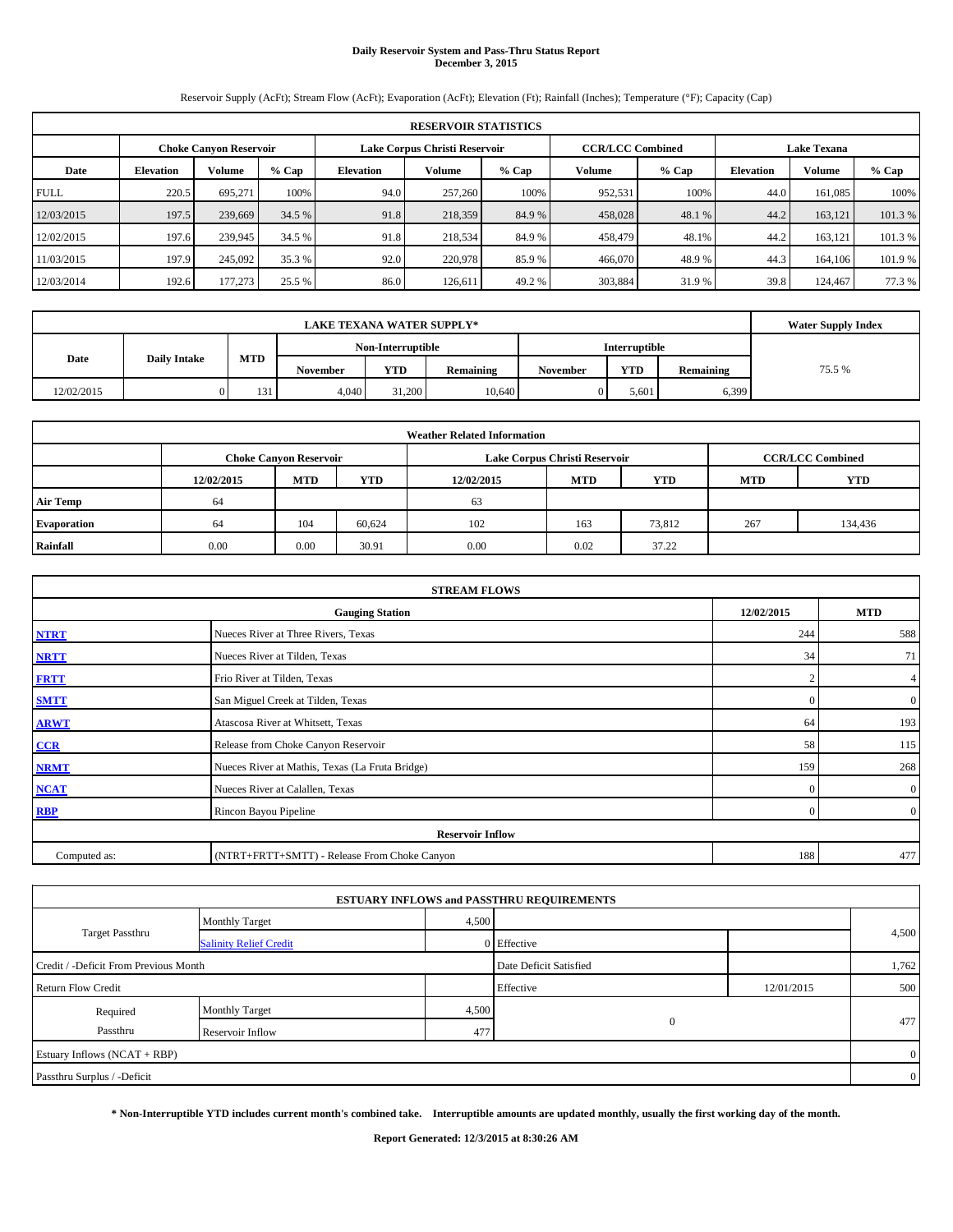#### **Daily Reservoir System and Pass-Thru Status Report December 3, 2015**

Reservoir Supply (AcFt); Stream Flow (AcFt); Evaporation (AcFt); Elevation (Ft); Rainfall (Inches); Temperature (°F); Capacity (Cap)

| <b>RESERVOIR STATISTICS</b> |                                                                                                                 |               |         |                  |               |         |         |         |                  |               |        |  |  |
|-----------------------------|-----------------------------------------------------------------------------------------------------------------|---------------|---------|------------------|---------------|---------|---------|---------|------------------|---------------|--------|--|--|
|                             | <b>CCR/LCC Combined</b><br>Lake Corpus Christi Reservoir<br><b>Lake Texana</b><br><b>Choke Canyon Reservoir</b> |               |         |                  |               |         |         |         |                  |               |        |  |  |
| Date                        | <b>Elevation</b>                                                                                                | <b>Volume</b> | $%$ Cap | <b>Elevation</b> | <b>Volume</b> | $%$ Cap | Volume  | $%$ Cap | <b>Elevation</b> | <b>Volume</b> | % Cap  |  |  |
| <b>FULL</b>                 | 220.5                                                                                                           | 695.271       | 100%    | 94.0             | 257,260       | 100%    | 952,531 | 100%    | 44.0             | 161,085       | 100%   |  |  |
| 12/03/2015                  | 197.5                                                                                                           | 239,669       | 34.5 %  | 91.8             | 218,359       | 84.9%   | 458,028 | 48.1 %  | 44.2             | 163.121       | 101.3% |  |  |
| 12/02/2015                  | 197.6                                                                                                           | 239,945       | 34.5 %  | 91.8             | 218,534       | 84.9%   | 458,479 | 48.1%   | 44.2             | 163.121       | 101.3% |  |  |
| 11/03/2015                  | 197.9                                                                                                           | 245,092       | 35.3 %  | 92.0             | 220,978       | 85.9 %  | 466,070 | 48.9%   | 44.3             | 164,106       | 101.9% |  |  |
| 12/03/2014                  | 192.6                                                                                                           | 177,273       | 25.5 %  | 86.0             | 126.611       | 49.2 %  | 303,884 | 31.9%   | 39.8             | 124,467       | 77.3 % |  |  |

|            | <b>Water Supply Index</b> |     |          |                   |           |                 |               |           |        |
|------------|---------------------------|-----|----------|-------------------|-----------|-----------------|---------------|-----------|--------|
|            |                           |     |          | Non-Interruptible |           |                 | Interruptible |           |        |
| Date       | <b>Daily Intake</b>       | MTD | November | <b>YTD</b>        | Remaining | <b>November</b> | <b>YTD</b>    | Remaining | 75.5 % |
| 12/02/2015 |                           | 131 | 4,040    | 31,200            | 10.640    |                 | 5.601         | 6,399     |        |

| <b>Weather Related Information</b> |            |                               |            |            |                               |                         |            |            |  |  |
|------------------------------------|------------|-------------------------------|------------|------------|-------------------------------|-------------------------|------------|------------|--|--|
|                                    |            | <b>Choke Canyon Reservoir</b> |            |            | Lake Corpus Christi Reservoir | <b>CCR/LCC Combined</b> |            |            |  |  |
|                                    | 12/02/2015 | <b>MTD</b>                    | <b>YTD</b> | 12/02/2015 | <b>MTD</b>                    | <b>YTD</b>              | <b>MTD</b> | <b>YTD</b> |  |  |
| <b>Air Temp</b>                    | 64         |                               |            | 63         |                               |                         |            |            |  |  |
| <b>Evaporation</b>                 | 64         | 104                           | 60.624     | 102        | 163                           | 73,812                  | 267        | 134,436    |  |  |
| Rainfall                           | 0.00       | 0.00                          | 30.91      | 0.00       | 0.02                          | 37.22                   |            |            |  |  |

| <b>STREAM FLOWS</b>                                |                                                 |              |                  |  |  |  |  |  |  |  |
|----------------------------------------------------|-------------------------------------------------|--------------|------------------|--|--|--|--|--|--|--|
| 12/02/2015<br><b>MTD</b><br><b>Gauging Station</b> |                                                 |              |                  |  |  |  |  |  |  |  |
| <b>NTRT</b>                                        | Nueces River at Three Rivers, Texas             | 244          | 588              |  |  |  |  |  |  |  |
| <b>NRTT</b>                                        | Nueces River at Tilden, Texas                   | 34           | 71               |  |  |  |  |  |  |  |
| <b>FRTT</b>                                        | Frio River at Tilden, Texas                     |              | 4                |  |  |  |  |  |  |  |
| <b>SMTT</b>                                        | San Miguel Creek at Tilden, Texas               | $\Omega$     | $\boldsymbol{0}$ |  |  |  |  |  |  |  |
| <b>ARWT</b>                                        | Atascosa River at Whitsett, Texas               | 64           | 193              |  |  |  |  |  |  |  |
| CCR                                                | Release from Choke Canyon Reservoir             | 58           | 115              |  |  |  |  |  |  |  |
| <b>NRMT</b>                                        | Nueces River at Mathis, Texas (La Fruta Bridge) | 159          | 268              |  |  |  |  |  |  |  |
| <b>NCAT</b>                                        | Nueces River at Calallen, Texas                 | $\mathbf{0}$ | $\mathbf{0}$     |  |  |  |  |  |  |  |
| <b>RBP</b>                                         | Rincon Bayou Pipeline                           | $\Omega$     | $\overline{0}$   |  |  |  |  |  |  |  |
|                                                    | <b>Reservoir Inflow</b>                         |              |                  |  |  |  |  |  |  |  |
| Computed as:                                       | (NTRT+FRTT+SMTT) - Release From Choke Canyon    | 188          | 477              |  |  |  |  |  |  |  |

|                                       |                               |       | <b>ESTUARY INFLOWS and PASSTHRU REQUIREMENTS</b> |            |                |
|---------------------------------------|-------------------------------|-------|--------------------------------------------------|------------|----------------|
|                                       | <b>Monthly Target</b>         | 4,500 |                                                  |            |                |
| <b>Target Passthru</b>                | <b>Salinity Relief Credit</b> |       | 0 Effective                                      |            | 4,500          |
| Credit / -Deficit From Previous Month |                               |       | Date Deficit Satisfied                           |            | 1,762          |
| <b>Return Flow Credit</b>             |                               |       | Effective                                        | 12/01/2015 | 500            |
| Required                              | <b>Monthly Target</b>         | 4,500 |                                                  |            |                |
| Passthru                              | Reservoir Inflow              | 477   | $\mathbf{0}$                                     |            | 477            |
| Estuary Inflows (NCAT + RBP)          |                               |       |                                                  |            | $\overline{0}$ |
| Passthru Surplus / -Deficit           |                               |       |                                                  |            | $\overline{0}$ |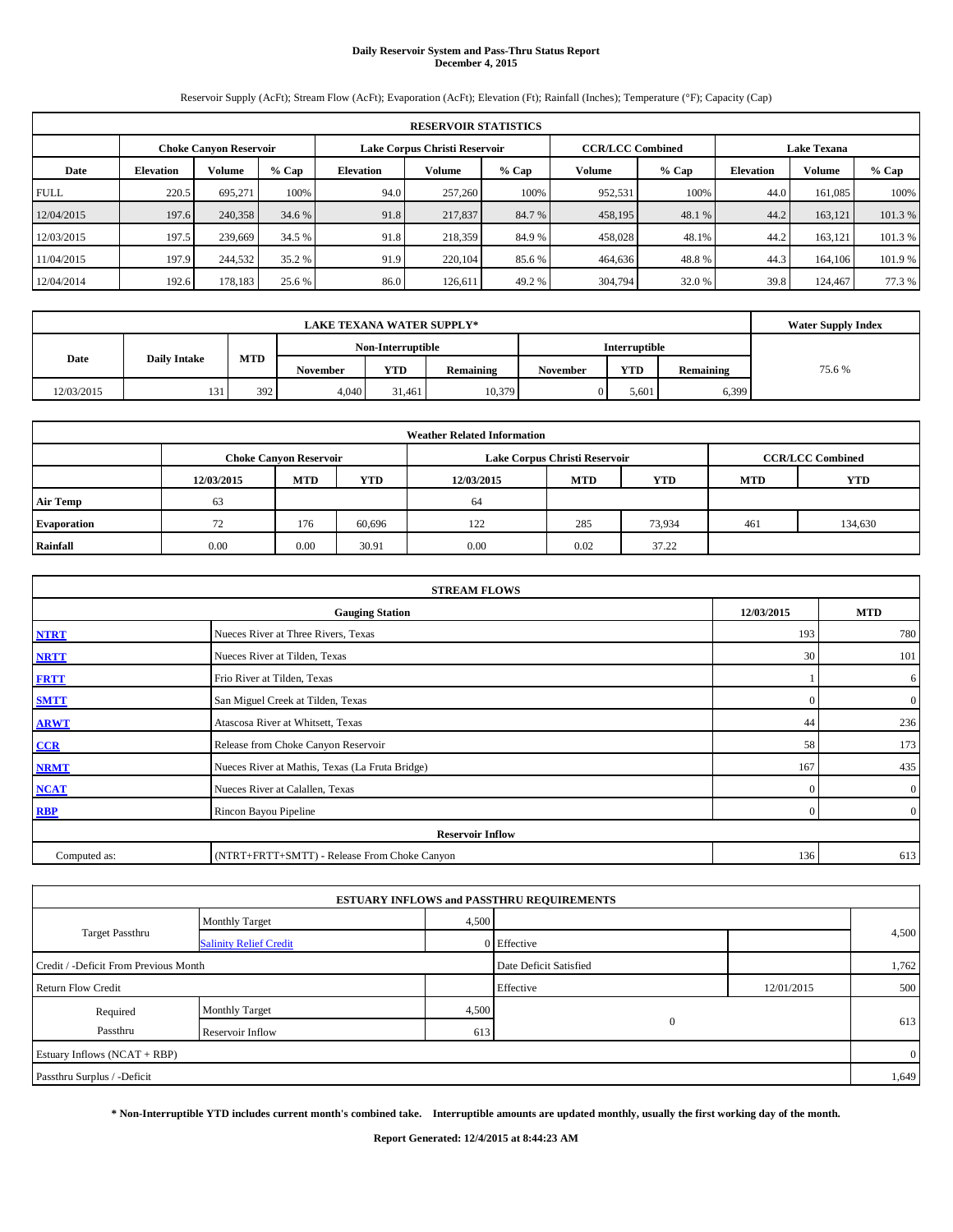## **Daily Reservoir System and Pass-Thru Status Report December 4, 2015**

Reservoir Supply (AcFt); Stream Flow (AcFt); Evaporation (AcFt); Elevation (Ft); Rainfall (Inches); Temperature (°F); Capacity (Cap)

| <b>RESERVOIR STATISTICS</b> |                  |                               |         |                               |                                               |         |         |         |                  |               |         |
|-----------------------------|------------------|-------------------------------|---------|-------------------------------|-----------------------------------------------|---------|---------|---------|------------------|---------------|---------|
|                             |                  | <b>Choke Canyon Reservoir</b> |         | Lake Corpus Christi Reservoir | <b>CCR/LCC Combined</b><br><b>Lake Texana</b> |         |         |         |                  |               |         |
| Date                        | <b>Elevation</b> | <b>Volume</b>                 | $%$ Cap | <b>Elevation</b>              | Volume                                        | $%$ Cap | Volume  | $%$ Cap | <b>Elevation</b> | <b>Volume</b> | $%$ Cap |
| <b>FULL</b>                 | 220.5            | 695.271                       | 100%    | 94.0                          | 257,260                                       | 100%    | 952,531 | 100%    | 44.0             | 161.085       | 100%    |
| 12/04/2015                  | 197.6            | 240,358                       | 34.6 %  | 91.8                          | 217,837                                       | 84.7 %  | 458,195 | 48.1 %  | 44.2             | 163.121       | 101.3%  |
| 12/03/2015                  | 197.5            | 239,669                       | 34.5 %  | 91.8                          | 218,359                                       | 84.9 %  | 458,028 | 48.1%   | 44.2             | 163.121       | 101.3 % |
| 11/04/2015                  | 197.9            | 244,532                       | 35.2 %  | 91.9                          | 220,104                                       | 85.6 %  | 464,636 | 48.8%   | 44.3             | 164,106       | 101.9 % |
| 12/04/2014                  | 192.6            | 178,183                       | 25.6 %  | 86.0                          | 126.611                                       | 49.2 %  | 304,794 | 32.0 %  | 39.8             | 124,467       | 77.3 %  |

|            | <b>Water Supply Index</b> |            |          |                   |           |                 |                      |           |       |
|------------|---------------------------|------------|----------|-------------------|-----------|-----------------|----------------------|-----------|-------|
|            |                           |            |          | Non-Interruptible |           |                 | <b>Interruptible</b> |           |       |
| Date       | <b>Daily Intake</b>       | <b>MTD</b> | November | <b>YTD</b>        | Remaining | <b>November</b> | <b>YTD</b>           | Remaining | 75.6% |
| 12/03/2015 | 131                       | 392        | 4,040    | 31.461            | 10,379    |                 | 5.601                | 6,399     |       |

| <b>Weather Related Information</b> |            |                               |        |            |                               |                         |            |         |  |  |
|------------------------------------|------------|-------------------------------|--------|------------|-------------------------------|-------------------------|------------|---------|--|--|
|                                    |            | <b>Choke Canyon Reservoir</b> |        |            | Lake Corpus Christi Reservoir | <b>CCR/LCC Combined</b> |            |         |  |  |
|                                    | 12/03/2015 | <b>MTD</b>                    | YTD    | 12/03/2015 | <b>MTD</b>                    | <b>YTD</b>              | <b>MTD</b> | YTD     |  |  |
| <b>Air Temp</b>                    | 63         |                               |        | 64         |                               |                         |            |         |  |  |
| Evaporation                        | 72         | 176                           | 60,696 | 122        | 285                           | 73,934                  | 461        | 134,630 |  |  |
| Rainfall                           | 0.00       | 0.00                          | 30.91  | 0.00       | 0.02                          | 37.22                   |            |         |  |  |

| <b>STREAM FLOWS</b>                                |                                                 |              |                  |  |  |  |  |  |  |
|----------------------------------------------------|-------------------------------------------------|--------------|------------------|--|--|--|--|--|--|
| <b>MTD</b><br>12/03/2015<br><b>Gauging Station</b> |                                                 |              |                  |  |  |  |  |  |  |
| <b>NTRT</b>                                        | Nueces River at Three Rivers, Texas             | 193          | 780              |  |  |  |  |  |  |
| <b>NRTT</b>                                        | Nueces River at Tilden, Texas                   | 30           | 101              |  |  |  |  |  |  |
| <b>FRTT</b>                                        | Frio River at Tilden, Texas                     |              | 6                |  |  |  |  |  |  |
| <b>SMTT</b>                                        | San Miguel Creek at Tilden, Texas               | $\Omega$     | $\boldsymbol{0}$ |  |  |  |  |  |  |
| <b>ARWT</b>                                        | Atascosa River at Whitsett, Texas               | 44           | 236              |  |  |  |  |  |  |
| CCR                                                | Release from Choke Canyon Reservoir             | 58           | 173              |  |  |  |  |  |  |
| <b>NRMT</b>                                        | Nueces River at Mathis, Texas (La Fruta Bridge) | 167          | 435              |  |  |  |  |  |  |
| <b>NCAT</b>                                        | Nueces River at Calallen, Texas                 | $\mathbf{0}$ | $\overline{0}$   |  |  |  |  |  |  |
| <b>RBP</b>                                         | Rincon Bayou Pipeline                           | $\Omega$     | $\overline{0}$   |  |  |  |  |  |  |
|                                                    | <b>Reservoir Inflow</b>                         |              |                  |  |  |  |  |  |  |
| Computed as:                                       | 136                                             | 613          |                  |  |  |  |  |  |  |

|                                       |                               |       | <b>ESTUARY INFLOWS and PASSTHRU REQUIREMENTS</b> |            |                |
|---------------------------------------|-------------------------------|-------|--------------------------------------------------|------------|----------------|
|                                       | <b>Monthly Target</b>         | 4,500 |                                                  |            |                |
| <b>Target Passthru</b>                | <b>Salinity Relief Credit</b> |       | 0 Effective                                      |            | 4,500          |
| Credit / -Deficit From Previous Month |                               |       | Date Deficit Satisfied                           |            | 1,762          |
| <b>Return Flow Credit</b>             |                               |       | Effective                                        | 12/01/2015 | 500            |
| Required                              | <b>Monthly Target</b>         | 4,500 |                                                  |            |                |
| Passthru                              | Reservoir Inflow              | 613   | $\mathbf{0}$                                     |            | 613            |
| Estuary Inflows (NCAT + RBP)          |                               |       |                                                  |            | $\overline{0}$ |
| Passthru Surplus / -Deficit           |                               |       |                                                  |            | 1,649          |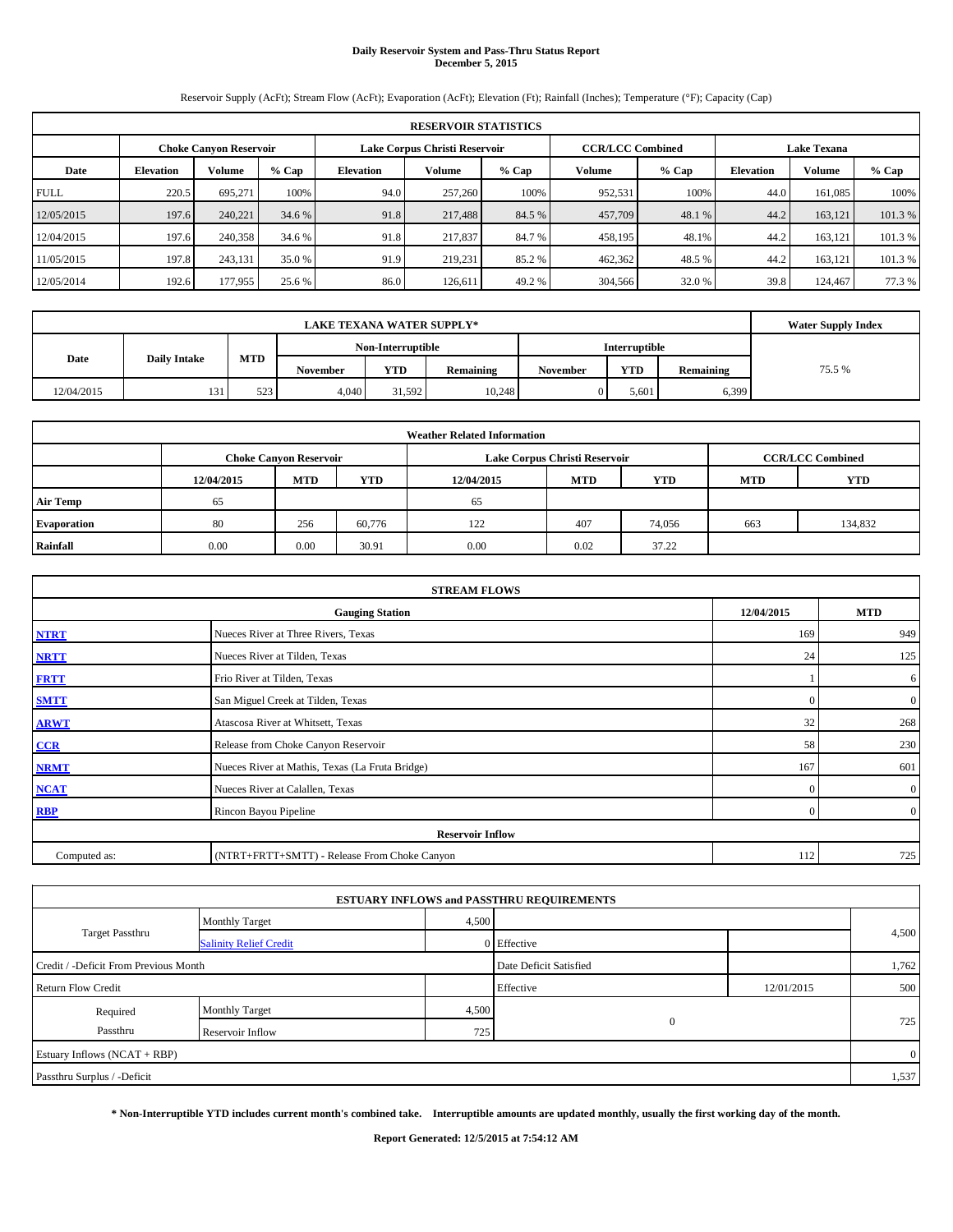#### **Daily Reservoir System and Pass-Thru Status Report December 5, 2015**

Reservoir Supply (AcFt); Stream Flow (AcFt); Evaporation (AcFt); Elevation (Ft); Rainfall (Inches); Temperature (°F); Capacity (Cap)

| <b>RESERVOIR STATISTICS</b> |                                                         |               |         |                  |         |         |               |                         |                    |         |         |
|-----------------------------|---------------------------------------------------------|---------------|---------|------------------|---------|---------|---------------|-------------------------|--------------------|---------|---------|
|                             | Lake Corpus Christi Reservoir<br>Choke Canvon Reservoir |               |         |                  |         |         |               | <b>CCR/LCC Combined</b> | <b>Lake Texana</b> |         |         |
| Date                        | <b>Elevation</b>                                        | <b>Volume</b> | $%$ Cap | <b>Elevation</b> | Volume  | $%$ Cap | <b>Volume</b> | $%$ Cap                 | <b>Elevation</b>   | Volume  | % Cap   |
| <b>FULL</b>                 | 220.5                                                   | 695.271       | 100%    | 94.0             | 257,260 | 100%    | 952,531       | 100%                    | 44.0               | 161.085 | 100%    |
| 12/05/2015                  | 197.6                                                   | 240,221       | 34.6 %  | 91.8             | 217,488 | 84.5 %  | 457,709       | 48.1 %                  | 44.2               | 163.121 | 101.3 % |
| 12/04/2015                  | 197.6                                                   | 240,358       | 34.6 %  | 91.8             | 217,837 | 84.7 %  | 458,195       | 48.1%                   | 44.2               | 163.121 | 101.3 % |
| 11/05/2015                  | 197.8                                                   | 243,131       | 35.0 %  | 91.9             | 219,231 | 85.2 %  | 462,362       | 48.5 %                  | 44.2               | 163.121 | 101.3 % |
| 12/05/2014                  | 192.6                                                   | 177,955       | 25.6 %  | 86.0             | 126.611 | 49.2 %  | 304,566       | 32.0 %                  | 39.8               | 124,467 | 77.3 %  |

|            | <b>Water Supply Index</b> |     |          |                   |           |                 |               |           |        |
|------------|---------------------------|-----|----------|-------------------|-----------|-----------------|---------------|-----------|--------|
|            |                           |     |          | Non-Interruptible |           |                 | Interruptible |           |        |
| Date       | <b>Daily Intake</b>       | MTD | November | <b>YTD</b>        | Remaining | <b>November</b> | <b>YTD</b>    | Remaining | 75.5 % |
| 12/04/2015 | 131                       | 523 | 4,040    | 31.592            | 10,248    |                 | 5.601         | 6,399     |        |

| <b>Weather Related Information</b> |            |                               |        |            |                               |                         |                          |         |  |  |
|------------------------------------|------------|-------------------------------|--------|------------|-------------------------------|-------------------------|--------------------------|---------|--|--|
|                                    |            | <b>Choke Canyon Reservoir</b> |        |            | Lake Corpus Christi Reservoir | <b>CCR/LCC Combined</b> |                          |         |  |  |
|                                    | 12/04/2015 | <b>MTD</b>                    | YTD    | 12/04/2015 | <b>MTD</b>                    | <b>YTD</b>              | <b>YTD</b><br><b>MTD</b> |         |  |  |
| <b>Air Temp</b>                    | 65         |                               |        | 65         |                               |                         |                          |         |  |  |
| <b>Evaporation</b>                 | 80         | 256                           | 60,776 | 122        | 407                           | 74,056                  | 663                      | 134,832 |  |  |
| Rainfall                           | 0.00       | 0.00                          | 30.91  | 0.00       | 0.02                          | 37.22                   |                          |         |  |  |

| <b>STREAM FLOWS</b>                                |                                                 |              |                  |  |  |  |  |  |  |  |
|----------------------------------------------------|-------------------------------------------------|--------------|------------------|--|--|--|--|--|--|--|
| 12/04/2015<br><b>MTD</b><br><b>Gauging Station</b> |                                                 |              |                  |  |  |  |  |  |  |  |
| <b>NTRT</b>                                        | Nueces River at Three Rivers, Texas             | 169          | 949              |  |  |  |  |  |  |  |
| <b>NRTT</b>                                        | Nueces River at Tilden, Texas                   | 24           | 125              |  |  |  |  |  |  |  |
| <b>FRTT</b>                                        | Frio River at Tilden, Texas                     |              | 6                |  |  |  |  |  |  |  |
| <b>SMTT</b>                                        | San Miguel Creek at Tilden, Texas               | $\Omega$     | $\boldsymbol{0}$ |  |  |  |  |  |  |  |
| <b>ARWT</b>                                        | Atascosa River at Whitsett, Texas               | 32           | 268              |  |  |  |  |  |  |  |
| CCR                                                | Release from Choke Canyon Reservoir             | 58           | 230              |  |  |  |  |  |  |  |
| <b>NRMT</b>                                        | Nueces River at Mathis, Texas (La Fruta Bridge) | 167          | 601              |  |  |  |  |  |  |  |
| <b>NCAT</b>                                        | Nueces River at Calallen, Texas                 | $\mathbf{0}$ | $\overline{0}$   |  |  |  |  |  |  |  |
| <b>RBP</b>                                         | Rincon Bayou Pipeline                           | $\Omega$     | $\overline{0}$   |  |  |  |  |  |  |  |
|                                                    | <b>Reservoir Inflow</b>                         |              |                  |  |  |  |  |  |  |  |
| Computed as:                                       | (NTRT+FRTT+SMTT) - Release From Choke Canyon    | 112          | 725              |  |  |  |  |  |  |  |

|                                       |                               |       | <b>ESTUARY INFLOWS and PASSTHRU REQUIREMENTS</b> |            |                |
|---------------------------------------|-------------------------------|-------|--------------------------------------------------|------------|----------------|
|                                       | <b>Monthly Target</b>         | 4,500 |                                                  |            |                |
| <b>Target Passthru</b>                | <b>Salinity Relief Credit</b> |       | 0 Effective                                      |            | 4,500          |
| Credit / -Deficit From Previous Month |                               |       | Date Deficit Satisfied                           |            | 1,762          |
| <b>Return Flow Credit</b>             |                               |       | Effective                                        | 12/01/2015 | 500            |
| Required                              | <b>Monthly Target</b>         | 4,500 |                                                  |            |                |
| Passthru                              | Reservoir Inflow              | 725   | $\mathbf{0}$                                     |            | 725            |
| Estuary Inflows (NCAT + RBP)          |                               |       |                                                  |            | $\overline{0}$ |
| Passthru Surplus / -Deficit           |                               |       |                                                  |            | 1,537          |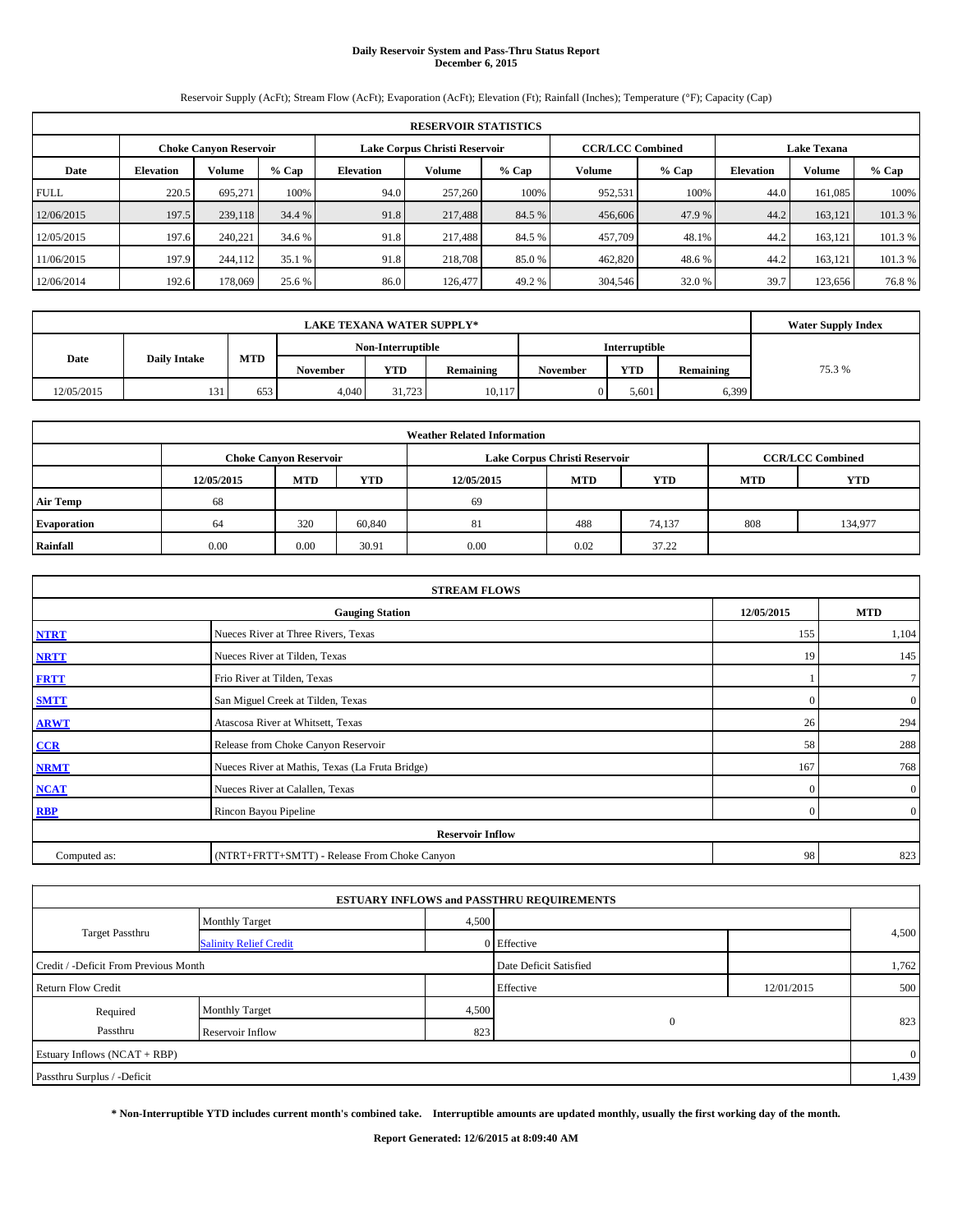#### **Daily Reservoir System and Pass-Thru Status Report December 6, 2015**

Reservoir Supply (AcFt); Stream Flow (AcFt); Evaporation (AcFt); Elevation (Ft); Rainfall (Inches); Temperature (°F); Capacity (Cap)

|             | <b>RESERVOIR STATISTICS</b> |                        |         |                  |                               |        |                                               |         |                  |         |         |  |  |  |
|-------------|-----------------------------|------------------------|---------|------------------|-------------------------------|--------|-----------------------------------------------|---------|------------------|---------|---------|--|--|--|
|             |                             | Choke Canvon Reservoir |         |                  | Lake Corpus Christi Reservoir |        | <b>CCR/LCC Combined</b><br><b>Lake Texana</b> |         |                  |         |         |  |  |  |
| Date        | <b>Elevation</b>            | <b>Volume</b>          | $%$ Cap | <b>Elevation</b> | Volume                        | % Cap  | <b>Volume</b>                                 | $%$ Cap | <b>Elevation</b> | Volume  | % Cap   |  |  |  |
| <b>FULL</b> | 220.5                       | 695.271                | 100%    | 94.0             | 257,260                       | 100%   | 952,531                                       | 100%    | 44.0             | 161.085 | 100%    |  |  |  |
| 12/06/2015  | 197.5                       | 239,118                | 34.4 %  | 91.8             | 217,488                       | 84.5 % | 456,606                                       | 47.9 %  | 44.2             | 163.121 | 101.3 % |  |  |  |
| 12/05/2015  | 197.6                       | 240,221                | 34.6 %  | 91.8             | 217,488                       | 84.5 % | 457,709                                       | 48.1%   | 44.2             | 163.121 | 101.3 % |  |  |  |
| 11/06/2015  | 197.9                       | 244,112                | 35.1 %  | 91.8             | 218,708                       | 85.0 % | 462,820                                       | 48.6%   | 44.2             | 163.121 | 101.3 % |  |  |  |
| 12/06/2014  | 192.6                       | 178,069                | 25.6 %  | 86.0             | 126,477                       | 49.2 % | 304,546                                       | 32.0 %  | 39.7             | 123.656 | 76.8%   |  |  |  |

|            | <b>Water Supply Index</b>          |     |          |            |           |                 |            |           |        |
|------------|------------------------------------|-----|----------|------------|-----------|-----------------|------------|-----------|--------|
|            | Non-Interruptible<br>Interruptible |     |          |            |           |                 |            |           |        |
| Date       | <b>Daily Intake</b>                | MTD | November | <b>YTD</b> | Remaining | <b>November</b> | <b>YTD</b> | Remaining | 75.3 % |
| 12/05/2015 | 131                                | 653 | 4,040    | 31.723     | 10.117    |                 | 5.601      | 6,399     |        |

| <b>Weather Related Information</b> |            |                                                                           |        |      |                               |                         |     |         |  |  |  |
|------------------------------------|------------|---------------------------------------------------------------------------|--------|------|-------------------------------|-------------------------|-----|---------|--|--|--|
|                                    |            | <b>Choke Canyon Reservoir</b>                                             |        |      | Lake Corpus Christi Reservoir | <b>CCR/LCC Combined</b> |     |         |  |  |  |
|                                    | 12/05/2015 | YTD<br><b>MTD</b><br><b>MTD</b><br><b>YTD</b><br>12/05/2015<br><b>MTD</b> |        |      |                               |                         |     |         |  |  |  |
| <b>Air Temp</b>                    | 68         |                                                                           |        | 69   |                               |                         |     |         |  |  |  |
| Evaporation                        | 64         | 320                                                                       | 60,840 | 81   | 488                           | 74,137                  | 808 | 134,977 |  |  |  |
| Rainfall                           | 0.00       | 0.00                                                                      | 30.91  | 0.00 | 0.02                          | 37.22                   |     |         |  |  |  |

|              | <b>STREAM FLOWS</b>                             |              |                  |  |  |  |  |
|--------------|-------------------------------------------------|--------------|------------------|--|--|--|--|
|              | 12/05/2015                                      | <b>MTD</b>   |                  |  |  |  |  |
| <b>NTRT</b>  | Nueces River at Three Rivers, Texas             |              |                  |  |  |  |  |
| <b>NRTT</b>  | Nueces River at Tilden, Texas                   | 19           | 145              |  |  |  |  |
| <b>FRTT</b>  | Frio River at Tilden, Texas                     |              | 7                |  |  |  |  |
| <b>SMTT</b>  | San Miguel Creek at Tilden, Texas               | $\Omega$     | $\boldsymbol{0}$ |  |  |  |  |
| <b>ARWT</b>  | Atascosa River at Whitsett, Texas               | 26           | 294              |  |  |  |  |
| CCR          | Release from Choke Canyon Reservoir             | 58           | 288              |  |  |  |  |
| <b>NRMT</b>  | Nueces River at Mathis, Texas (La Fruta Bridge) | 167          | 768              |  |  |  |  |
| <b>NCAT</b>  | Nueces River at Calallen, Texas                 | $\mathbf{0}$ | $\overline{0}$   |  |  |  |  |
| <b>RBP</b>   | Rincon Bayou Pipeline                           | $\Omega$     | $\overline{0}$   |  |  |  |  |
|              | <b>Reservoir Inflow</b>                         |              |                  |  |  |  |  |
| Computed as: | (NTRT+FRTT+SMTT) - Release From Choke Canyon    |              |                  |  |  |  |  |

|                                       |                               |       | <b>ESTUARY INFLOWS and PASSTHRU REQUIREMENTS</b> |            |                |
|---------------------------------------|-------------------------------|-------|--------------------------------------------------|------------|----------------|
|                                       | <b>Monthly Target</b>         | 4,500 |                                                  |            |                |
| <b>Target Passthru</b>                | <b>Salinity Relief Credit</b> |       | 0 Effective                                      |            | 4,500          |
| Credit / -Deficit From Previous Month |                               |       | Date Deficit Satisfied                           |            | 1,762          |
| <b>Return Flow Credit</b>             |                               |       | Effective                                        | 12/01/2015 | 500            |
| Required                              | <b>Monthly Target</b>         | 4,500 |                                                  |            |                |
| Passthru                              | Reservoir Inflow              | 823   | $\mathbf{0}$                                     |            | 823            |
| Estuary Inflows (NCAT + RBP)          |                               |       |                                                  |            | $\overline{0}$ |
| Passthru Surplus / -Deficit           |                               |       |                                                  |            | 1,439          |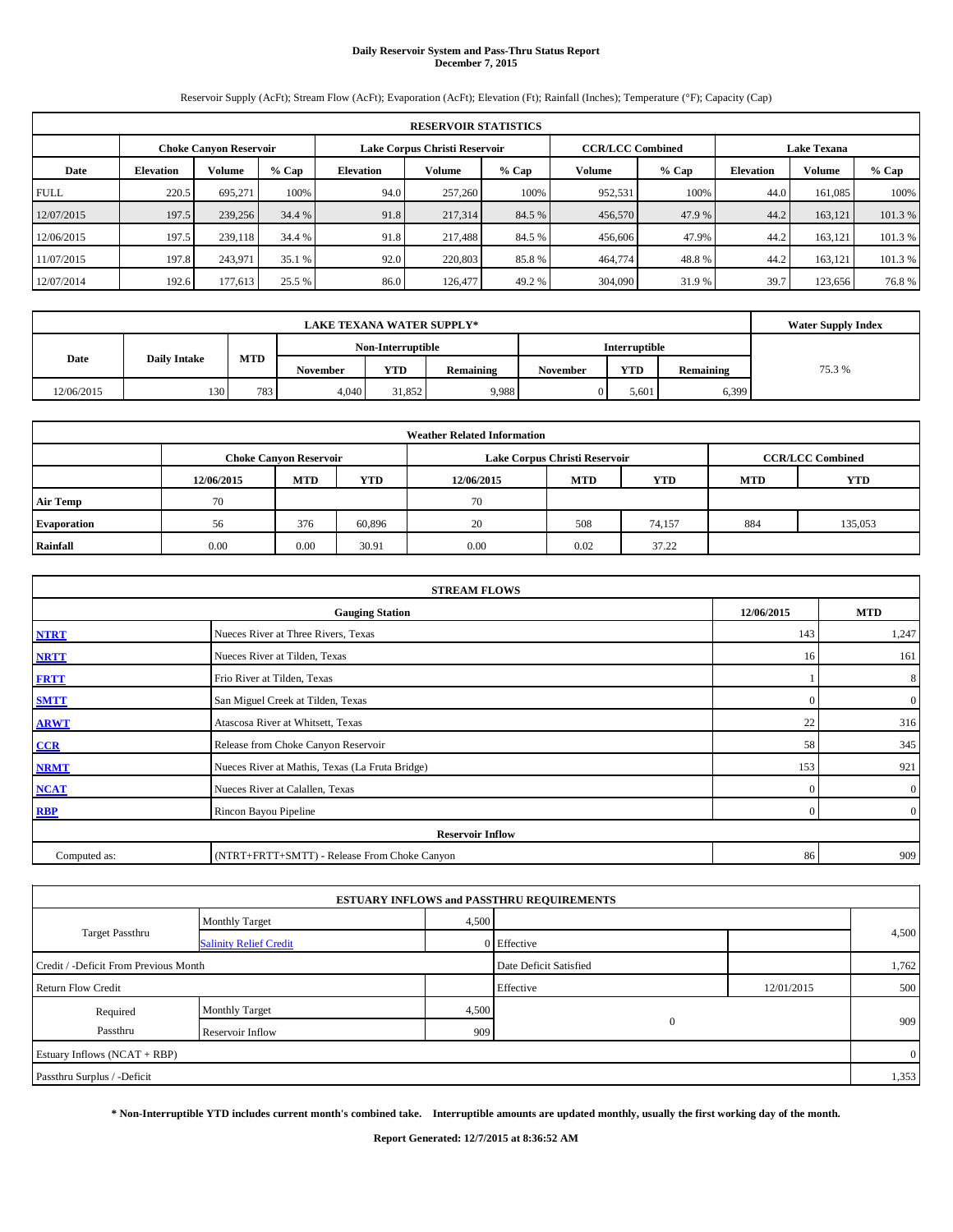#### **Daily Reservoir System and Pass-Thru Status Report December 7, 2015**

Reservoir Supply (AcFt); Stream Flow (AcFt); Evaporation (AcFt); Elevation (Ft); Rainfall (Inches); Temperature (°F); Capacity (Cap)

|             | <b>RESERVOIR STATISTICS</b> |                        |         |                  |                               |         |                                               |         |                  |         |         |  |  |  |
|-------------|-----------------------------|------------------------|---------|------------------|-------------------------------|---------|-----------------------------------------------|---------|------------------|---------|---------|--|--|--|
|             |                             | Choke Canvon Reservoir |         |                  | Lake Corpus Christi Reservoir |         | <b>CCR/LCC Combined</b><br><b>Lake Texana</b> |         |                  |         |         |  |  |  |
| Date        | <b>Elevation</b>            | Volume                 | $%$ Cap | <b>Elevation</b> | Volume                        | $%$ Cap | <b>Volume</b>                                 | $%$ Cap | <b>Elevation</b> | Volume  | % Cap   |  |  |  |
| <b>FULL</b> | 220.5                       | 695.271                | 100%    | 94.0             | 257,260                       | 100%    | 952,531                                       | 100%    | 44.0             | 161.085 | 100%    |  |  |  |
| 12/07/2015  | 197.5                       | 239,256                | 34.4 %  | 91.8             | 217,314                       | 84.5 %  | 456,570                                       | 47.9 %  | 44.2             | 163.121 | 101.3 % |  |  |  |
| 12/06/2015  | 197.5                       | 239,118                | 34.4 %  | 91.8             | 217,488                       | 84.5 %  | 456,606                                       | 47.9%   | 44.2             | 163.121 | 101.3 % |  |  |  |
| 11/07/2015  | 197.8                       | 243,971                | 35.1 %  | 92.0             | 220,803                       | 85.8%   | 464,774                                       | 48.8%   | 44.2             | 163.121 | 101.3 % |  |  |  |
| 12/07/2014  | 192.6                       | 177,613                | 25.5 %  | 86.0             | 126,477                       | 49.2 %  | 304,090                                       | 31.9 %  | 39.7             | 123.656 | 76.8%   |  |  |  |

|            | <b>Water Supply Index</b> |            |                   |        |           |                      |            |           |        |
|------------|---------------------------|------------|-------------------|--------|-----------|----------------------|------------|-----------|--------|
|            |                           |            | Non-Interruptible |        |           | <b>Interruptible</b> |            |           |        |
| Date       | <b>Daily Intake</b>       | <b>MTD</b> | November          | YTD    | Remaining | <b>November</b>      | <b>YTD</b> | Remaining | 75.3 % |
| 12/06/2015 | 130                       | 783        | 4,040             | 31,852 | 9,988     |                      | 5.601      | 6,399     |        |

| <b>Weather Related Information</b> |            |                               |            |            |                               |                         |     |         |  |  |  |
|------------------------------------|------------|-------------------------------|------------|------------|-------------------------------|-------------------------|-----|---------|--|--|--|
|                                    |            | <b>Choke Canyon Reservoir</b> |            |            | Lake Corpus Christi Reservoir | <b>CCR/LCC Combined</b> |     |         |  |  |  |
|                                    | 12/06/2015 | <b>MTD</b>                    | <b>MTD</b> | <b>YTD</b> |                               |                         |     |         |  |  |  |
| <b>Air Temp</b>                    | 70         |                               |            | 70         |                               |                         |     |         |  |  |  |
| Evaporation                        | 56         | 376                           | 60,896     | 20         | 508                           | 74,157                  | 884 | 135,053 |  |  |  |
| Rainfall                           | 0.00       | 0.00                          | 30.91      | 0.00       | 0.02                          | 37.22                   |     |         |  |  |  |

|              | <b>STREAM FLOWS</b>                             |              |                  |  |  |  |  |
|--------------|-------------------------------------------------|--------------|------------------|--|--|--|--|
|              | 12/06/2015                                      | <b>MTD</b>   |                  |  |  |  |  |
| <b>NTRT</b>  | Nueces River at Three Rivers, Texas             |              |                  |  |  |  |  |
| <b>NRTT</b>  | Nueces River at Tilden, Texas                   | 16           | 161              |  |  |  |  |
| <b>FRTT</b>  | Frio River at Tilden, Texas                     |              | 8                |  |  |  |  |
| <b>SMTT</b>  | San Miguel Creek at Tilden, Texas               | $\Omega$     | $\boldsymbol{0}$ |  |  |  |  |
| <b>ARWT</b>  | Atascosa River at Whitsett, Texas               | 22           | 316              |  |  |  |  |
| CCR          | Release from Choke Canyon Reservoir             | 58           | 345              |  |  |  |  |
| <b>NRMT</b>  | Nueces River at Mathis, Texas (La Fruta Bridge) | 153          | 921              |  |  |  |  |
| <b>NCAT</b>  | Nueces River at Calallen, Texas                 | $\mathbf{0}$ | $\overline{0}$   |  |  |  |  |
| <b>RBP</b>   | Rincon Bayou Pipeline                           | $\Omega$     | $\overline{0}$   |  |  |  |  |
|              | <b>Reservoir Inflow</b>                         |              |                  |  |  |  |  |
| Computed as: | (NTRT+FRTT+SMTT) - Release From Choke Canyon    |              |                  |  |  |  |  |

|                                       |                               |       | <b>ESTUARY INFLOWS and PASSTHRU REQUIREMENTS</b> |            |                |
|---------------------------------------|-------------------------------|-------|--------------------------------------------------|------------|----------------|
|                                       | <b>Monthly Target</b>         | 4,500 |                                                  |            |                |
| <b>Target Passthru</b>                | <b>Salinity Relief Credit</b> |       | 0 Effective                                      |            | 4,500          |
| Credit / -Deficit From Previous Month |                               |       | Date Deficit Satisfied                           |            | 1,762          |
| <b>Return Flow Credit</b>             |                               |       | Effective                                        | 12/01/2015 | 500            |
| Required                              | <b>Monthly Target</b>         | 4,500 |                                                  |            |                |
| Passthru                              | Reservoir Inflow              | 909   | $\mathbf{0}$                                     |            | 909            |
| Estuary Inflows (NCAT + RBP)          |                               |       |                                                  |            | $\overline{0}$ |
| Passthru Surplus / -Deficit           |                               |       |                                                  |            | 1,353          |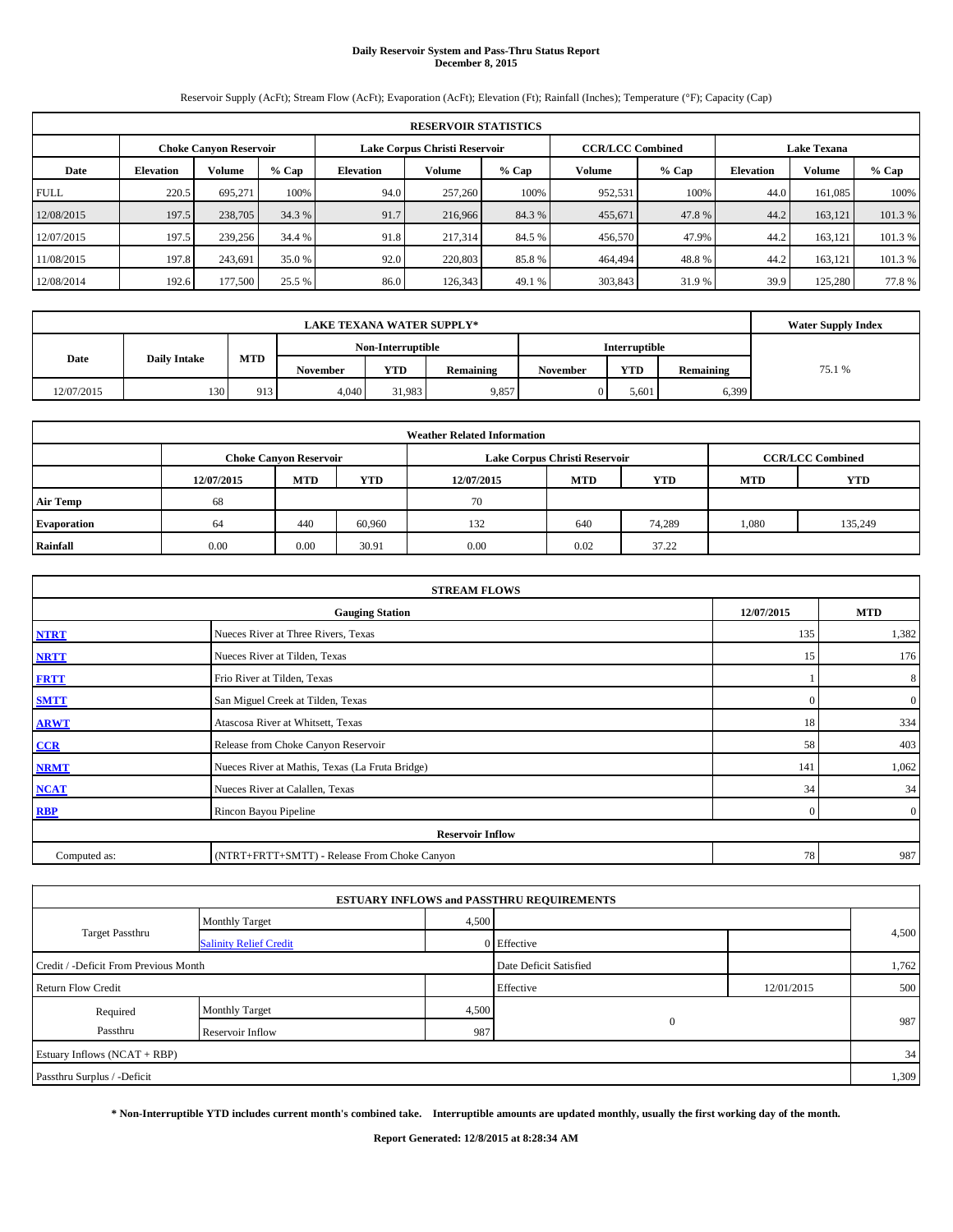# **Daily Reservoir System and Pass-Thru Status Report December 8, 2015**

Reservoir Supply (AcFt); Stream Flow (AcFt); Evaporation (AcFt); Elevation (Ft); Rainfall (Inches); Temperature (°F); Capacity (Cap)

|             | <b>RESERVOIR STATISTICS</b> |                               |         |                  |                               |         |                         |         |                  |                    |         |  |  |
|-------------|-----------------------------|-------------------------------|---------|------------------|-------------------------------|---------|-------------------------|---------|------------------|--------------------|---------|--|--|
|             |                             | <b>Choke Canyon Reservoir</b> |         |                  | Lake Corpus Christi Reservoir |         | <b>CCR/LCC Combined</b> |         |                  | <b>Lake Texana</b> |         |  |  |
| Date        | <b>Elevation</b>            | Volume                        | $%$ Cap | <b>Elevation</b> | Volume                        | $%$ Cap | Volume                  | $%$ Cap | <b>Elevation</b> | <b>Volume</b>      | $%$ Cap |  |  |
| <b>FULL</b> | 220.5                       | 695.271                       | 100%    | 94.0             | 257,260                       | 100%    | 952,531                 | 100%    | 44.0             | 161.085            | 100%    |  |  |
| 12/08/2015  | 197.5                       | 238,705                       | 34.3 %  | 91.7             | 216,966                       | 84.3 %  | 455,671                 | 47.8%   | 44.2             | 163.121            | 101.3%  |  |  |
| 12/07/2015  | 197.5                       | 239,256                       | 34.4 %  | 91.8             | 217,314                       | 84.5 %  | 456,570                 | 47.9%   | 44.2             | 163.121            | 101.3 % |  |  |
| 1/08/2015   | 197.8                       | 243.691                       | 35.0 %  | 92.0             | 220,803                       | 85.8%   | 464,494                 | 48.8%   | 44.2             | 163.121            | 101.3 % |  |  |
| 12/08/2014  | 192.6                       | 177,500                       | 25.5 %  | 86.0             | 126,343                       | 49.1 %  | 303,843                 | 31.9 %  | 39.9             | 125,280            | 77.8%   |  |  |

|            | <b>Water Supply Index</b> |            |          |                   |                  |                 |               |           |        |
|------------|---------------------------|------------|----------|-------------------|------------------|-----------------|---------------|-----------|--------|
|            |                           |            |          | Non-Interruptible |                  |                 | Interruptible |           |        |
| Date       | <b>Daily Intake</b>       | <b>MTD</b> | November | <b>YTD</b>        | <b>Remaining</b> | <b>November</b> | <b>YTD</b>    | Remaining | 75.1 % |
| 12/07/2015 | 130                       | 913        | 4,040    | 31.983            | 9,857            |                 | 5.601         | 6,399     |        |

| <b>Weather Related Information</b> |                                                                                           |            |        |            |            |            |            |            |  |  |  |  |  |
|------------------------------------|-------------------------------------------------------------------------------------------|------------|--------|------------|------------|------------|------------|------------|--|--|--|--|--|
|                                    | <b>CCR/LCC Combined</b><br>Lake Corpus Christi Reservoir<br><b>Choke Canyon Reservoir</b> |            |        |            |            |            |            |            |  |  |  |  |  |
|                                    | 12/07/2015                                                                                | <b>MTD</b> | YTD    | 12/07/2015 | <b>MTD</b> | <b>YTD</b> | <b>MTD</b> | <b>YTD</b> |  |  |  |  |  |
| <b>Air Temp</b>                    | 68                                                                                        |            |        | 70         |            |            |            |            |  |  |  |  |  |
| Evaporation                        | 64                                                                                        | 440        | 60,960 | 132        | 640        | 74,289     | 1,080      | 135,249    |  |  |  |  |  |
| Rainfall                           | 0.00                                                                                      | 0.00       | 30.91  | 0.00       | 0.02       | 37.22      |            |            |  |  |  |  |  |

|              | <b>STREAM FLOWS</b>                                |                |                  |  |  |  |  |  |  |  |
|--------------|----------------------------------------------------|----------------|------------------|--|--|--|--|--|--|--|
|              | 12/07/2015<br><b>MTD</b><br><b>Gauging Station</b> |                |                  |  |  |  |  |  |  |  |
| <b>NTRT</b>  | Nueces River at Three Rivers, Texas                | 135            | 1,382            |  |  |  |  |  |  |  |
| <b>NRTT</b>  | Nueces River at Tilden, Texas                      | 15             | 176              |  |  |  |  |  |  |  |
| <b>FRTT</b>  | Frio River at Tilden, Texas                        |                | 8                |  |  |  |  |  |  |  |
| <b>SMTT</b>  | San Miguel Creek at Tilden, Texas                  | $\Omega$       | $\boldsymbol{0}$ |  |  |  |  |  |  |  |
| <b>ARWT</b>  | Atascosa River at Whitsett, Texas                  | 18             | 334              |  |  |  |  |  |  |  |
| CCR          | Release from Choke Canyon Reservoir                | 58             | 403              |  |  |  |  |  |  |  |
| <b>NRMT</b>  | Nueces River at Mathis, Texas (La Fruta Bridge)    | 141            | 1,062            |  |  |  |  |  |  |  |
| <b>NCAT</b>  | Nueces River at Calallen, Texas                    | 34             | 34               |  |  |  |  |  |  |  |
| <b>RBP</b>   | Rincon Bayou Pipeline                              | $\overline{0}$ | $\overline{0}$   |  |  |  |  |  |  |  |
|              | <b>Reservoir Inflow</b>                            |                |                  |  |  |  |  |  |  |  |
| Computed as: | (NTRT+FRTT+SMTT) - Release From Choke Canyon       | 78             | 987              |  |  |  |  |  |  |  |

|                                       |                               |       | <b>ESTUARY INFLOWS and PASSTHRU REQUIREMENTS</b> |            |       |
|---------------------------------------|-------------------------------|-------|--------------------------------------------------|------------|-------|
|                                       | <b>Monthly Target</b>         | 4,500 |                                                  |            |       |
| <b>Target Passthru</b>                | <b>Salinity Relief Credit</b> |       | 0 Effective                                      |            | 4,500 |
| Credit / -Deficit From Previous Month |                               |       | Date Deficit Satisfied                           |            | 1,762 |
| <b>Return Flow Credit</b>             |                               |       | Effective                                        | 12/01/2015 | 500   |
| Required                              | <b>Monthly Target</b>         | 4,500 |                                                  |            |       |
| Passthru                              | Reservoir Inflow              | 987   | $\mathbf{0}$                                     |            | 987   |
| Estuary Inflows (NCAT + RBP)          |                               |       |                                                  |            | 34    |
| Passthru Surplus / -Deficit           |                               |       |                                                  |            | 1,309 |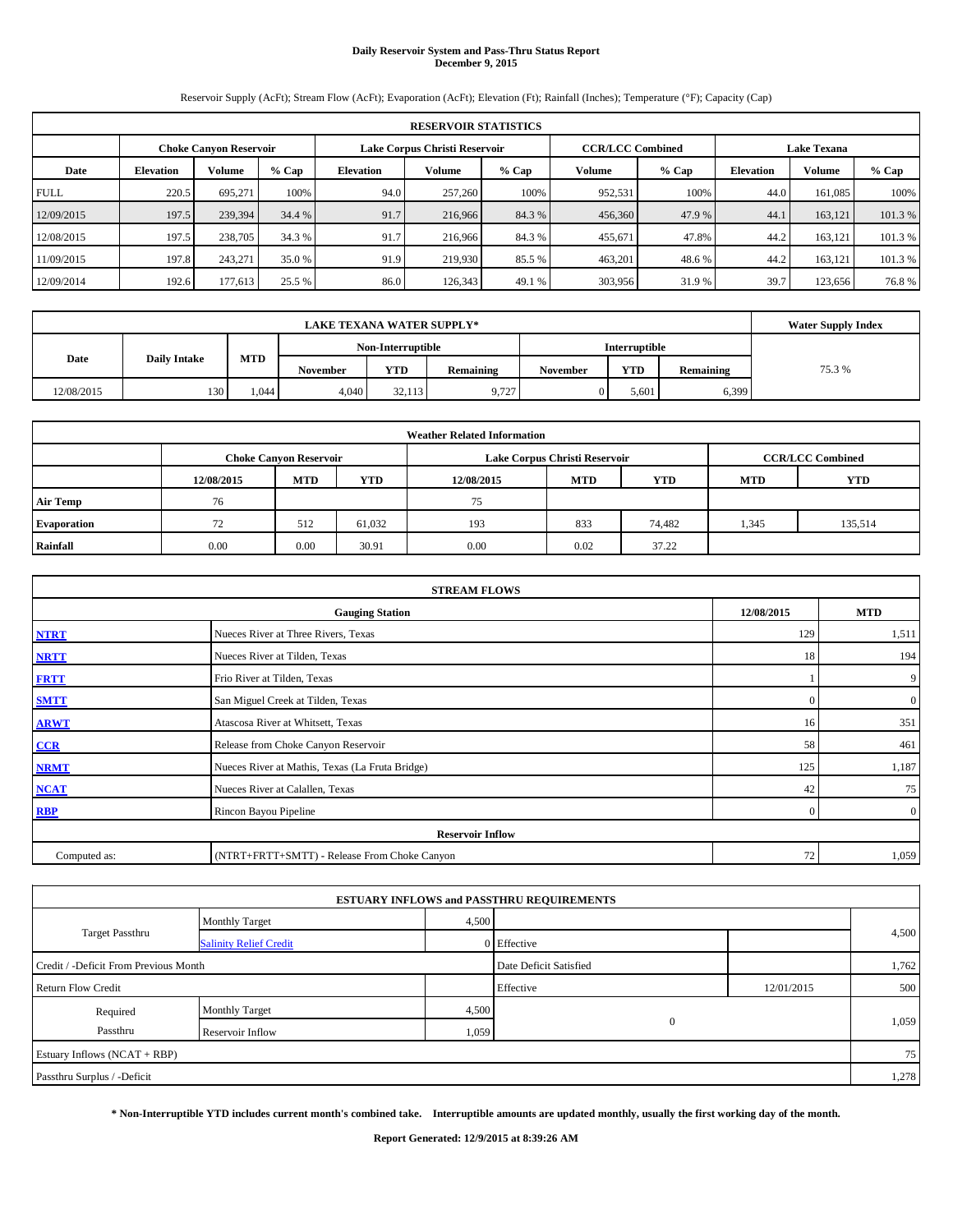#### **Daily Reservoir System and Pass-Thru Status Report December 9, 2015**

Reservoir Supply (AcFt); Stream Flow (AcFt); Evaporation (AcFt); Elevation (Ft); Rainfall (Inches); Temperature (°F); Capacity (Cap)

|             | <b>RESERVOIR STATISTICS</b>                                                                                     |         |         |                  |               |         |         |         |                  |         |         |  |  |  |  |
|-------------|-----------------------------------------------------------------------------------------------------------------|---------|---------|------------------|---------------|---------|---------|---------|------------------|---------|---------|--|--|--|--|
|             | <b>CCR/LCC Combined</b><br>Lake Corpus Christi Reservoir<br><b>Lake Texana</b><br><b>Choke Canyon Reservoir</b> |         |         |                  |               |         |         |         |                  |         |         |  |  |  |  |
| Date        | <b>Elevation</b>                                                                                                | Volume  | $%$ Cap | <b>Elevation</b> | <b>Volume</b> | $%$ Cap | Volume  | $%$ Cap | <b>Elevation</b> | Volume  | % Cap   |  |  |  |  |
| <b>FULL</b> | 220.5                                                                                                           | 695.271 | 100%    | 94.0             | 257,260       | 100%    | 952,531 | 100%    | 44.0             | 161,085 | 100%    |  |  |  |  |
| 12/09/2015  | 197.5                                                                                                           | 239,394 | 34.4 %  | 91.7             | 216,966       | 84.3 %  | 456,360 | 47.9 %  | 44.1             | 163.121 | 101.3%  |  |  |  |  |
| 12/08/2015  | 197.5                                                                                                           | 238,705 | 34.3 %  | 91.7             | 216,966       | 84.3 %  | 455,671 | 47.8%   | 44.2             | 163.121 | 101.3%  |  |  |  |  |
| 11/09/2015  | 197.8                                                                                                           | 243,271 | 35.0 %  | 91.9             | 219,930       | 85.5 %  | 463,201 | 48.6 %  | 44.2             | 163,121 | 101.3 % |  |  |  |  |
| 12/09/2014  | 192.6                                                                                                           | 177.613 | 25.5 %  | 86.0             | 126,343       | 49.1 %  | 303,956 | 31.9%   | 39.7             | 123,656 | 76.8%   |  |  |  |  |

|            | <b>Water Supply Index</b> |       |          |                   |           |                 |                      |           |        |
|------------|---------------------------|-------|----------|-------------------|-----------|-----------------|----------------------|-----------|--------|
|            |                           |       |          | Non-Interruptible |           |                 | <b>Interruptible</b> |           |        |
| Date       | <b>Daily Intake</b>       | MTD   | November | <b>YTD</b>        | Remaining | <b>November</b> | <b>YTD</b>           | Remaining | 75.3 % |
| 12/08/2015 | 130                       | 1.044 | 4.040    | 32.113            | 9.727     |                 | 5.601                | 6,399     |        |

|                 |            |                                                                                           |            | <b>Weather Related Information</b> |            |            |            |            |  |  |  |  |  |
|-----------------|------------|-------------------------------------------------------------------------------------------|------------|------------------------------------|------------|------------|------------|------------|--|--|--|--|--|
|                 |            | <b>CCR/LCC Combined</b><br>Lake Corpus Christi Reservoir<br><b>Choke Canyon Reservoir</b> |            |                                    |            |            |            |            |  |  |  |  |  |
|                 | 12/08/2015 | <b>MTD</b>                                                                                | <b>YTD</b> | 12/08/2015                         | <b>MTD</b> | <b>YTD</b> | <b>MTD</b> | <b>YTD</b> |  |  |  |  |  |
| <b>Air Temp</b> | 76         |                                                                                           |            | 75                                 |            |            |            |            |  |  |  |  |  |
| Evaporation     |            | 512                                                                                       | 61.032     | 193                                | 833        | 74,482     | 1,345      | 135,514    |  |  |  |  |  |
| Rainfall        | 0.00       | 0.00                                                                                      | 30.91      | 0.00                               | 0.02       | 37.22      |            |            |  |  |  |  |  |

|                                                    | <b>STREAM FLOWS</b>                             |              |                  |  |  |  |  |  |  |
|----------------------------------------------------|-------------------------------------------------|--------------|------------------|--|--|--|--|--|--|
| 12/08/2015<br><b>MTD</b><br><b>Gauging Station</b> |                                                 |              |                  |  |  |  |  |  |  |
| <b>NTRT</b>                                        | Nueces River at Three Rivers, Texas             | 129          | 1,511            |  |  |  |  |  |  |
| <b>NRTT</b>                                        | Nueces River at Tilden, Texas                   | 18           | 194              |  |  |  |  |  |  |
| <b>FRTT</b>                                        | Frio River at Tilden, Texas                     |              | 9                |  |  |  |  |  |  |
| <b>SMTT</b>                                        | San Miguel Creek at Tilden, Texas               | $\Omega$     | $\boldsymbol{0}$ |  |  |  |  |  |  |
| <b>ARWT</b>                                        | Atascosa River at Whitsett, Texas               | 16           | 351              |  |  |  |  |  |  |
| CCR                                                | Release from Choke Canyon Reservoir             | 58           | 461              |  |  |  |  |  |  |
| <b>NRMT</b>                                        | Nueces River at Mathis, Texas (La Fruta Bridge) | 125          | 1,187            |  |  |  |  |  |  |
| <b>NCAT</b>                                        | Nueces River at Calallen, Texas                 | 42           | 75               |  |  |  |  |  |  |
| <b>RBP</b>                                         | Rincon Bayou Pipeline                           | $\mathbf{0}$ | $\overline{0}$   |  |  |  |  |  |  |
|                                                    | <b>Reservoir Inflow</b>                         |              |                  |  |  |  |  |  |  |
| Computed as:                                       | (NTRT+FRTT+SMTT) - Release From Choke Canyon    | 72           | 1,059            |  |  |  |  |  |  |

|                                       |                               |       | <b>ESTUARY INFLOWS and PASSTHRU REQUIREMENTS</b> |            |       |
|---------------------------------------|-------------------------------|-------|--------------------------------------------------|------------|-------|
|                                       | <b>Monthly Target</b>         | 4,500 |                                                  |            |       |
| Target Passthru                       | <b>Salinity Relief Credit</b> |       | 0 Effective                                      |            | 4,500 |
| Credit / -Deficit From Previous Month |                               |       | Date Deficit Satisfied                           |            | 1,762 |
| <b>Return Flow Credit</b>             |                               |       | Effective                                        | 12/01/2015 | 500   |
| Required                              | <b>Monthly Target</b>         | 4,500 |                                                  |            |       |
| Passthru                              | Reservoir Inflow              | 1,059 | $\mathbf{0}$                                     |            | 1,059 |
| Estuary Inflows (NCAT + RBP)          |                               |       |                                                  |            | 75    |
| Passthru Surplus / -Deficit           |                               |       |                                                  |            | 1,278 |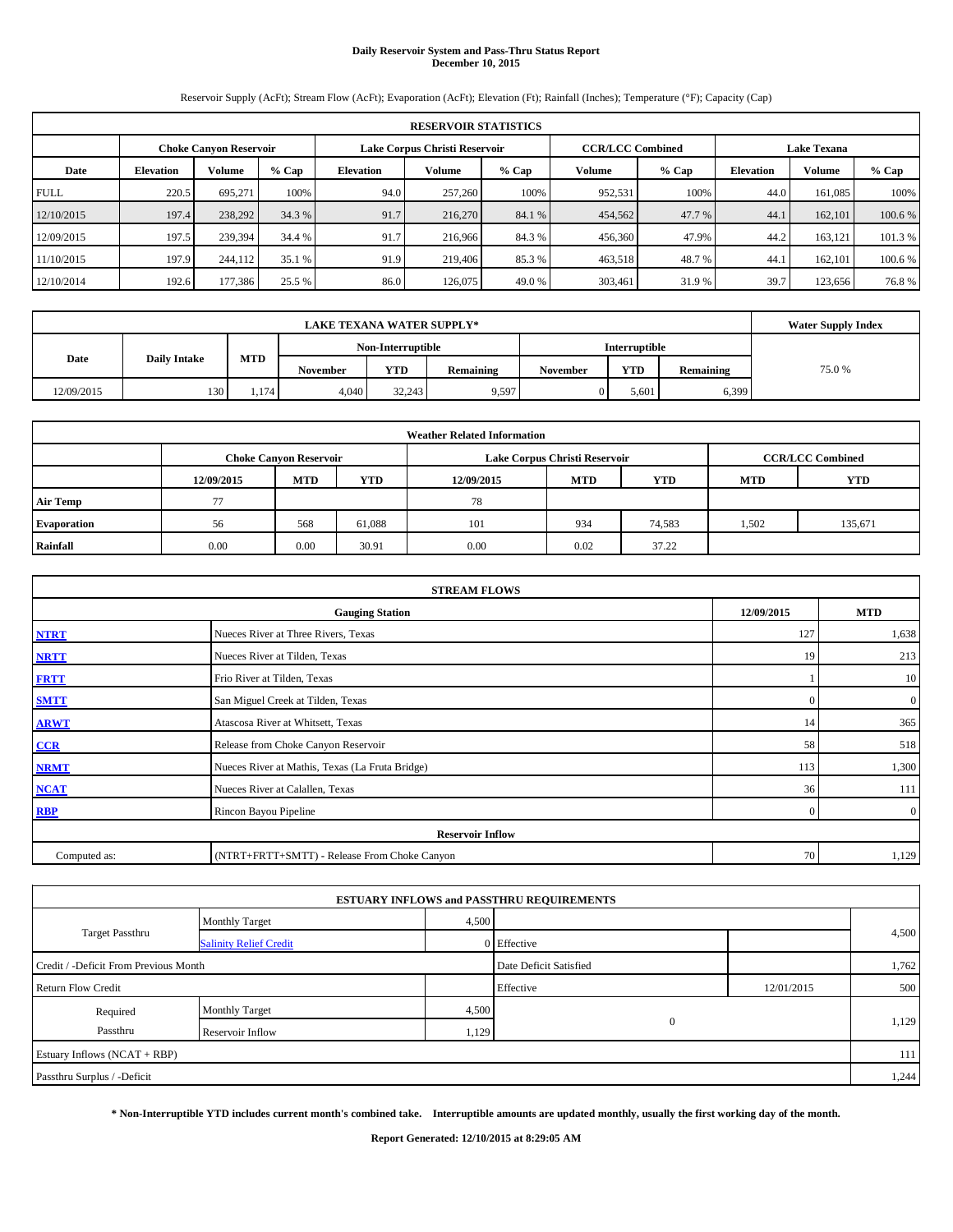# **Daily Reservoir System and Pass-Thru Status Report December 10, 2015**

Reservoir Supply (AcFt); Stream Flow (AcFt); Evaporation (AcFt); Elevation (Ft); Rainfall (Inches); Temperature (°F); Capacity (Cap)

|             | <b>RESERVOIR STATISTICS</b>                                                                                     |         |         |                  |         |         |         |         |                  |               |         |  |  |  |  |
|-------------|-----------------------------------------------------------------------------------------------------------------|---------|---------|------------------|---------|---------|---------|---------|------------------|---------------|---------|--|--|--|--|
|             | <b>CCR/LCC Combined</b><br>Lake Corpus Christi Reservoir<br><b>Choke Canyon Reservoir</b><br><b>Lake Texana</b> |         |         |                  |         |         |         |         |                  |               |         |  |  |  |  |
| Date        | <b>Elevation</b>                                                                                                | Volume  | $%$ Cap | <b>Elevation</b> | Volume  | $%$ Cap | Volume  | $%$ Cap | <b>Elevation</b> | <b>Volume</b> | $%$ Cap |  |  |  |  |
| <b>FULL</b> | 220.5                                                                                                           | 695.271 | 100%    | 94.0             | 257,260 | 100%    | 952,531 | 100%    | 44.0             | 161.085       | 100%    |  |  |  |  |
| 12/10/2015  | 197.4                                                                                                           | 238,292 | 34.3 %  | 91.7             | 216,270 | 84.1 %  | 454,562 | 47.7 %  | 44.1             | 162,101       | 100.6 % |  |  |  |  |
| 12/09/2015  | 197.5                                                                                                           | 239,394 | 34.4 %  | 91.7             | 216,966 | 84.3 %  | 456,360 | 47.9%   | 44.2             | 163.121       | 101.3 % |  |  |  |  |
| 11/10/2015  | 197.9                                                                                                           | 244,112 | 35.1 %  | 91.9             | 219,406 | 85.3%   | 463,518 | 48.7%   | 44.              | 162,101       | 100.6 % |  |  |  |  |
| 12/10/2014  | 192.6                                                                                                           | 177,386 | 25.5 %  | 86.0             | 126,075 | 49.0 %  | 303,461 | 31.9 %  | 39.7             | 123.656       | 76.8%   |  |  |  |  |

|            | <b>Water Supply Index</b> |       |                 |                   |           |          |                      |           |        |
|------------|---------------------------|-------|-----------------|-------------------|-----------|----------|----------------------|-----------|--------|
|            |                           |       |                 | Non-Interruptible |           |          | <b>Interruptible</b> |           |        |
| Date       | <b>Daily Intake</b>       | MTD   | <b>November</b> | <b>YTD</b>        | Remaining | November | <b>YTD</b>           | Remaining | 75.0 % |
| 12/09/2015 | 130                       | 1.174 | 4,040           | 32,243            | 9,597     | 0        | 5.601                | 6.399     |        |

| <b>Weather Related Information</b> |            |                                                                                           |            |            |            |            |            |         |  |  |  |  |  |
|------------------------------------|------------|-------------------------------------------------------------------------------------------|------------|------------|------------|------------|------------|---------|--|--|--|--|--|
|                                    |            | <b>CCR/LCC Combined</b><br>Lake Corpus Christi Reservoir<br><b>Choke Canyon Reservoir</b> |            |            |            |            |            |         |  |  |  |  |  |
|                                    | 12/09/2015 | <b>MTD</b>                                                                                | <b>YTD</b> | 12/09/2015 | <b>MTD</b> | <b>YTD</b> | <b>MTD</b> | YTD     |  |  |  |  |  |
| <b>Air Temp</b>                    |            |                                                                                           |            | 78         |            |            |            |         |  |  |  |  |  |
| Evaporation                        | 56         | 568                                                                                       | 61,088     | 101        | 934        | 74,583     | 1,502      | 135,671 |  |  |  |  |  |
| Rainfall                           | 0.00       | 0.00                                                                                      | 30.91      | 0.00       | 0.02       | 37.22      |            |         |  |  |  |  |  |

|              | <b>STREAM FLOWS</b>                             |                |                  |  |  |  |  |  |  |  |  |
|--------------|-------------------------------------------------|----------------|------------------|--|--|--|--|--|--|--|--|
|              | <b>Gauging Station</b>                          | 12/09/2015     | <b>MTD</b>       |  |  |  |  |  |  |  |  |
| <b>NTRT</b>  | Nueces River at Three Rivers, Texas             | 127            | 1,638            |  |  |  |  |  |  |  |  |
| <b>NRTT</b>  | Nueces River at Tilden, Texas                   | 19             | 213              |  |  |  |  |  |  |  |  |
| <b>FRTT</b>  | Frio River at Tilden, Texas                     |                | 10               |  |  |  |  |  |  |  |  |
| <b>SMTT</b>  | San Miguel Creek at Tilden, Texas               | $\Omega$       | $\boldsymbol{0}$ |  |  |  |  |  |  |  |  |
| <b>ARWT</b>  | Atascosa River at Whitsett, Texas               | 14             | 365              |  |  |  |  |  |  |  |  |
| CCR          | Release from Choke Canyon Reservoir             | 58             | 518              |  |  |  |  |  |  |  |  |
| <b>NRMT</b>  | Nueces River at Mathis, Texas (La Fruta Bridge) | 113            | 1,300            |  |  |  |  |  |  |  |  |
| <b>NCAT</b>  | Nueces River at Calallen, Texas                 | 36             | 111              |  |  |  |  |  |  |  |  |
| <b>RBP</b>   | Rincon Bayou Pipeline                           | $\overline{0}$ | $\overline{0}$   |  |  |  |  |  |  |  |  |
|              | <b>Reservoir Inflow</b>                         |                |                  |  |  |  |  |  |  |  |  |
| Computed as: | (NTRT+FRTT+SMTT) - Release From Choke Canyon    | 70             | 1,129            |  |  |  |  |  |  |  |  |

|                                       |                               |       | <b>ESTUARY INFLOWS and PASSTHRU REQUIREMENTS</b> |            |       |  |
|---------------------------------------|-------------------------------|-------|--------------------------------------------------|------------|-------|--|
|                                       | <b>Monthly Target</b>         | 4,500 |                                                  |            |       |  |
| <b>Target Passthru</b>                | <b>Salinity Relief Credit</b> |       | 0 Effective                                      |            | 4,500 |  |
| Credit / -Deficit From Previous Month |                               |       | Date Deficit Satisfied                           |            | 1,762 |  |
| <b>Return Flow Credit</b>             |                               |       | Effective                                        | 12/01/2015 | 500   |  |
| Required                              | <b>Monthly Target</b>         | 4,500 |                                                  |            |       |  |
| Passthru                              | Reservoir Inflow              | 1,129 | $\mathbf{0}$                                     |            | 1,129 |  |
| Estuary Inflows (NCAT + RBP)          |                               |       |                                                  |            | 111   |  |
| Passthru Surplus / -Deficit           |                               |       |                                                  |            | 1,244 |  |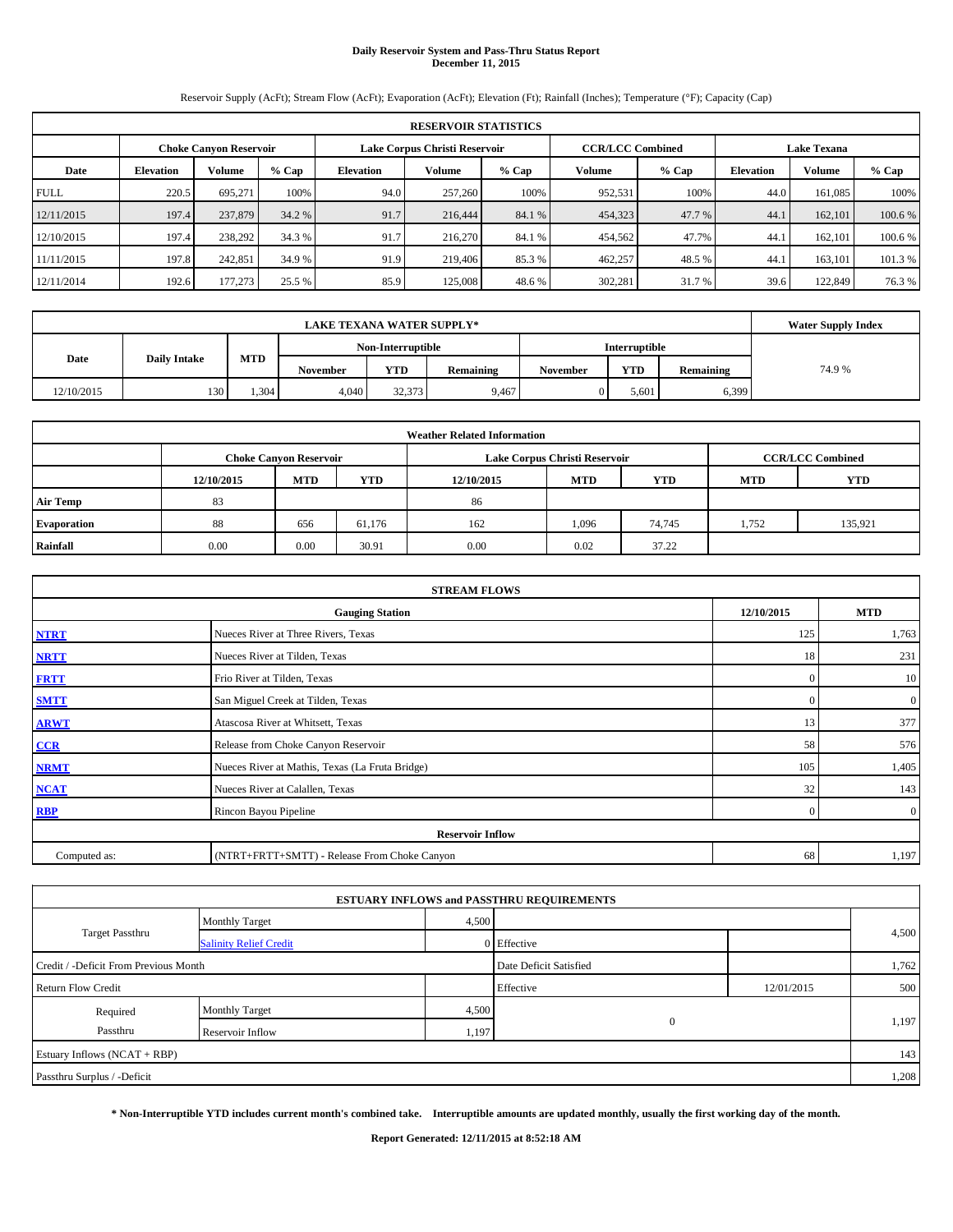# **Daily Reservoir System and Pass-Thru Status Report December 11, 2015**

Reservoir Supply (AcFt); Stream Flow (AcFt); Evaporation (AcFt); Elevation (Ft); Rainfall (Inches); Temperature (°F); Capacity (Cap)

|             | <b>RESERVOIR STATISTICS</b>                             |         |         |                  |                         |         |                    |         |                  |         |         |  |  |
|-------------|---------------------------------------------------------|---------|---------|------------------|-------------------------|---------|--------------------|---------|------------------|---------|---------|--|--|
|             | Lake Corpus Christi Reservoir<br>Choke Canvon Reservoir |         |         |                  | <b>CCR/LCC Combined</b> |         | <b>Lake Texana</b> |         |                  |         |         |  |  |
| Date        | <b>Elevation</b>                                        | Volume  | $%$ Cap | <b>Elevation</b> | Volume                  | $%$ Cap | <b>Volume</b>      | $%$ Cap | <b>Elevation</b> | Volume  | % Cap   |  |  |
| <b>FULL</b> | 220.5                                                   | 695.271 | 100%    | 94.0             | 257,260                 | 100%    | 952,531            | 100%    | 44.0             | 161.085 | 100%    |  |  |
| 12/11/2015  | 197.4                                                   | 237,879 | 34.2 %  | 91.7             | 216,444                 | 84.1 %  | 454,323            | 47.7 %  | 44.1             | 162,101 | 100.6 % |  |  |
| 12/10/2015  | 197.4                                                   | 238,292 | 34.3 %  | 91.7             | 216,270                 | 84.1 %  | 454,562            | 47.7%   | 44.1             | 162,101 | 100.6 % |  |  |
| 11/11/2015  | 197.8                                                   | 242,851 | 34.9 %  | 91.9             | 219,406                 | 85.3 %  | 462,257            | 48.5 %  | 44.              | 163.101 | 101.3 % |  |  |
| 12/11/2014  | 192.6                                                   | 177,273 | 25.5 %  | 85.9             | 125,008                 | 48.6 %  | 302,281            | 31.7 %  | 39.6             | 122,849 | 76.3 %  |  |  |

| <b>LAKE TEXANA WATER SUPPLY*</b> |                     |      |          |                   |           |                 |                      |           | <b>Water Supply Index</b> |
|----------------------------------|---------------------|------|----------|-------------------|-----------|-----------------|----------------------|-----------|---------------------------|
|                                  |                     |      |          | Non-Interruptible |           |                 | <b>Interruptible</b> |           |                           |
| Date                             | <b>Daily Intake</b> | MTD  | November | <b>YTD</b>        | Remaining | <b>November</b> | <b>YTD</b>           | Remaining | 74.9%                     |
| 12/10/2015                       | 130                 | .304 | 4,040    | 32,373            | 9.467     |                 | 5,601                | 6,399     |                           |

|                 | <b>Weather Related Information</b> |                               |        |            |                               |                         |            |            |  |  |  |
|-----------------|------------------------------------|-------------------------------|--------|------------|-------------------------------|-------------------------|------------|------------|--|--|--|
|                 |                                    | <b>Choke Canyon Reservoir</b> |        |            | Lake Corpus Christi Reservoir | <b>CCR/LCC Combined</b> |            |            |  |  |  |
|                 | 12/10/2015                         | <b>MTD</b>                    | YTD    | 12/10/2015 | <b>MTD</b>                    | <b>YTD</b>              | <b>MTD</b> | <b>YTD</b> |  |  |  |
| <b>Air Temp</b> | 83                                 |                               |        | 86         |                               |                         |            |            |  |  |  |
| Evaporation     | 88                                 | 656                           | 61,176 | 162        | 1,096                         | 74,745                  | 1,752      | 135,921    |  |  |  |
| Rainfall        | 0.00                               | 0.00                          | 30.91  | 0.00       | 0.02                          | 37.22                   |            |            |  |  |  |

|              | <b>STREAM FLOWS</b>                             |              |                |  |  |  |  |  |  |  |
|--------------|-------------------------------------------------|--------------|----------------|--|--|--|--|--|--|--|
|              | <b>Gauging Station</b>                          | 12/10/2015   | <b>MTD</b>     |  |  |  |  |  |  |  |
| <b>NTRT</b>  | Nueces River at Three Rivers, Texas             | 125          | 1,763          |  |  |  |  |  |  |  |
| <b>NRTT</b>  | Nueces River at Tilden, Texas                   | 18           | 231            |  |  |  |  |  |  |  |
| <b>FRTT</b>  | Frio River at Tilden, Texas                     | $\mathbf{0}$ | 10             |  |  |  |  |  |  |  |
| <b>SMTT</b>  | San Miguel Creek at Tilden, Texas               | $\mathbf{0}$ | $\mathbf{0}$   |  |  |  |  |  |  |  |
| <b>ARWT</b>  | Atascosa River at Whitsett, Texas               | 13           | 377            |  |  |  |  |  |  |  |
| CCR          | Release from Choke Canyon Reservoir             | 58           | 576            |  |  |  |  |  |  |  |
| <b>NRMT</b>  | Nueces River at Mathis, Texas (La Fruta Bridge) | 105          | 1,405          |  |  |  |  |  |  |  |
| <b>NCAT</b>  | Nueces River at Calallen, Texas                 | 32           | 143            |  |  |  |  |  |  |  |
| <b>RBP</b>   | Rincon Bayou Pipeline                           | $\Omega$     | $\overline{0}$ |  |  |  |  |  |  |  |
|              | <b>Reservoir Inflow</b>                         |              |                |  |  |  |  |  |  |  |
| Computed as: | (NTRT+FRTT+SMTT) - Release From Choke Canyon    | 68           | 1,197          |  |  |  |  |  |  |  |

|                                       |                               |       | <b>ESTUARY INFLOWS and PASSTHRU REQUIREMENTS</b> |            |       |
|---------------------------------------|-------------------------------|-------|--------------------------------------------------|------------|-------|
|                                       | <b>Monthly Target</b>         | 4,500 |                                                  |            |       |
| <b>Target Passthru</b>                | <b>Salinity Relief Credit</b> |       | 0 Effective                                      |            | 4,500 |
| Credit / -Deficit From Previous Month |                               |       | Date Deficit Satisfied                           |            | 1,762 |
| <b>Return Flow Credit</b>             |                               |       | Effective                                        | 12/01/2015 | 500   |
| Required                              | <b>Monthly Target</b>         | 4,500 |                                                  |            |       |
| Passthru                              | Reservoir Inflow              | 1,197 | $\mathbf{0}$                                     |            | 1,197 |
| Estuary Inflows (NCAT + RBP)          |                               |       |                                                  |            | 143   |
| Passthru Surplus / -Deficit           |                               |       |                                                  |            | 1,208 |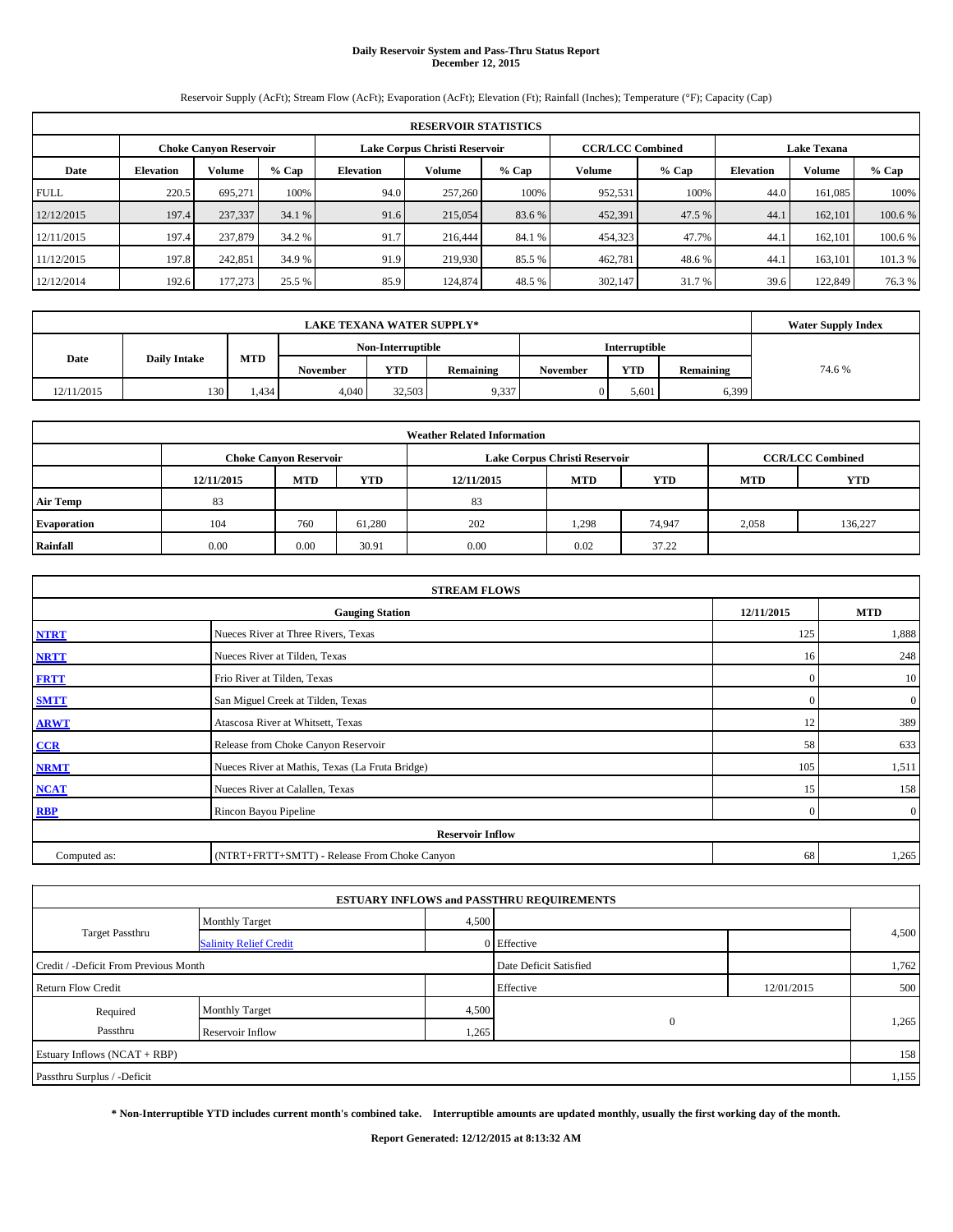# **Daily Reservoir System and Pass-Thru Status Report December 12, 2015**

Reservoir Supply (AcFt); Stream Flow (AcFt); Evaporation (AcFt); Elevation (Ft); Rainfall (Inches); Temperature (°F); Capacity (Cap)

|             | <b>RESERVOIR STATISTICS</b>                                    |         |         |                  |                         |         |                    |         |                  |               |         |  |
|-------------|----------------------------------------------------------------|---------|---------|------------------|-------------------------|---------|--------------------|---------|------------------|---------------|---------|--|
|             | Lake Corpus Christi Reservoir<br><b>Choke Canyon Reservoir</b> |         |         |                  | <b>CCR/LCC Combined</b> |         | <b>Lake Texana</b> |         |                  |               |         |  |
| Date        | <b>Elevation</b>                                               | Volume  | $%$ Cap | <b>Elevation</b> | Volume                  | $%$ Cap | Volume             | $%$ Cap | <b>Elevation</b> | <b>Volume</b> | $%$ Cap |  |
| <b>FULL</b> | 220.5                                                          | 695.271 | 100%    | 94.0             | 257,260                 | 100%    | 952,531            | 100%    | 44.0             | 161.085       | 100%    |  |
| 12/12/2015  | 197.4                                                          | 237,337 | 34.1 %  | 91.6             | 215,054                 | 83.6 %  | 452,391            | 47.5 %  | 44.1             | 162,101       | 100.6 % |  |
| 12/11/2015  | 197.4                                                          | 237,879 | 34.2 %  | 91.7             | 216,444                 | 84.1 %  | 454,323            | 47.7%   | 44.1             | 162,101       | 100.6 % |  |
| 11/12/2015  | 197.8                                                          | 242,851 | 34.9 %  | 91.9             | 219,930                 | 85.5 %  | 462,781            | 48.6%   | 44.              | 163.101       | 101.3 % |  |
| 12/12/2014  | 192.6                                                          | 177,273 | 25.5 %  | 85.9             | 124,874                 | 48.5 %  | 302,147            | 31.7 %  | 39.6             | 122,849       | 76.3 %  |  |

|            | <b>Water Supply Index</b> |       |                 |                   |           |          |                      |           |       |
|------------|---------------------------|-------|-----------------|-------------------|-----------|----------|----------------------|-----------|-------|
|            |                           |       |                 | Non-Interruptible |           |          | <b>Interruptible</b> |           |       |
| Date       | <b>Daily Intake</b>       | MTD   | <b>November</b> | <b>YTD</b>        | Remaining | November | <b>YTD</b>           | Remaining | 74.6% |
| 12/11/2015 | 130                       | 1,434 | 4,040           | 32,503            | 9,337     | 0        | 5.601                | 6,399     |       |

|                 | <b>Weather Related Information</b> |                               |        |            |                               |                         |            |            |  |  |  |
|-----------------|------------------------------------|-------------------------------|--------|------------|-------------------------------|-------------------------|------------|------------|--|--|--|
|                 |                                    | <b>Choke Canyon Reservoir</b> |        |            | Lake Corpus Christi Reservoir | <b>CCR/LCC Combined</b> |            |            |  |  |  |
|                 | 12/11/2015                         | <b>MTD</b>                    | YTD    | 12/11/2015 | <b>MTD</b>                    | <b>YTD</b>              | <b>MTD</b> | <b>YTD</b> |  |  |  |
| <b>Air Temp</b> | 83                                 |                               |        | 83         |                               |                         |            |            |  |  |  |
| Evaporation     | 104                                | 760                           | 61,280 | 202        | 1,298                         | 74,947                  | 2,058      | 136,227    |  |  |  |
| Rainfall        | 0.00                               | 0.00                          | 30.91  | 0.00       | 0.02                          | 37.22                   |            |            |  |  |  |

|              | <b>STREAM FLOWS</b>                             |              |                |  |  |  |  |  |  |  |
|--------------|-------------------------------------------------|--------------|----------------|--|--|--|--|--|--|--|
|              | <b>Gauging Station</b>                          | 12/11/2015   | <b>MTD</b>     |  |  |  |  |  |  |  |
| <b>NTRT</b>  | Nueces River at Three Rivers, Texas             | 125          | 1,888          |  |  |  |  |  |  |  |
| <b>NRTT</b>  | Nueces River at Tilden, Texas                   | 16           | 248            |  |  |  |  |  |  |  |
| <b>FRTT</b>  | Frio River at Tilden, Texas                     | $\mathbf{0}$ | 10             |  |  |  |  |  |  |  |
| <b>SMTT</b>  | San Miguel Creek at Tilden, Texas               | $\mathbf{0}$ | $\mathbf{0}$   |  |  |  |  |  |  |  |
| <b>ARWT</b>  | Atascosa River at Whitsett, Texas               | 12           | 389            |  |  |  |  |  |  |  |
| CCR          | Release from Choke Canyon Reservoir             | 58           | 633            |  |  |  |  |  |  |  |
| <b>NRMT</b>  | Nueces River at Mathis, Texas (La Fruta Bridge) | 105          | 1,511          |  |  |  |  |  |  |  |
| <b>NCAT</b>  | Nueces River at Calallen, Texas                 | 15           | 158            |  |  |  |  |  |  |  |
| <b>RBP</b>   | Rincon Bayou Pipeline                           | $\Omega$     | $\overline{0}$ |  |  |  |  |  |  |  |
|              | <b>Reservoir Inflow</b>                         |              |                |  |  |  |  |  |  |  |
| Computed as: | (NTRT+FRTT+SMTT) - Release From Choke Canyon    | 68           | 1,265          |  |  |  |  |  |  |  |

|                                       |                               |       | <b>ESTUARY INFLOWS and PASSTHRU REQUIREMENTS</b> |            |       |
|---------------------------------------|-------------------------------|-------|--------------------------------------------------|------------|-------|
|                                       | <b>Monthly Target</b>         | 4,500 |                                                  |            |       |
| <b>Target Passthru</b>                | <b>Salinity Relief Credit</b> |       | 0 Effective                                      |            | 4,500 |
| Credit / -Deficit From Previous Month |                               |       | Date Deficit Satisfied                           |            | 1,762 |
| <b>Return Flow Credit</b>             |                               |       | Effective                                        | 12/01/2015 | 500   |
| Required                              | <b>Monthly Target</b>         | 4,500 |                                                  |            |       |
| Passthru                              | Reservoir Inflow              | 1,265 | $\mathbf{0}$                                     |            | 1,265 |
| Estuary Inflows (NCAT + RBP)          |                               |       |                                                  |            | 158   |
| Passthru Surplus / -Deficit           |                               |       |                                                  |            | 1,155 |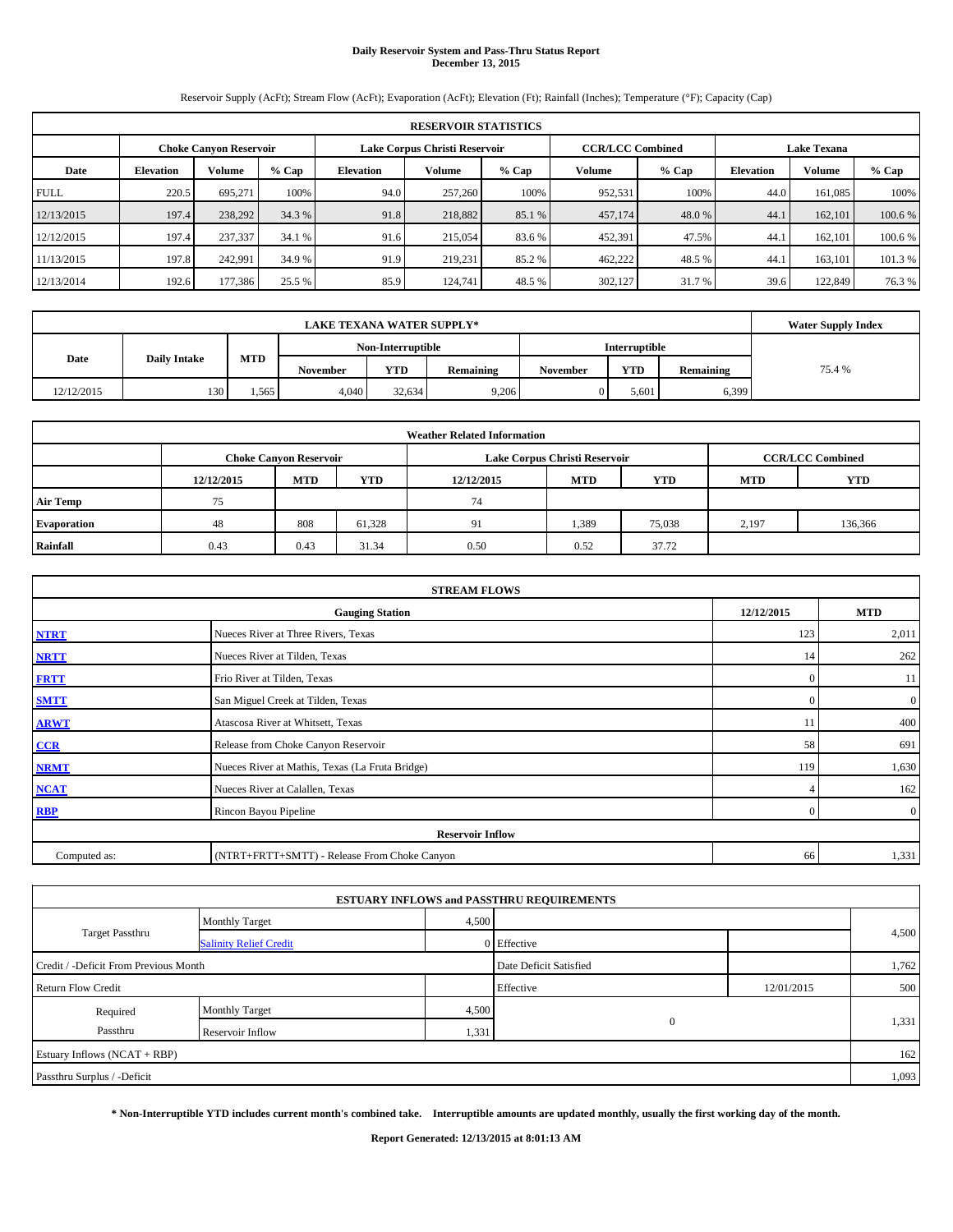# **Daily Reservoir System and Pass-Thru Status Report December 13, 2015**

Reservoir Supply (AcFt); Stream Flow (AcFt); Evaporation (AcFt); Elevation (Ft); Rainfall (Inches); Temperature (°F); Capacity (Cap)

| <b>RESERVOIR STATISTICS</b> |                  |                               |         |                                               |         |         |         |         |                  |               |         |
|-----------------------------|------------------|-------------------------------|---------|-----------------------------------------------|---------|---------|---------|---------|------------------|---------------|---------|
|                             |                  | <b>Choke Canyon Reservoir</b> |         | <b>CCR/LCC Combined</b><br><b>Lake Texana</b> |         |         |         |         |                  |               |         |
| Date                        | <b>Elevation</b> | Volume                        | $%$ Cap | <b>Elevation</b>                              | Volume  | $%$ Cap | Volume  | $%$ Cap | <b>Elevation</b> | <b>Volume</b> | $%$ Cap |
| <b>FULL</b>                 | 220.5            | 695.271                       | 100%    | 94.0                                          | 257,260 | 100%    | 952,531 | 100%    | 44.0             | 161.085       | 100%    |
| 12/13/2015                  | 197.4            | 238,292                       | 34.3 %  | 91.8                                          | 218,882 | 85.1 %  | 457,174 | 48.0%   | 44.1             | 162,101       | 100.6 % |
| 12/12/2015                  | 197.4            | 237,337                       | 34.1 %  | 91.6                                          | 215,054 | 83.6 %  | 452,391 | 47.5%   | 44.1             | 162,101       | 100.6 % |
| 11/13/2015                  | 197.8            | 242,991                       | 34.9 %  | 91.9                                          | 219.231 | 85.2%   | 462,222 | 48.5%   | 44.              | 163.101       | 101.3 % |
| 12/13/2014                  | 192.6            | 177,386                       | 25.5 %  | 85.9                                          | 124,741 | 48.5 %  | 302,127 | 31.7 %  | 39.6             | 122,849       | 76.3%   |

|                             | <b>LAKE TEXANA WATER SUPPLY*</b> |       |                 |                   |           |          |                      |           |        |  |  |  |
|-----------------------------|----------------------------------|-------|-----------------|-------------------|-----------|----------|----------------------|-----------|--------|--|--|--|
|                             |                                  |       |                 | Non-Interruptible |           |          | <b>Interruptible</b> |           |        |  |  |  |
| Date<br><b>Daily Intake</b> |                                  | MTD   | <b>November</b> | <b>YTD</b>        | Remaining | November | <b>YTD</b>           | Remaining | 75.4 % |  |  |  |
| 12/12/2015                  | 130                              | 1,565 | 4.040           | 32.634            | 9.206     | 0        | 5.601                | 6,399     |        |  |  |  |

| <b>Weather Related Information</b> |            |                               |        |            |                               |                         |       |         |  |  |  |
|------------------------------------|------------|-------------------------------|--------|------------|-------------------------------|-------------------------|-------|---------|--|--|--|
|                                    |            | <b>Choke Canyon Reservoir</b> |        |            | Lake Corpus Christi Reservoir | <b>CCR/LCC Combined</b> |       |         |  |  |  |
|                                    | 12/12/2015 | <b>MTD</b>                    | YTD    | 12/12/2015 | <b>MTD</b>                    | <b>YTD</b>              |       |         |  |  |  |
| <b>Air Temp</b>                    | 75         |                               |        | 74         |                               |                         |       |         |  |  |  |
| Evaporation                        | 48         | 808                           | 61,328 | 91         | 1,389                         | 75,038                  | 2,197 | 136,366 |  |  |  |
| Rainfall                           | 0.43       | 0.43                          | 31.34  | 0.50       | 0.52                          | 37.72                   |       |         |  |  |  |

| <b>STREAM FLOWS</b>                                |                                                 |                |                  |  |  |  |  |  |  |
|----------------------------------------------------|-------------------------------------------------|----------------|------------------|--|--|--|--|--|--|
| 12/12/2015<br><b>MTD</b><br><b>Gauging Station</b> |                                                 |                |                  |  |  |  |  |  |  |
| <b>NTRT</b>                                        | Nueces River at Three Rivers, Texas             | 123            | 2,011            |  |  |  |  |  |  |
| <b>NRTT</b>                                        | Nueces River at Tilden, Texas                   | 14             | 262              |  |  |  |  |  |  |
| <b>FRTT</b>                                        | Frio River at Tilden, Texas                     | $\mathbf{0}$   | 11               |  |  |  |  |  |  |
| <b>SMTT</b>                                        | San Miguel Creek at Tilden, Texas               | $\Omega$       | $\boldsymbol{0}$ |  |  |  |  |  |  |
| <b>ARWT</b>                                        | Atascosa River at Whitsett, Texas               | 11             | 400              |  |  |  |  |  |  |
| CCR                                                | Release from Choke Canyon Reservoir             | 58             | 691              |  |  |  |  |  |  |
| <b>NRMT</b>                                        | Nueces River at Mathis, Texas (La Fruta Bridge) | 119            | 1,630            |  |  |  |  |  |  |
| <b>NCAT</b>                                        | Nueces River at Calallen, Texas                 | 4              | 162              |  |  |  |  |  |  |
| <b>RBP</b>                                         | Rincon Bayou Pipeline                           | $\overline{0}$ | $\overline{0}$   |  |  |  |  |  |  |
| <b>Reservoir Inflow</b>                            |                                                 |                |                  |  |  |  |  |  |  |
| Computed as:                                       | (NTRT+FRTT+SMTT) - Release From Choke Canyon    |                |                  |  |  |  |  |  |  |

|                                                       |                               |       | <b>ESTUARY INFLOWS and PASSTHRU REQUIREMENTS</b> |            |       |  |
|-------------------------------------------------------|-------------------------------|-------|--------------------------------------------------|------------|-------|--|
|                                                       | <b>Monthly Target</b>         | 4,500 |                                                  |            |       |  |
| <b>Target Passthru</b>                                | <b>Salinity Relief Credit</b> |       | 0 Effective                                      |            | 4,500 |  |
| Credit / -Deficit From Previous Month                 |                               |       | Date Deficit Satisfied                           |            | 1,762 |  |
| <b>Return Flow Credit</b>                             |                               |       | Effective                                        | 12/01/2015 | 500   |  |
| Required                                              | <b>Monthly Target</b>         | 4,500 |                                                  |            | 1,331 |  |
| $\mathbf{0}$<br>Passthru<br>Reservoir Inflow<br>1,331 |                               |       |                                                  |            |       |  |
| Estuary Inflows (NCAT + RBP)                          |                               |       |                                                  |            | 162   |  |
| Passthru Surplus / -Deficit                           |                               |       |                                                  |            | 1,093 |  |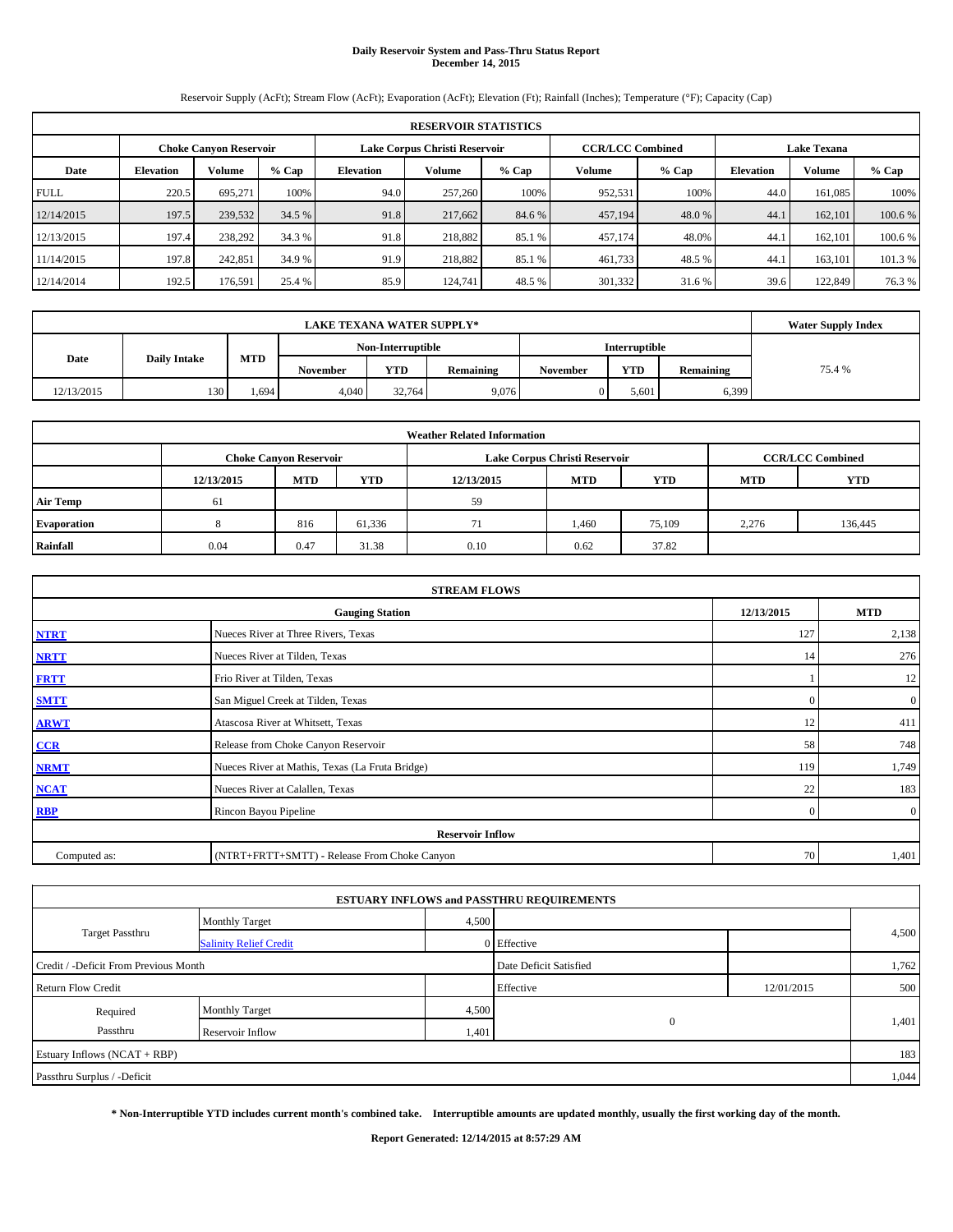# **Daily Reservoir System and Pass-Thru Status Report December 14, 2015**

Reservoir Supply (AcFt); Stream Flow (AcFt); Evaporation (AcFt); Elevation (Ft); Rainfall (Inches); Temperature (°F); Capacity (Cap)

| <b>RESERVOIR STATISTICS</b> |                                                                                                                 |         |         |                  |         |         |         |         |                  |               |         |
|-----------------------------|-----------------------------------------------------------------------------------------------------------------|---------|---------|------------------|---------|---------|---------|---------|------------------|---------------|---------|
|                             | <b>CCR/LCC Combined</b><br>Lake Corpus Christi Reservoir<br><b>Choke Canyon Reservoir</b><br><b>Lake Texana</b> |         |         |                  |         |         |         |         |                  |               |         |
| Date                        | <b>Elevation</b>                                                                                                | Volume  | $%$ Cap | <b>Elevation</b> | Volume  | $%$ Cap | Volume  | $%$ Cap | <b>Elevation</b> | <b>Volume</b> | $%$ Cap |
| <b>FULL</b>                 | 220.5                                                                                                           | 695.271 | 100%    | 94.0             | 257,260 | 100%    | 952,531 | 100%    | 44.0             | 161.085       | 100%    |
| 12/14/2015                  | 197.5                                                                                                           | 239,532 | 34.5 %  | 91.8             | 217,662 | 84.6 %  | 457,194 | 48.0%   | 44.1             | 162,101       | 100.6 % |
| 12/13/2015                  | 197.4                                                                                                           | 238,292 | 34.3 %  | 91.8             | 218,882 | 85.1 %  | 457.174 | 48.0%   | 44.1             | 162,101       | 100.6 % |
| 11/14/2015                  | 197.8                                                                                                           | 242,851 | 34.9 %  | 91.9             | 218,882 | 85.1 %  | 461,733 | 48.5%   | 44.              | 163.101       | 101.3 % |
| 12/14/2014                  | 192.5                                                                                                           | 176,591 | 25.4 %  | 85.9             | 124,741 | 48.5 %  | 301,332 | 31.6%   | 39.6             | 122,849       | 76.3 %  |

|            | <b>Water Supply Index</b> |       |          |                   |           |                 |                      |                  |        |
|------------|---------------------------|-------|----------|-------------------|-----------|-----------------|----------------------|------------------|--------|
|            |                           |       |          | Non-Interruptible |           |                 | <b>Interruptible</b> |                  |        |
| Date       | <b>Daily Intake</b>       | MTD   | November | <b>YTD</b>        | Remaining | <b>November</b> | <b>YTD</b>           | <b>Remaining</b> | 75.4 % |
| 12/13/2015 | 130                       | .,694 | 4,040    | 32.764            | 9,076     |                 | 5,601                | 6,399            |        |

| <b>Weather Related Information</b> |            |                               |        |            |                               |                         |       |         |  |  |  |
|------------------------------------|------------|-------------------------------|--------|------------|-------------------------------|-------------------------|-------|---------|--|--|--|
|                                    |            | <b>Choke Canyon Reservoir</b> |        |            | Lake Corpus Christi Reservoir | <b>CCR/LCC Combined</b> |       |         |  |  |  |
|                                    | 12/13/2015 | <b>MTD</b>                    | YTD    | 12/13/2015 | <b>MTD</b>                    | <b>YTD</b>              |       |         |  |  |  |
| <b>Air Temp</b>                    | 61         |                               |        | 59         |                               |                         |       |         |  |  |  |
| Evaporation                        |            | 816                           | 61,336 | 71         | 1.460                         | 75,109                  | 2,276 | 136,445 |  |  |  |
| Rainfall                           | 0.04       | 0.47                          | 31.38  | 0.10       | 0.62                          | 37.82                   |       |         |  |  |  |

| <b>STREAM FLOWS</b>                                |                                                 |                |                  |  |  |  |  |  |  |
|----------------------------------------------------|-------------------------------------------------|----------------|------------------|--|--|--|--|--|--|
| 12/13/2015<br><b>MTD</b><br><b>Gauging Station</b> |                                                 |                |                  |  |  |  |  |  |  |
| <b>NTRT</b>                                        | Nueces River at Three Rivers, Texas             | 127            | 2,138            |  |  |  |  |  |  |
| <b>NRTT</b>                                        | Nueces River at Tilden, Texas                   | 14             | 276              |  |  |  |  |  |  |
| <b>FRTT</b>                                        | Frio River at Tilden, Texas                     |                | 12               |  |  |  |  |  |  |
| <b>SMTT</b>                                        | San Miguel Creek at Tilden, Texas               | $\Omega$       | $\boldsymbol{0}$ |  |  |  |  |  |  |
| <b>ARWT</b>                                        | Atascosa River at Whitsett, Texas               | 12             | 411              |  |  |  |  |  |  |
| CCR                                                | Release from Choke Canyon Reservoir             | 58             | 748              |  |  |  |  |  |  |
| <b>NRMT</b>                                        | Nueces River at Mathis, Texas (La Fruta Bridge) | 119            | 1,749            |  |  |  |  |  |  |
| <b>NCAT</b>                                        | Nueces River at Calallen, Texas                 | 22             | 183              |  |  |  |  |  |  |
| <b>RBP</b>                                         | Rincon Bayou Pipeline                           | $\overline{0}$ | $\overline{0}$   |  |  |  |  |  |  |
| <b>Reservoir Inflow</b>                            |                                                 |                |                  |  |  |  |  |  |  |
| Computed as:                                       | (NTRT+FRTT+SMTT) - Release From Choke Canyon    |                |                  |  |  |  |  |  |  |

|                                                       |                               |       | <b>ESTUARY INFLOWS and PASSTHRU REQUIREMENTS</b> |            |       |  |
|-------------------------------------------------------|-------------------------------|-------|--------------------------------------------------|------------|-------|--|
|                                                       | <b>Monthly Target</b>         | 4,500 |                                                  |            |       |  |
| Target Passthru                                       | <b>Salinity Relief Credit</b> |       | 0 Effective                                      |            | 4,500 |  |
| Credit / -Deficit From Previous Month                 |                               |       | Date Deficit Satisfied                           |            | 1,762 |  |
| <b>Return Flow Credit</b>                             |                               |       | Effective                                        | 12/01/2015 | 500   |  |
| Required                                              | <b>Monthly Target</b>         | 4,500 |                                                  |            | 1,401 |  |
| $\mathbf{0}$<br>Passthru<br>1,401<br>Reservoir Inflow |                               |       |                                                  |            |       |  |
| Estuary Inflows (NCAT + RBP)                          |                               |       |                                                  |            | 183   |  |
| Passthru Surplus / -Deficit                           |                               |       |                                                  |            | 1,044 |  |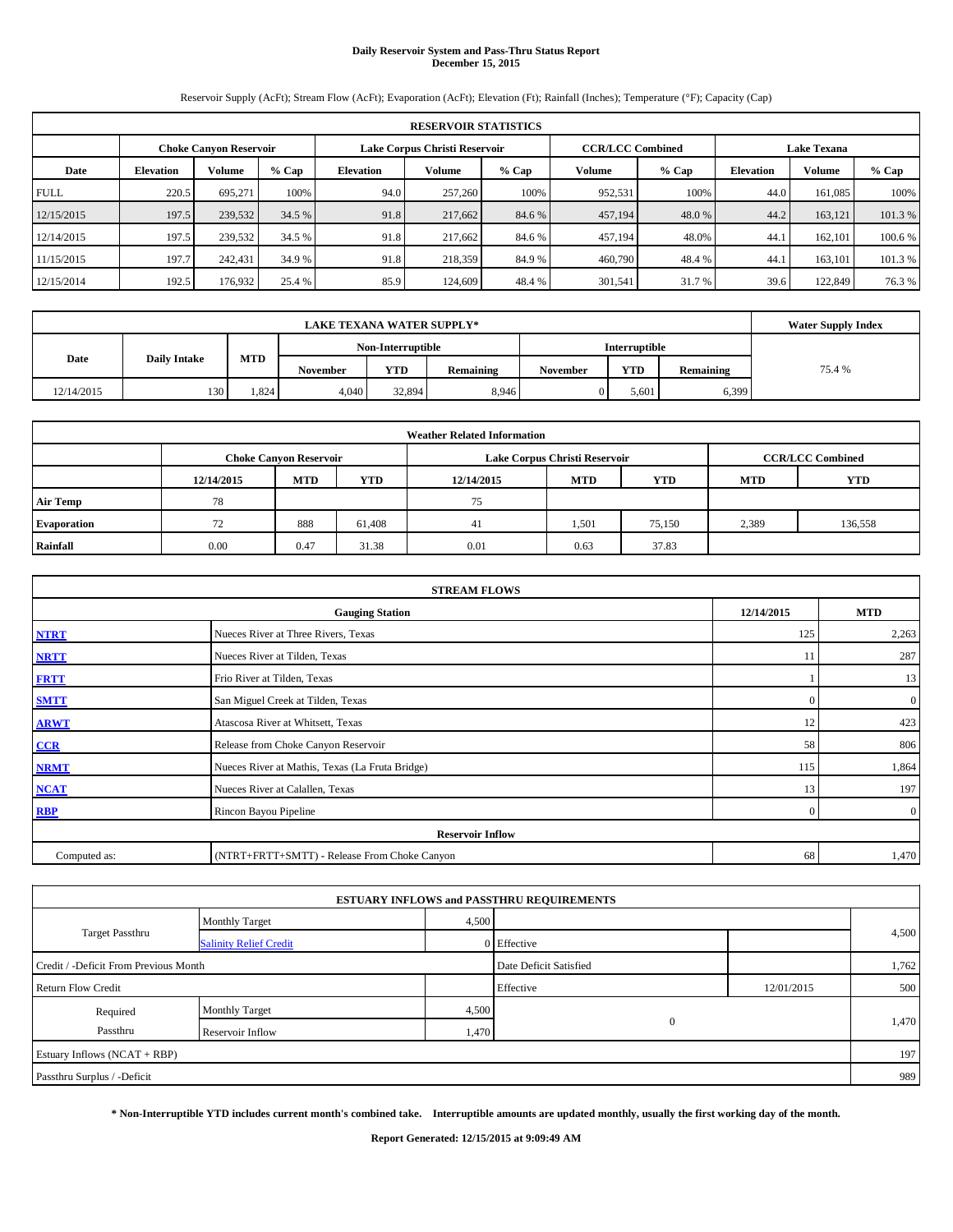# **Daily Reservoir System and Pass-Thru Status Report December 15, 2015**

Reservoir Supply (AcFt); Stream Flow (AcFt); Evaporation (AcFt); Elevation (Ft); Rainfall (Inches); Temperature (°F); Capacity (Cap)

| <b>RESERVOIR STATISTICS</b> |                                                                                                          |         |         |                  |         |         |               |         |                  |         |         |
|-----------------------------|----------------------------------------------------------------------------------------------------------|---------|---------|------------------|---------|---------|---------------|---------|------------------|---------|---------|
|                             | <b>CCR/LCC Combined</b><br>Lake Corpus Christi Reservoir<br><b>Lake Texana</b><br>Choke Canvon Reservoir |         |         |                  |         |         |               |         |                  |         |         |
| Date                        | <b>Elevation</b>                                                                                         | Volume  | $%$ Cap | <b>Elevation</b> | Volume  | $%$ Cap | <b>Volume</b> | $%$ Cap | <b>Elevation</b> | Volume  | % Cap   |
| <b>FULL</b>                 | 220.5                                                                                                    | 695.271 | 100%    | 94.0             | 257,260 | 100%    | 952,531       | 100%    | 44.0             | 161.085 | 100%    |
| 12/15/2015                  | 197.5                                                                                                    | 239,532 | 34.5 %  | 91.8             | 217,662 | 84.6 %  | 457,194       | 48.0%   | 44.2             | 163.121 | 101.3%  |
| 12/14/2015                  | 197.5                                                                                                    | 239,532 | 34.5 %  | 91.8             | 217,662 | 84.6 %  | 457.194       | 48.0%   | 44.1             | 162,101 | 100.6 % |
| 11/15/2015                  | 197.7                                                                                                    | 242,431 | 34.9 %  | 91.8             | 218,359 | 84.9 %  | 460,790       | 48.4%   | 44.              | 163,101 | 101.3 % |
| 12/15/2014                  | 192.5                                                                                                    | 176,932 | 25.4 %  | 85.9             | 124,609 | 48.4 %  | 301,541       | 31.7 %  | 39.6             | 122,849 | 76.3 %  |

|            | <b>Water Supply Index</b> |      |          |                   |           |                 |                      |           |        |
|------------|---------------------------|------|----------|-------------------|-----------|-----------------|----------------------|-----------|--------|
|            |                           |      |          | Non-Interruptible |           |                 | <b>Interruptible</b> |           |        |
| Date       | <b>Daily Intake</b>       | MTD  | November | <b>YTD</b>        | Remaining | <b>November</b> | <b>YTD</b>           | Remaining | 75.4 % |
| 12/14/2015 | 130                       | .824 | 4.040    | 32.894            | 8.946     |                 | 5.601                | 6,399     |        |

| <b>Weather Related Information</b> |            |                               |            |            |                               |                         |            |         |  |  |
|------------------------------------|------------|-------------------------------|------------|------------|-------------------------------|-------------------------|------------|---------|--|--|
|                                    |            | <b>Choke Canyon Reservoir</b> |            |            | Lake Corpus Christi Reservoir | <b>CCR/LCC Combined</b> |            |         |  |  |
|                                    | 12/14/2015 | <b>MTD</b>                    | <b>YTD</b> | 12/14/2015 | <b>MTD</b>                    | <b>YTD</b>              | <b>MTD</b> | YTD     |  |  |
| <b>Air Temp</b>                    | 78         |                               |            | 75         |                               |                         |            |         |  |  |
| Evaporation                        | 72         | 888                           | 61,408     | 41         | 1,501                         | 75,150                  | 2,389      | 136,558 |  |  |
| Rainfall                           | 0.00       | 0.47                          | 31.38      | 0.01       | 0.63                          | 37.83                   |            |         |  |  |

| <b>STREAM FLOWS</b> |                                                 |            |                |  |  |  |  |  |  |  |
|---------------------|-------------------------------------------------|------------|----------------|--|--|--|--|--|--|--|
|                     | <b>Gauging Station</b>                          | 12/14/2015 | <b>MTD</b>     |  |  |  |  |  |  |  |
| <b>NTRT</b>         | Nueces River at Three Rivers, Texas             | 125        | 2,263          |  |  |  |  |  |  |  |
| <b>NRTT</b>         | Nueces River at Tilden, Texas                   | 11         | 287            |  |  |  |  |  |  |  |
| <b>FRTT</b>         | Frio River at Tilden, Texas                     |            | 13             |  |  |  |  |  |  |  |
| <b>SMTT</b>         | San Miguel Creek at Tilden, Texas               | $\Omega$   | $\mathbf{0}$   |  |  |  |  |  |  |  |
| <b>ARWT</b>         | Atascosa River at Whitsett, Texas               | 12         | 423            |  |  |  |  |  |  |  |
| CCR                 | Release from Choke Canyon Reservoir             | 58         | 806            |  |  |  |  |  |  |  |
| <b>NRMT</b>         | Nueces River at Mathis, Texas (La Fruta Bridge) | 115        | 1,864          |  |  |  |  |  |  |  |
| <b>NCAT</b>         | Nueces River at Calallen, Texas                 | 13         | 197            |  |  |  |  |  |  |  |
| <b>RBP</b>          | Rincon Bayou Pipeline                           | $\Omega$   | $\overline{0}$ |  |  |  |  |  |  |  |
|                     | <b>Reservoir Inflow</b>                         |            |                |  |  |  |  |  |  |  |
| Computed as:        | (NTRT+FRTT+SMTT) - Release From Choke Canyon    | 68         | 1,470          |  |  |  |  |  |  |  |

|                                       |                               |       | <b>ESTUARY INFLOWS and PASSTHRU REQUIREMENTS</b> |            |       |  |
|---------------------------------------|-------------------------------|-------|--------------------------------------------------|------------|-------|--|
|                                       | <b>Monthly Target</b>         | 4,500 |                                                  |            |       |  |
| <b>Target Passthru</b>                | <b>Salinity Relief Credit</b> |       | 0 Effective                                      |            | 4,500 |  |
| Credit / -Deficit From Previous Month |                               |       | Date Deficit Satisfied                           |            | 1,762 |  |
| <b>Return Flow Credit</b>             |                               |       | Effective                                        | 12/01/2015 | 500   |  |
| Required                              | <b>Monthly Target</b>         | 4,500 |                                                  |            |       |  |
| Passthru                              | Reservoir Inflow              | 1,470 | $\mathbf{0}$                                     |            | 1,470 |  |
| Estuary Inflows (NCAT + RBP)          |                               |       |                                                  |            | 197   |  |
| Passthru Surplus / -Deficit           |                               |       |                                                  |            | 989   |  |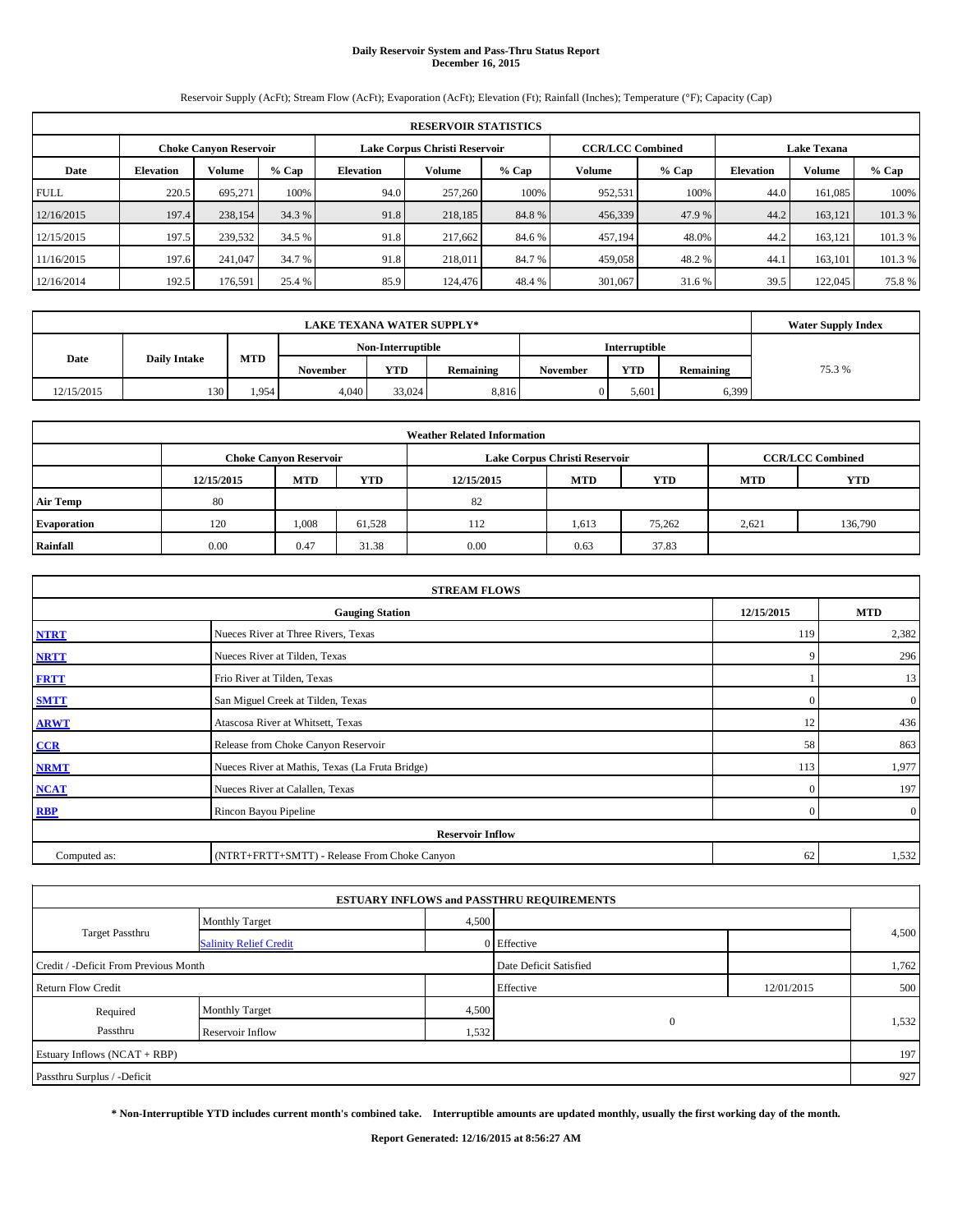# **Daily Reservoir System and Pass-Thru Status Report December 16, 2015**

Reservoir Supply (AcFt); Stream Flow (AcFt); Evaporation (AcFt); Elevation (Ft); Rainfall (Inches); Temperature (°F); Capacity (Cap)

| <b>RESERVOIR STATISTICS</b> |                                                         |         |         |                  |         |         |               |                         |                    |         |         |
|-----------------------------|---------------------------------------------------------|---------|---------|------------------|---------|---------|---------------|-------------------------|--------------------|---------|---------|
|                             | Lake Corpus Christi Reservoir<br>Choke Canvon Reservoir |         |         |                  |         |         |               | <b>CCR/LCC Combined</b> | <b>Lake Texana</b> |         |         |
| Date                        | <b>Elevation</b>                                        | Volume  | $%$ Cap | <b>Elevation</b> | Volume  | $%$ Cap | <b>Volume</b> | $%$ Cap                 | <b>Elevation</b>   | Volume  | % Cap   |
| <b>FULL</b>                 | 220.5                                                   | 695.271 | 100%    | 94.0             | 257,260 | 100%    | 952,531       | 100%                    | 44.0               | 161.085 | 100%    |
| 12/16/2015                  | 197.4                                                   | 238,154 | 34.3 %  | 91.8             | 218,185 | 84.8%   | 456,339       | 47.9 %                  | 44.2               | 163.121 | 101.3%  |
| 12/15/2015                  | 197.5                                                   | 239,532 | 34.5 %  | 91.8             | 217.662 | 84.6 %  | 457.194       | 48.0%                   | 44.2               | 163.121 | 101.3 % |
| 11/16/2015                  | 197.6                                                   | 241,047 | 34.7 %  | 91.8             | 218,011 | 84.7 %  | 459,058       | 48.2 %                  | 44.                | 163.101 | 101.3 % |
| 12/16/2014                  | 192.5                                                   | 176.591 | 25.4 %  | 85.9             | 124,476 | 48.4 %  | 301,067       | 31.6 %                  | 39.5               | 122,045 | 75.8%   |

|            | <b>Water Supply Index</b> |            |                 |                   |           |          |                      |           |        |
|------------|---------------------------|------------|-----------------|-------------------|-----------|----------|----------------------|-----------|--------|
|            |                           |            |                 | Non-Interruptible |           |          | <b>Interruptible</b> |           |        |
| Date       | <b>Daily Intake</b>       | <b>MTD</b> | <b>November</b> | <b>YTD</b>        | Remaining | November | <b>YTD</b>           | Remaining | 75.3 % |
| 12/15/2015 | 130                       | 1.954      | 4.040           | 33.024            | 8,816     | 0        | 5.601                | 6,399     |        |

| <b>Weather Related Information</b> |            |                               |        |            |                               |                         |            |            |  |  |
|------------------------------------|------------|-------------------------------|--------|------------|-------------------------------|-------------------------|------------|------------|--|--|
|                                    |            | <b>Choke Canyon Reservoir</b> |        |            | Lake Corpus Christi Reservoir | <b>CCR/LCC Combined</b> |            |            |  |  |
|                                    | 12/15/2015 | <b>MTD</b>                    | YTD    | 12/15/2015 | <b>MTD</b>                    | <b>YTD</b>              | <b>MTD</b> | <b>YTD</b> |  |  |
| <b>Air Temp</b>                    | 80         |                               |        | 82         |                               |                         |            |            |  |  |
| Evaporation                        | 120        | 1.008                         | 61,528 | 112        | 1,613                         | 75,262                  | 2,621      | 136,790    |  |  |
| Rainfall                           | 0.00       | 0.47                          | 31.38  | 0.00       | 0.63                          | 37.83                   |            |            |  |  |

| <b>STREAM FLOWS</b>                                |                                                 |                |                  |  |  |  |  |  |  |  |
|----------------------------------------------------|-------------------------------------------------|----------------|------------------|--|--|--|--|--|--|--|
| 12/15/2015<br><b>MTD</b><br><b>Gauging Station</b> |                                                 |                |                  |  |  |  |  |  |  |  |
| <b>NTRT</b>                                        | Nueces River at Three Rivers, Texas             | 119            | 2,382            |  |  |  |  |  |  |  |
| <b>NRTT</b>                                        | Nueces River at Tilden, Texas                   | 9              | 296              |  |  |  |  |  |  |  |
| <b>FRTT</b>                                        | Frio River at Tilden, Texas                     |                | 13               |  |  |  |  |  |  |  |
| <b>SMTT</b>                                        | San Miguel Creek at Tilden, Texas               | $\Omega$       | $\boldsymbol{0}$ |  |  |  |  |  |  |  |
| <b>ARWT</b>                                        | Atascosa River at Whitsett, Texas               | 12             | 436              |  |  |  |  |  |  |  |
| CCR                                                | Release from Choke Canyon Reservoir             | 58             | 863              |  |  |  |  |  |  |  |
| <b>NRMT</b>                                        | Nueces River at Mathis, Texas (La Fruta Bridge) | 113            | 1,977            |  |  |  |  |  |  |  |
| <b>NCAT</b>                                        | Nueces River at Calallen, Texas                 | $\mathbf{0}$   | 197              |  |  |  |  |  |  |  |
| <b>RBP</b>                                         | Rincon Bayou Pipeline                           | $\overline{0}$ | $\overline{0}$   |  |  |  |  |  |  |  |
|                                                    | <b>Reservoir Inflow</b>                         |                |                  |  |  |  |  |  |  |  |
| Computed as:                                       | (NTRT+FRTT+SMTT) - Release From Choke Canyon    | 62             | 1,532            |  |  |  |  |  |  |  |

|                                       |                               |       | <b>ESTUARY INFLOWS and PASSTHRU REQUIREMENTS</b> |            |       |
|---------------------------------------|-------------------------------|-------|--------------------------------------------------|------------|-------|
|                                       | <b>Monthly Target</b>         | 4,500 |                                                  |            |       |
| <b>Target Passthru</b>                | <b>Salinity Relief Credit</b> |       | 0 Effective                                      |            | 4,500 |
| Credit / -Deficit From Previous Month |                               |       | Date Deficit Satisfied                           |            | 1,762 |
| <b>Return Flow Credit</b>             |                               |       | Effective                                        | 12/01/2015 | 500   |
| Required                              | <b>Monthly Target</b>         | 4,500 |                                                  |            |       |
| Passthru                              | Reservoir Inflow              | 1,532 | $\mathbf{0}$                                     |            | 1,532 |
| Estuary Inflows (NCAT + RBP)          |                               |       |                                                  |            | 197   |
| Passthru Surplus / -Deficit           |                               |       |                                                  |            | 927   |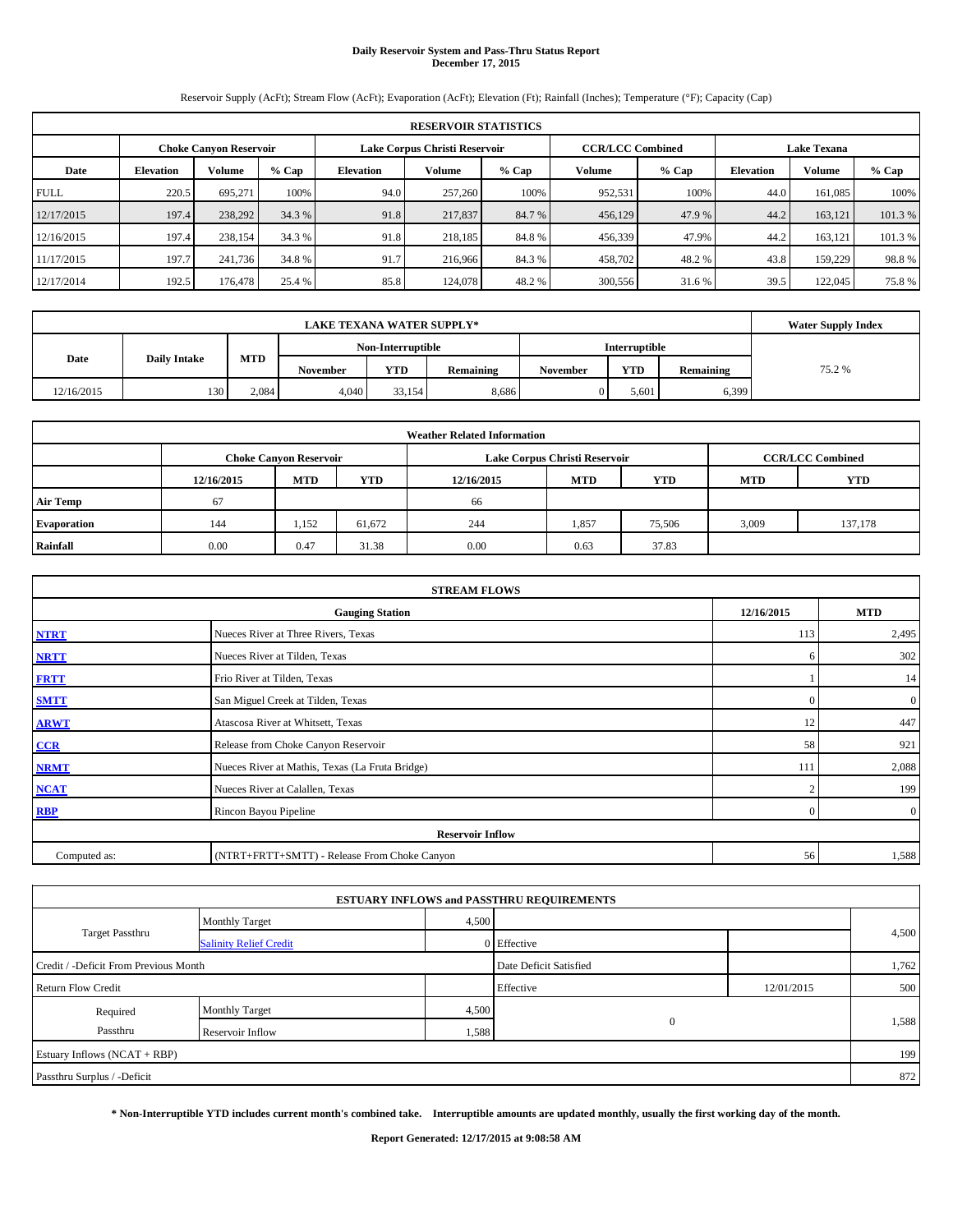# **Daily Reservoir System and Pass-Thru Status Report December 17, 2015**

Reservoir Supply (AcFt); Stream Flow (AcFt); Evaporation (AcFt); Elevation (Ft); Rainfall (Inches); Temperature (°F); Capacity (Cap)

| <b>RESERVOIR STATISTICS</b> |                  |                        |         |                               |                                               |         |         |         |                  |               |        |
|-----------------------------|------------------|------------------------|---------|-------------------------------|-----------------------------------------------|---------|---------|---------|------------------|---------------|--------|
|                             |                  | Choke Canvon Reservoir |         | Lake Corpus Christi Reservoir | <b>CCR/LCC Combined</b><br><b>Lake Texana</b> |         |         |         |                  |               |        |
| Date                        | <b>Elevation</b> | Volume                 | $%$ Cap | <b>Elevation</b>              | <b>Volume</b>                                 | $%$ Cap | Volume  | $%$ Cap | <b>Elevation</b> | <b>Volume</b> | % Cap  |
| <b>FULL</b>                 | 220.5            | 695.271                | 100%    | 94.0                          | 257,260                                       | 100%    | 952.531 | 100%    | 44.0             | 161.085       | 100%   |
| 12/17/2015                  | 197.4            | 238,292                | 34.3 %  | 91.8                          | 217,837                                       | 84.7 %  | 456,129 | 47.9 %  | 44.2             | 163.121       | 101.3% |
| 12/16/2015                  | 197.4            | 238,154                | 34.3 %  | 91.8                          | 218.185                                       | 84.8%   | 456,339 | 47.9%   | 44.2             | 163.121       | 101.3% |
| 11/17/2015                  | 197.7            | 241,736                | 34.8 %  | 91.7                          | 216,966                                       | 84.3%   | 458,702 | 48.2 %  | 43.8             | 159,229       | 98.8%  |
| 12/17/2014                  | 192.5            | 176,478                | 25.4 %  | 85.8                          | 124,078                                       | 48.2%   | 300,556 | 31.6 %  | 39.5             | 122,045       | 75.8%  |

|            | <b>Water Supply Index</b> |            |                 |                   |           |                 |                      |           |        |
|------------|---------------------------|------------|-----------------|-------------------|-----------|-----------------|----------------------|-----------|--------|
|            |                           |            |                 | Non-Interruptible |           |                 | <b>Interruptible</b> |           |        |
| Date       | <b>Daily Intake</b>       | <b>MTD</b> | <b>November</b> | <b>YTD</b>        | Remaining | <b>November</b> | <b>YTD</b>           | Remaining | 75.2 % |
| 12/16/2015 | 130                       | 2.084      | 4.040           | 33.154            | 8.686     |                 | 5.601                | 6,399     |        |

| <b>Weather Related Information</b> |            |                               |            |            |                               |                         |            |            |  |  |
|------------------------------------|------------|-------------------------------|------------|------------|-------------------------------|-------------------------|------------|------------|--|--|
|                                    |            | <b>Choke Canyon Reservoir</b> |            |            | Lake Corpus Christi Reservoir | <b>CCR/LCC Combined</b> |            |            |  |  |
|                                    | 12/16/2015 | <b>MTD</b>                    | <b>YTD</b> | 12/16/2015 | <b>MTD</b>                    | <b>YTD</b>              | <b>MTD</b> | <b>YTD</b> |  |  |
| <b>Air Temp</b>                    | 67         |                               |            | 66         |                               |                         |            |            |  |  |
| Evaporation                        | 144        | 1,152                         | 61,672     | 244        | 1,857                         | 75,506                  | 3,009      | 137,178    |  |  |
| Rainfall                           | 0.00       | 0.47                          | 31.38      | 0.00       | 0.63                          | 37.83                   |            |            |  |  |

| <b>STREAM FLOWS</b> |                                                 |                |                  |  |  |  |  |  |  |  |
|---------------------|-------------------------------------------------|----------------|------------------|--|--|--|--|--|--|--|
|                     | 12/16/2015                                      | <b>MTD</b>     |                  |  |  |  |  |  |  |  |
| <b>NTRT</b>         | Nueces River at Three Rivers, Texas             | 113            | 2,495            |  |  |  |  |  |  |  |
| <b>NRTT</b>         | Nueces River at Tilden, Texas                   | 6              | 302              |  |  |  |  |  |  |  |
| <b>FRTT</b>         | Frio River at Tilden, Texas                     |                | 14               |  |  |  |  |  |  |  |
| <b>SMTT</b>         | San Miguel Creek at Tilden, Texas               | $\Omega$       | $\boldsymbol{0}$ |  |  |  |  |  |  |  |
| <b>ARWT</b>         | Atascosa River at Whitsett, Texas               | 12             | 447              |  |  |  |  |  |  |  |
| CCR                 | Release from Choke Canyon Reservoir             | 58             | 921              |  |  |  |  |  |  |  |
| <b>NRMT</b>         | Nueces River at Mathis, Texas (La Fruta Bridge) | 111            | 2,088            |  |  |  |  |  |  |  |
| <b>NCAT</b>         | Nueces River at Calallen, Texas                 | $\overline{2}$ | 199              |  |  |  |  |  |  |  |
| <b>RBP</b>          | Rincon Bayou Pipeline                           | $\mathbf{0}$   | $\overline{0}$   |  |  |  |  |  |  |  |
|                     | <b>Reservoir Inflow</b>                         |                |                  |  |  |  |  |  |  |  |
| Computed as:        | (NTRT+FRTT+SMTT) - Release From Choke Canyon    | 56             | 1,588            |  |  |  |  |  |  |  |

|                                       |                               |       | <b>ESTUARY INFLOWS and PASSTHRU REQUIREMENTS</b> |            |       |
|---------------------------------------|-------------------------------|-------|--------------------------------------------------|------------|-------|
|                                       | <b>Monthly Target</b>         | 4,500 |                                                  |            |       |
| <b>Target Passthru</b>                | <b>Salinity Relief Credit</b> |       | 0 Effective                                      |            | 4,500 |
| Credit / -Deficit From Previous Month |                               |       | Date Deficit Satisfied                           |            | 1,762 |
| <b>Return Flow Credit</b>             |                               |       | Effective                                        | 12/01/2015 | 500   |
| Required                              | <b>Monthly Target</b>         | 4,500 |                                                  |            |       |
| Passthru                              | Reservoir Inflow              | 1,588 | $\mathbf{0}$                                     |            | 1,588 |
| Estuary Inflows (NCAT + RBP)          |                               |       |                                                  |            | 199   |
| Passthru Surplus / -Deficit           |                               |       |                                                  |            | 872   |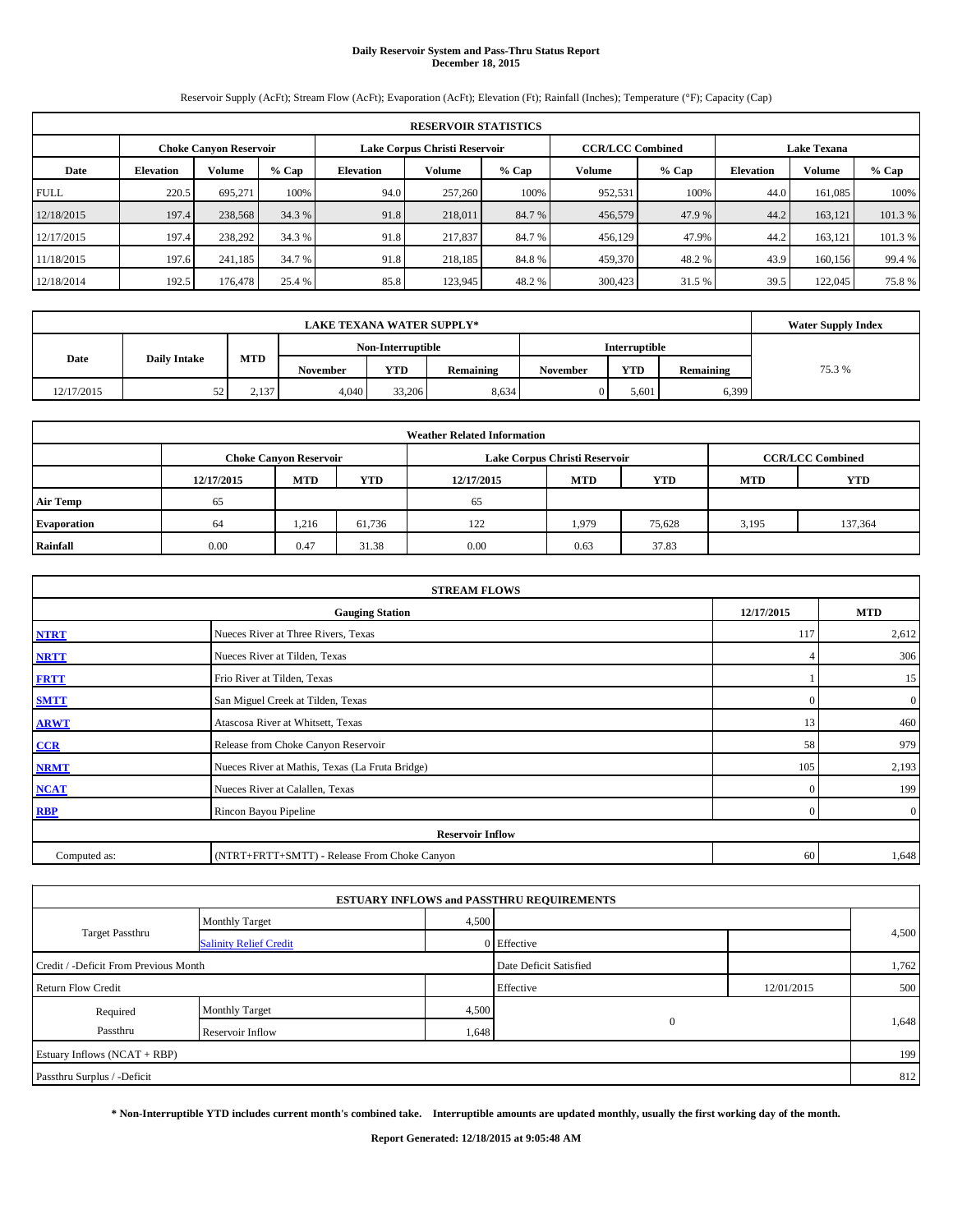# **Daily Reservoir System and Pass-Thru Status Report December 18, 2015**

Reservoir Supply (AcFt); Stream Flow (AcFt); Evaporation (AcFt); Elevation (Ft); Rainfall (Inches); Temperature (°F); Capacity (Cap)

|             | <b>RESERVOIR STATISTICS</b> |                               |         |                  |                               |         |                                               |         |                  |               |         |  |  |
|-------------|-----------------------------|-------------------------------|---------|------------------|-------------------------------|---------|-----------------------------------------------|---------|------------------|---------------|---------|--|--|
|             |                             | <b>Choke Canyon Reservoir</b> |         |                  | Lake Corpus Christi Reservoir |         | <b>CCR/LCC Combined</b><br><b>Lake Texana</b> |         |                  |               |         |  |  |
| Date        | <b>Elevation</b>            | Volume                        | $%$ Cap | <b>Elevation</b> | Volume                        | $%$ Cap | Volume                                        | $%$ Cap | <b>Elevation</b> | <b>Volume</b> | $%$ Cap |  |  |
| <b>FULL</b> | 220.5                       | 695.271                       | 100%    | 94.0             | 257,260                       | 100%    | 952,531                                       | 100%    | 44.0             | 161.085       | 100%    |  |  |
| 12/18/2015  | 197.4                       | 238,568                       | 34.3 %  | 91.8             | 218,011                       | 84.7 %  | 456,579                                       | 47.9 %  | 44.2             | 163.121       | 101.3%  |  |  |
| 12/17/2015  | 197.4                       | 238,292                       | 34.3 %  | 91.8             | 217,837                       | 84.7 %  | 456,129                                       | 47.9%   | 44.2             | 163.121       | 101.3 % |  |  |
| 11/18/2015  | 197.6                       | 241.185                       | 34.7 %  | 91.8             | 218,185                       | 84.8%   | 459,370                                       | 48.2%   | 43.9             | 160,156       | 99.4 %  |  |  |
| 12/18/2014  | 192.5                       | 176,478                       | 25.4 %  | 85.8             | 123,945                       | 48.2 %  | 300,423                                       | 31.5 %  | 39.5             | 122,045       | 75.8%   |  |  |

|            | <b>Water Supply Index</b> |            |                 |                   |           |          |            |           |        |
|------------|---------------------------|------------|-----------------|-------------------|-----------|----------|------------|-----------|--------|
|            |                           |            |                 | Non-Interruptible |           |          |            |           |        |
| Date       | <b>Daily Intake</b>       | <b>MTD</b> | <b>November</b> | <b>YTD</b>        | Remaining | November | <b>YTD</b> | Remaining | 75.3 % |
| 12/17/2015 | ση<br>ے ر                 | 2,137      | 4.040           | 33,206            | 8,634     | 0        | 5.601      | 6,399     |        |

|                 | <b>Weather Related Information</b> |                               |        |            |                               |                         |       |         |  |  |  |  |
|-----------------|------------------------------------|-------------------------------|--------|------------|-------------------------------|-------------------------|-------|---------|--|--|--|--|
|                 |                                    | <b>Choke Canyon Reservoir</b> |        |            | Lake Corpus Christi Reservoir | <b>CCR/LCC Combined</b> |       |         |  |  |  |  |
|                 | 12/17/2015                         | <b>MTD</b>                    | YTD    | 12/17/2015 | <b>MTD</b>                    | <b>YTD</b>              |       |         |  |  |  |  |
| <b>Air Temp</b> | 65                                 |                               |        | 65         |                               |                         |       |         |  |  |  |  |
| Evaporation     | 64                                 | 1,216                         | 61,736 | 122        | 1,979                         | 75,628                  | 3,195 | 137,364 |  |  |  |  |
| Rainfall        | 0.00                               | 0.47                          | 31.38  | 0.00       | 0.63                          | 37.83                   |       |         |  |  |  |  |

|              | <b>STREAM FLOWS</b>                             |                |                  |  |  |  |  |
|--------------|-------------------------------------------------|----------------|------------------|--|--|--|--|
|              | 12/17/2015                                      | <b>MTD</b>     |                  |  |  |  |  |
| <b>NTRT</b>  | Nueces River at Three Rivers, Texas             |                |                  |  |  |  |  |
| <b>NRTT</b>  | Nueces River at Tilden, Texas                   | 4              | 306              |  |  |  |  |
| <b>FRTT</b>  | Frio River at Tilden, Texas                     |                | 15               |  |  |  |  |
| <b>SMTT</b>  | San Miguel Creek at Tilden, Texas               | $\Omega$       | $\boldsymbol{0}$ |  |  |  |  |
| <b>ARWT</b>  | Atascosa River at Whitsett, Texas               | 13             | 460              |  |  |  |  |
| CCR          | Release from Choke Canyon Reservoir             | 58             | 979              |  |  |  |  |
| <b>NRMT</b>  | Nueces River at Mathis, Texas (La Fruta Bridge) | 105            | 2,193            |  |  |  |  |
| <b>NCAT</b>  | Nueces River at Calallen, Texas                 | $\mathbf{0}$   | 199              |  |  |  |  |
| <b>RBP</b>   | Rincon Bayou Pipeline                           | $\overline{0}$ | $\overline{0}$   |  |  |  |  |
|              | <b>Reservoir Inflow</b>                         |                |                  |  |  |  |  |
| Computed as: | (NTRT+FRTT+SMTT) - Release From Choke Canyon    | 60             | 1,648            |  |  |  |  |

|                                       |                               |       | <b>ESTUARY INFLOWS and PASSTHRU REQUIREMENTS</b> |            |       |
|---------------------------------------|-------------------------------|-------|--------------------------------------------------|------------|-------|
|                                       | <b>Monthly Target</b>         | 4,500 |                                                  |            |       |
| <b>Target Passthru</b>                | <b>Salinity Relief Credit</b> |       | 0 Effective                                      |            | 4,500 |
| Credit / -Deficit From Previous Month |                               |       | Date Deficit Satisfied                           |            | 1,762 |
| <b>Return Flow Credit</b>             |                               |       | Effective                                        | 12/01/2015 | 500   |
| Required                              | <b>Monthly Target</b>         | 4,500 |                                                  |            |       |
| Passthru                              | Reservoir Inflow              | 1,648 | $\mathbf{0}$                                     |            | 1,648 |
| Estuary Inflows (NCAT + RBP)          |                               |       |                                                  |            | 199   |
| Passthru Surplus / -Deficit           |                               |       |                                                  |            | 812   |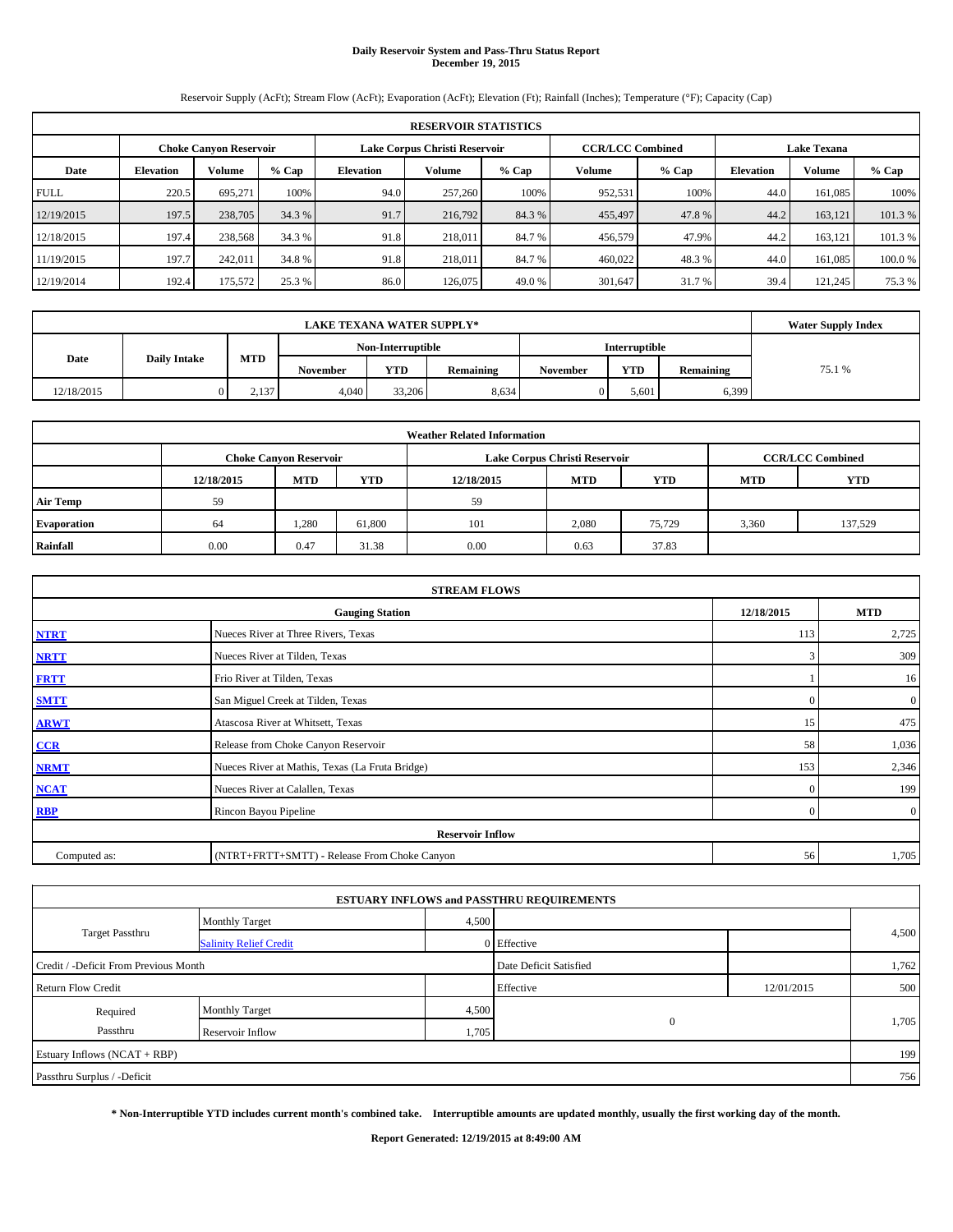# **Daily Reservoir System and Pass-Thru Status Report December 19, 2015**

Reservoir Supply (AcFt); Stream Flow (AcFt); Evaporation (AcFt); Elevation (Ft); Rainfall (Inches); Temperature (°F); Capacity (Cap)

|             | <b>RESERVOIR STATISTICS</b> |                               |         |                  |                               |         |                                               |         |                  |         |         |  |  |
|-------------|-----------------------------|-------------------------------|---------|------------------|-------------------------------|---------|-----------------------------------------------|---------|------------------|---------|---------|--|--|
|             |                             | <b>Choke Canyon Reservoir</b> |         |                  | Lake Corpus Christi Reservoir |         | <b>CCR/LCC Combined</b><br><b>Lake Texana</b> |         |                  |         |         |  |  |
| Date        | <b>Elevation</b>            | Volume                        | $%$ Cap | <b>Elevation</b> | Volume                        | $%$ Cap | <b>Volume</b>                                 | $%$ Cap | <b>Elevation</b> | Volume  | % Cap   |  |  |
| <b>FULL</b> | 220.5                       | 695.271                       | 100%    | 94.0             | 257,260                       | 100%    | 952,531                                       | 100%    | 44.0             | 161.085 | 100%    |  |  |
| 12/19/2015  | 197.5                       | 238,705                       | 34.3 %  | 91.7             | 216,792                       | 84.3%   | 455,497                                       | 47.8%   | 44.2             | 163.121 | 101.3%  |  |  |
| 12/18/2015  | 197.4                       | 238,568                       | 34.3 %  | 91.8             | 218,011                       | 84.7%   | 456,579                                       | 47.9%   | 44.2             | 163.121 | 101.3 % |  |  |
| 11/19/2015  | 197.7                       | 242,011                       | 34.8 %  | 91.8             | 218,011                       | 84.7%   | 460,022                                       | 48.3%   | 44.0             | 161,085 | 100.0%  |  |  |
| 12/19/2014  | 192.4                       | 175,572                       | 25.3 %  | 86.0             | 126,075                       | 49.0 %  | 301,647                                       | 31.7 %  | 39.4             | 121,245 | 75.3 %  |  |  |

|            | <b>Water Supply Index</b> |                                           |                 |            |           |                 |            |           |        |
|------------|---------------------------|-------------------------------------------|-----------------|------------|-----------|-----------------|------------|-----------|--------|
|            |                           | Non-Interruptible<br><b>Interruptible</b> |                 |            |           |                 |            |           |        |
| Date       | <b>Daily Intake</b>       | <b>MTD</b>                                | <b>November</b> | <b>YTD</b> | Remaining | <b>November</b> | <b>YTD</b> | Remaining | 75.1 % |
| 12/18/2015 |                           | 2.137                                     | 4.040           | 33,206     | 8.634     |                 | 5.601      | 6,399     |        |

|                 | <b>Weather Related Information</b> |                               |        |            |                               |                         |       |         |  |  |  |  |
|-----------------|------------------------------------|-------------------------------|--------|------------|-------------------------------|-------------------------|-------|---------|--|--|--|--|
|                 |                                    | <b>Choke Canyon Reservoir</b> |        |            | Lake Corpus Christi Reservoir | <b>CCR/LCC Combined</b> |       |         |  |  |  |  |
|                 | 12/18/2015                         | <b>MTD</b>                    | YTD    | 12/18/2015 | <b>MTD</b>                    | <b>YTD</b>              |       |         |  |  |  |  |
| <b>Air Temp</b> | 59                                 |                               |        | 59         |                               |                         |       |         |  |  |  |  |
| Evaporation     | 64                                 | .280                          | 61,800 | 101        | 2,080                         | 75,729                  | 3,360 | 137,529 |  |  |  |  |
| Rainfall        | 0.00                               | 0.47                          | 31.38  | 0.00       | 0.63                          | 37.83                   |       |         |  |  |  |  |

|              | <b>STREAM FLOWS</b>                             |              |                |  |  |  |  |  |  |  |
|--------------|-------------------------------------------------|--------------|----------------|--|--|--|--|--|--|--|
|              | <b>Gauging Station</b>                          |              |                |  |  |  |  |  |  |  |
| <b>NTRT</b>  | Nueces River at Three Rivers, Texas             | 113          | 2,725          |  |  |  |  |  |  |  |
| <b>NRTT</b>  | Nueces River at Tilden, Texas                   | 3            | 309            |  |  |  |  |  |  |  |
| <b>FRTT</b>  | Frio River at Tilden, Texas                     |              | 16             |  |  |  |  |  |  |  |
| <b>SMTT</b>  | San Miguel Creek at Tilden, Texas               | $\Omega$     | $\mathbf{0}$   |  |  |  |  |  |  |  |
| <b>ARWT</b>  | Atascosa River at Whitsett, Texas               | 15           | 475            |  |  |  |  |  |  |  |
| CCR          | Release from Choke Canyon Reservoir             | 58           | 1,036          |  |  |  |  |  |  |  |
| <b>NRMT</b>  | Nueces River at Mathis, Texas (La Fruta Bridge) | 153          | 2,346          |  |  |  |  |  |  |  |
| <b>NCAT</b>  | Nueces River at Calallen, Texas                 | $\mathbf{0}$ | 199            |  |  |  |  |  |  |  |
| <b>RBP</b>   | Rincon Bayou Pipeline                           | $\Omega$     | $\overline{0}$ |  |  |  |  |  |  |  |
|              | <b>Reservoir Inflow</b>                         |              |                |  |  |  |  |  |  |  |
| Computed as: | (NTRT+FRTT+SMTT) - Release From Choke Canyon    | 56           | 1,705          |  |  |  |  |  |  |  |

|                                       |                               |       | <b>ESTUARY INFLOWS and PASSTHRU REQUIREMENTS</b> |            |       |
|---------------------------------------|-------------------------------|-------|--------------------------------------------------|------------|-------|
|                                       | <b>Monthly Target</b>         | 4,500 |                                                  |            |       |
| <b>Target Passthru</b>                | <b>Salinity Relief Credit</b> |       | 0 Effective                                      |            | 4,500 |
| Credit / -Deficit From Previous Month |                               |       | Date Deficit Satisfied                           |            | 1,762 |
| <b>Return Flow Credit</b>             |                               |       | Effective                                        | 12/01/2015 | 500   |
| Required                              | <b>Monthly Target</b>         | 4,500 |                                                  |            |       |
| Passthru                              | Reservoir Inflow              | 1,705 | $\mathbf{0}$                                     |            | 1,705 |
| Estuary Inflows (NCAT + RBP)          |                               |       |                                                  |            | 199   |
| Passthru Surplus / -Deficit           |                               |       |                                                  |            | 756   |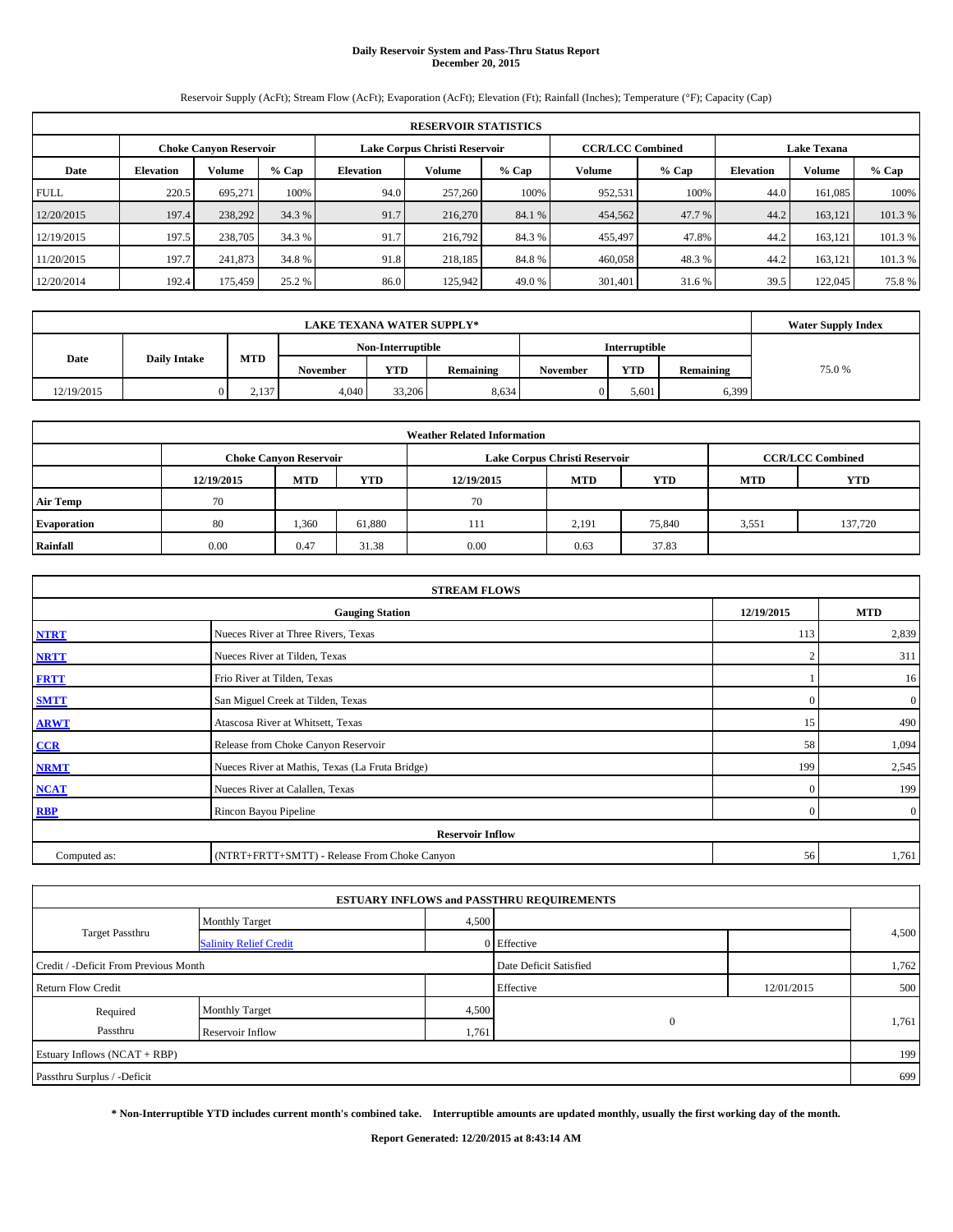# **Daily Reservoir System and Pass-Thru Status Report December 20, 2015**

Reservoir Supply (AcFt); Stream Flow (AcFt); Evaporation (AcFt); Elevation (Ft); Rainfall (Inches); Temperature (°F); Capacity (Cap)

|             | <b>RESERVOIR STATISTICS</b> |                               |         |                  |                               |         |                                               |         |                  |               |         |  |  |
|-------------|-----------------------------|-------------------------------|---------|------------------|-------------------------------|---------|-----------------------------------------------|---------|------------------|---------------|---------|--|--|
|             |                             | <b>Choke Canyon Reservoir</b> |         |                  | Lake Corpus Christi Reservoir |         | <b>CCR/LCC Combined</b><br><b>Lake Texana</b> |         |                  |               |         |  |  |
| Date        | <b>Elevation</b>            | Volume                        | $%$ Cap | <b>Elevation</b> | Volume                        | $%$ Cap | Volume                                        | $%$ Cap | <b>Elevation</b> | <b>Volume</b> | $%$ Cap |  |  |
| <b>FULL</b> | 220.5                       | 695.271                       | 100%    | 94.0             | 257,260                       | 100%    | 952,531                                       | 100%    | 44.0             | 161.085       | 100%    |  |  |
| 12/20/2015  | 197.4                       | 238,292                       | 34.3 %  | 91.7             | 216,270                       | 84.1 %  | 454,562                                       | 47.7 %  | 44.2             | 163.121       | 101.3%  |  |  |
| 12/19/2015  | 197.5                       | 238,705                       | 34.3 %  | 91.7             | 216,792                       | 84.3 %  | 455,497                                       | 47.8%   | 44.2             | 163.121       | 101.3 % |  |  |
| 11/20/2015  | 197.7                       | 241,873                       | 34.8 %  | 91.8             | 218,185                       | 84.8%   | 460,058                                       | 48.3%   | 44.2             | 163.121       | 101.3 % |  |  |
| 12/20/2014  | 192.4                       | 175,459                       | 25.2 %  | 86.0             | 125,942                       | 49.0 %  | 301,401                                       | 31.6%   | 39.5             | 122,045       | 75.8%   |  |  |

|            | <b>LAKE TEXANA WATER SUPPLY*</b> |       |                 |                      |           |          |            |           |       |  |  |  |
|------------|----------------------------------|-------|-----------------|----------------------|-----------|----------|------------|-----------|-------|--|--|--|
|            |                                  |       |                 | <b>Interruptible</b> |           |          |            |           |       |  |  |  |
| Date       | <b>Daily Intake</b>              | MTD   | <b>November</b> | <b>YTD</b>           | Remaining | November | <b>YTD</b> | Remaining | 75.0% |  |  |  |
| 12/19/2015 |                                  | 2,137 | 4.040           | 33,206               | 8,634     | 0        | 5.601      | 6,399     |       |  |  |  |

| <b>Weather Related Information</b> |                                                                                           |            |        |            |            |            |            |            |  |  |  |  |  |
|------------------------------------|-------------------------------------------------------------------------------------------|------------|--------|------------|------------|------------|------------|------------|--|--|--|--|--|
|                                    | <b>CCR/LCC Combined</b><br>Lake Corpus Christi Reservoir<br><b>Choke Canyon Reservoir</b> |            |        |            |            |            |            |            |  |  |  |  |  |
|                                    | 12/19/2015                                                                                | <b>MTD</b> | YTD    | 12/19/2015 | <b>MTD</b> | <b>YTD</b> | <b>MTD</b> | <b>YTD</b> |  |  |  |  |  |
| <b>Air Temp</b>                    | 70                                                                                        |            |        | 70         |            |            |            |            |  |  |  |  |  |
| Evaporation                        | 80                                                                                        | 1,360      | 61,880 | 111        | 2,191      | 75,840     | 3,551      | 137,720    |  |  |  |  |  |
| Rainfall                           | 0.00                                                                                      | 0.47       | 31.38  | 0.00       | 0.63       | 37.83      |            |            |  |  |  |  |  |

|              | <b>STREAM FLOWS</b>                                |                |                  |  |  |  |  |  |  |  |
|--------------|----------------------------------------------------|----------------|------------------|--|--|--|--|--|--|--|
|              | 12/19/2015<br><b>MTD</b><br><b>Gauging Station</b> |                |                  |  |  |  |  |  |  |  |
| <b>NTRT</b>  | Nueces River at Three Rivers, Texas                | 113            | 2,839            |  |  |  |  |  |  |  |
| <b>NRTT</b>  | Nueces River at Tilden, Texas                      |                | 311              |  |  |  |  |  |  |  |
| <b>FRTT</b>  | Frio River at Tilden, Texas                        |                | 16               |  |  |  |  |  |  |  |
| <b>SMTT</b>  | San Miguel Creek at Tilden, Texas                  | $\Omega$       | $\boldsymbol{0}$ |  |  |  |  |  |  |  |
| <b>ARWT</b>  | Atascosa River at Whitsett, Texas                  | 15             | 490              |  |  |  |  |  |  |  |
| CCR          | Release from Choke Canyon Reservoir                | 58             | 1,094            |  |  |  |  |  |  |  |
| <b>NRMT</b>  | Nueces River at Mathis, Texas (La Fruta Bridge)    | 199            | 2,545            |  |  |  |  |  |  |  |
| <b>NCAT</b>  | Nueces River at Calallen, Texas                    | $\mathbf{0}$   | 199              |  |  |  |  |  |  |  |
| <b>RBP</b>   | Rincon Bayou Pipeline                              | $\overline{0}$ | $\overline{0}$   |  |  |  |  |  |  |  |
|              | <b>Reservoir Inflow</b>                            |                |                  |  |  |  |  |  |  |  |
| Computed as: | (NTRT+FRTT+SMTT) - Release From Choke Canyon       | 56             | 1,761            |  |  |  |  |  |  |  |

|                                       |                               |       | <b>ESTUARY INFLOWS and PASSTHRU REQUIREMENTS</b> |            |       |
|---------------------------------------|-------------------------------|-------|--------------------------------------------------|------------|-------|
|                                       | <b>Monthly Target</b>         | 4,500 |                                                  |            |       |
| <b>Target Passthru</b>                | <b>Salinity Relief Credit</b> |       | 0 Effective                                      |            | 4,500 |
| Credit / -Deficit From Previous Month |                               |       | Date Deficit Satisfied                           |            | 1,762 |
| <b>Return Flow Credit</b>             |                               |       | Effective                                        | 12/01/2015 | 500   |
| Required                              | <b>Monthly Target</b>         | 4,500 |                                                  |            |       |
| Passthru                              | Reservoir Inflow              | 1,761 | $\mathbf{0}$                                     |            | 1,761 |
| Estuary Inflows (NCAT + RBP)          |                               |       |                                                  |            | 199   |
| Passthru Surplus / -Deficit           |                               |       |                                                  |            | 699   |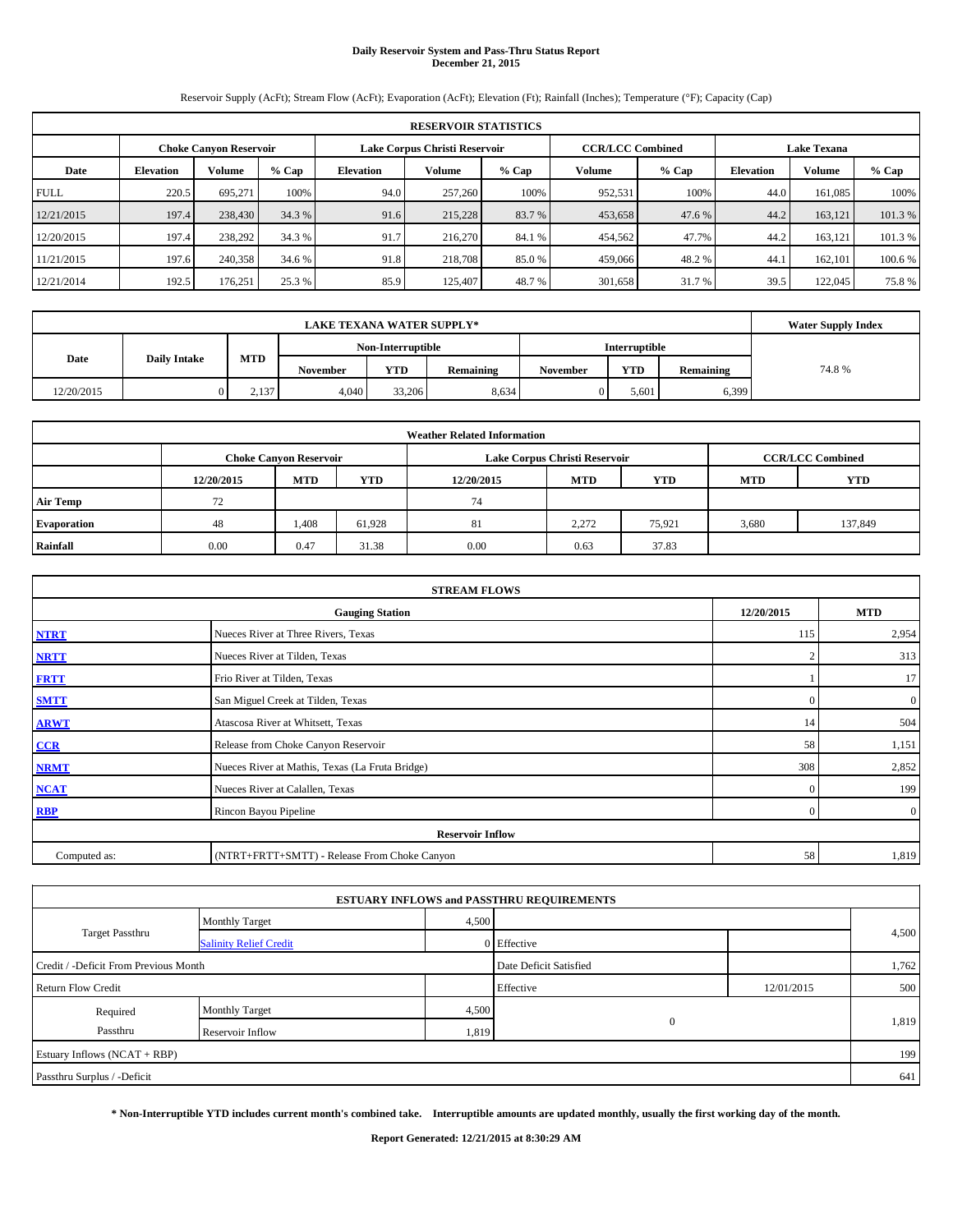# **Daily Reservoir System and Pass-Thru Status Report December 21, 2015**

Reservoir Supply (AcFt); Stream Flow (AcFt); Evaporation (AcFt); Elevation (Ft); Rainfall (Inches); Temperature (°F); Capacity (Cap)

|             | <b>RESERVOIR STATISTICS</b>                                                                              |         |         |                  |         |         |               |         |                  |         |         |  |  |  |  |
|-------------|----------------------------------------------------------------------------------------------------------|---------|---------|------------------|---------|---------|---------------|---------|------------------|---------|---------|--|--|--|--|
|             | Lake Corpus Christi Reservoir<br><b>CCR/LCC Combined</b><br><b>Lake Texana</b><br>Choke Canvon Reservoir |         |         |                  |         |         |               |         |                  |         |         |  |  |  |  |
| Date        | <b>Elevation</b>                                                                                         | Volume  | $%$ Cap | <b>Elevation</b> | Volume  | $%$ Cap | <b>Volume</b> | $%$ Cap | <b>Elevation</b> | Volume  | % Cap   |  |  |  |  |
| <b>FULL</b> | 220.5                                                                                                    | 695.271 | 100%    | 94.0             | 257,260 | 100%    | 952,531       | 100%    | 44.0             | 161.085 | 100%    |  |  |  |  |
| 12/21/2015  | 197.4                                                                                                    | 238,430 | 34.3 %  | 91.6             | 215,228 | 83.7 %  | 453,658       | 47.6 %  | 44.2             | 163.121 | 101.3%  |  |  |  |  |
| 12/20/2015  | 197.4                                                                                                    | 238,292 | 34.3 %  | 91.7             | 216,270 | 84.1 %  | 454,562       | 47.7%   | 44.2             | 163.121 | 101.3 % |  |  |  |  |
| 11/21/2015  | 197.6                                                                                                    | 240,358 | 34.6 %  | 91.8             | 218,708 | 85.0 %  | 459,066       | 48.2 %  | 44.              | 162,101 | 100.6 % |  |  |  |  |
| 12/21/2014  | 192.5                                                                                                    | 176.251 | 25.3 %  | 85.9             | 125,407 | 48.7%   | 301,658       | 31.7 %  | 39.5             | 122,045 | 75.8%   |  |  |  |  |

|            | <b>LAKE TEXANA WATER SUPPLY*</b> |            |                 |                   |           |                 |                      |           |       |  |  |  |
|------------|----------------------------------|------------|-----------------|-------------------|-----------|-----------------|----------------------|-----------|-------|--|--|--|
|            |                                  |            |                 | Non-Interruptible |           |                 | <b>Interruptible</b> |           |       |  |  |  |
| Date       | <b>Daily Intake</b>              | <b>MTD</b> | <b>November</b> | <b>YTD</b>        | Remaining | <b>November</b> | <b>YTD</b>           | Remaining | 74.8% |  |  |  |
| 12/20/2015 |                                  | 2.137      | 4.040           | 33,206            | 8.634     |                 | 5.601                | 6,399     |       |  |  |  |

| <b>Weather Related Information</b> |            |                                                                                           |        |            |            |            |            |            |  |  |  |  |  |
|------------------------------------|------------|-------------------------------------------------------------------------------------------|--------|------------|------------|------------|------------|------------|--|--|--|--|--|
|                                    |            | <b>CCR/LCC Combined</b><br>Lake Corpus Christi Reservoir<br><b>Choke Canyon Reservoir</b> |        |            |            |            |            |            |  |  |  |  |  |
|                                    | 12/20/2015 | <b>MTD</b>                                                                                | YTD    | 12/20/2015 | <b>MTD</b> | <b>YTD</b> | <b>MTD</b> | <b>YTD</b> |  |  |  |  |  |
| <b>Air Temp</b>                    | 72         |                                                                                           |        | 74         |            |            |            |            |  |  |  |  |  |
| Evaporation                        | 48         | 1.408                                                                                     | 61,928 | 81         | 2,272      | 75,921     | 3,680      | 137,849    |  |  |  |  |  |
| Rainfall                           | 0.00       | 0.47                                                                                      | 31.38  | 0.00       | 0.63       | 37.83      |            |            |  |  |  |  |  |

|              | <b>STREAM FLOWS</b>                             |              |                |
|--------------|-------------------------------------------------|--------------|----------------|
|              | <b>Gauging Station</b>                          | 12/20/2015   | <b>MTD</b>     |
| <b>NTRT</b>  | Nueces River at Three Rivers, Texas             | 115          | 2,954          |
| <b>NRTT</b>  | Nueces River at Tilden, Texas                   |              | 313            |
| <b>FRTT</b>  | Frio River at Tilden, Texas                     |              | 17             |
| <b>SMTT</b>  | San Miguel Creek at Tilden, Texas               | $\Omega$     | $\mathbf{0}$   |
| <b>ARWT</b>  | Atascosa River at Whitsett, Texas               | 14           | 504            |
| CCR          | Release from Choke Canyon Reservoir             | 58           | 1,151          |
| <b>NRMT</b>  | Nueces River at Mathis, Texas (La Fruta Bridge) | 308          | 2,852          |
| <b>NCAT</b>  | Nueces River at Calallen, Texas                 | $\mathbf{0}$ | 199            |
| <b>RBP</b>   | Rincon Bayou Pipeline                           | $\Omega$     | $\overline{0}$ |
|              | <b>Reservoir Inflow</b>                         |              |                |
| Computed as: | (NTRT+FRTT+SMTT) - Release From Choke Canyon    | 58           | 1,819          |

|                                       |                               |       | <b>ESTUARY INFLOWS and PASSTHRU REQUIREMENTS</b> |            |       |
|---------------------------------------|-------------------------------|-------|--------------------------------------------------|------------|-------|
|                                       | <b>Monthly Target</b>         | 4,500 |                                                  |            |       |
| <b>Target Passthru</b>                | <b>Salinity Relief Credit</b> |       | 0 Effective                                      |            | 4,500 |
| Credit / -Deficit From Previous Month |                               |       | Date Deficit Satisfied                           |            | 1,762 |
| <b>Return Flow Credit</b>             |                               |       | Effective                                        | 12/01/2015 | 500   |
| Required                              | <b>Monthly Target</b>         | 4,500 |                                                  |            |       |
| Passthru                              | Reservoir Inflow              | 1,819 | $\mathbf{0}$                                     |            | 1,819 |
| Estuary Inflows (NCAT + RBP)          |                               |       |                                                  |            | 199   |
| Passthru Surplus / -Deficit           |                               |       |                                                  |            | 641   |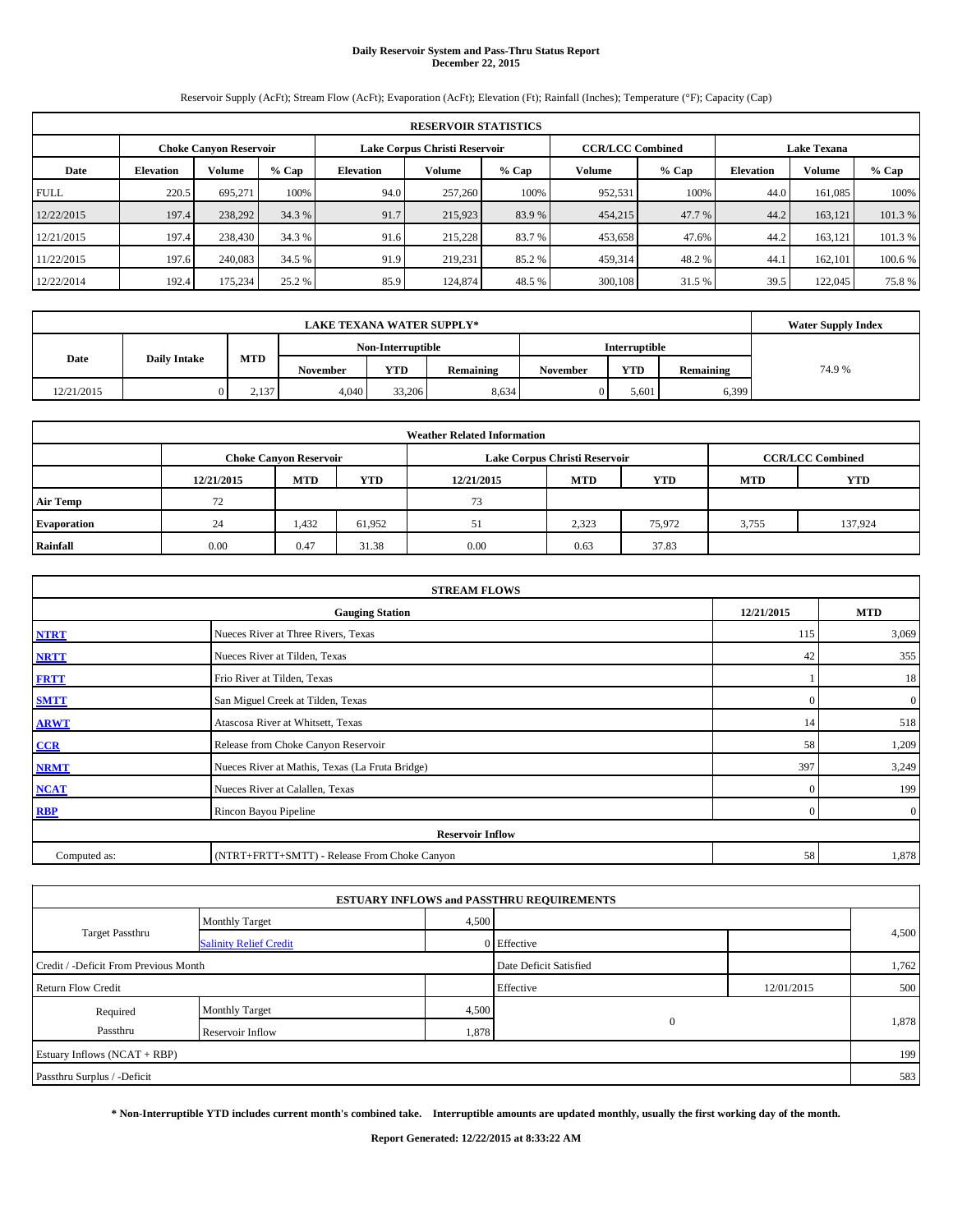# **Daily Reservoir System and Pass-Thru Status Report December 22, 2015**

Reservoir Supply (AcFt); Stream Flow (AcFt); Evaporation (AcFt); Elevation (Ft); Rainfall (Inches); Temperature (°F); Capacity (Cap)

|             | <b>RESERVOIR STATISTICS</b>                                                                                     |         |         |                  |         |         |         |         |                  |               |         |  |  |  |  |
|-------------|-----------------------------------------------------------------------------------------------------------------|---------|---------|------------------|---------|---------|---------|---------|------------------|---------------|---------|--|--|--|--|
|             | <b>CCR/LCC Combined</b><br>Lake Corpus Christi Reservoir<br><b>Choke Canyon Reservoir</b><br><b>Lake Texana</b> |         |         |                  |         |         |         |         |                  |               |         |  |  |  |  |
| Date        | <b>Elevation</b>                                                                                                | Volume  | $%$ Cap | <b>Elevation</b> | Volume  | $%$ Cap | Volume  | $%$ Cap | <b>Elevation</b> | <b>Volume</b> | $%$ Cap |  |  |  |  |
| <b>FULL</b> | 220.5                                                                                                           | 695.271 | 100%    | 94.0             | 257,260 | 100%    | 952,531 | 100%    | 44.0             | 161.085       | 100%    |  |  |  |  |
| 12/22/2015  | 197.4                                                                                                           | 238,292 | 34.3 %  | 91.7             | 215,923 | 83.9 %  | 454,215 | 47.7 %  | 44.2             | 163.121       | 101.3%  |  |  |  |  |
| 12/21/2015  | 197.4                                                                                                           | 238,430 | 34.3 %  | 91.6             | 215,228 | 83.7 %  | 453,658 | 47.6%   | 44.2             | 163.121       | 101.3 % |  |  |  |  |
| 11/22/2015  | 197.6                                                                                                           | 240,083 | 34.5 %  | 91.9             | 219.231 | 85.2%   | 459,314 | 48.2%   | 44.              | 162,101       | 100.6 % |  |  |  |  |
| 12/22/2014  | 192.4                                                                                                           | 175,234 | 25.2 %  | 85.9             | 124,874 | 48.5 %  | 300,108 | 31.5 %  | 39.5             | 122,045       | 75.8%   |  |  |  |  |

|            | <b>Water Supply Index</b> |       |                 |                   |           |                 |                      |           |       |
|------------|---------------------------|-------|-----------------|-------------------|-----------|-----------------|----------------------|-----------|-------|
|            |                           |       |                 | Non-Interruptible |           |                 | <b>Interruptible</b> |           |       |
| Date       | <b>Daily Intake</b>       | MTD   | <b>November</b> | <b>YTD</b>        | Remaining | <b>November</b> | <b>YTD</b>           | Remaining | 74.9% |
| 12/21/2015 |                           | 2,137 | 4.040           | 33,206            | 8.634     |                 | 5.601                | 6,399     |       |

| <b>Weather Related Information</b> |            |                                                                                           |            |            |            |            |            |         |  |  |  |  |  |
|------------------------------------|------------|-------------------------------------------------------------------------------------------|------------|------------|------------|------------|------------|---------|--|--|--|--|--|
|                                    |            | <b>CCR/LCC Combined</b><br>Lake Corpus Christi Reservoir<br><b>Choke Canyon Reservoir</b> |            |            |            |            |            |         |  |  |  |  |  |
|                                    | 12/21/2015 | <b>MTD</b>                                                                                | <b>YTD</b> | 12/21/2015 | <b>MTD</b> | <b>YTD</b> | <b>MTD</b> | YTD     |  |  |  |  |  |
| <b>Air Temp</b>                    | 72         |                                                                                           |            | 73         |            |            |            |         |  |  |  |  |  |
| Evaporation                        | 24         | 1,432                                                                                     | 61,952     | 51         | 2,323      | 75,972     | 3,755      | 137,924 |  |  |  |  |  |
| Rainfall                           | 0.00       | 0.47                                                                                      | 31.38      | 0.00       | 0.63       | 37.83      |            |         |  |  |  |  |  |

| <b>STREAM FLOWS</b> |                                                 |                |                  |  |  |  |  |  |  |  |
|---------------------|-------------------------------------------------|----------------|------------------|--|--|--|--|--|--|--|
|                     | <b>Gauging Station</b>                          | 12/21/2015     | <b>MTD</b>       |  |  |  |  |  |  |  |
| <b>NTRT</b>         | Nueces River at Three Rivers, Texas             | 115            | 3,069            |  |  |  |  |  |  |  |
| <b>NRTT</b>         | Nueces River at Tilden, Texas                   | 42             | 355              |  |  |  |  |  |  |  |
| <b>FRTT</b>         | Frio River at Tilden, Texas                     |                | 18               |  |  |  |  |  |  |  |
| <b>SMTT</b>         | San Miguel Creek at Tilden, Texas               | $\Omega$       | $\boldsymbol{0}$ |  |  |  |  |  |  |  |
| <b>ARWT</b>         | Atascosa River at Whitsett, Texas               | 14             | 518              |  |  |  |  |  |  |  |
| $CCR$               | Release from Choke Canyon Reservoir             | 58             | 1,209            |  |  |  |  |  |  |  |
| <b>NRMT</b>         | Nueces River at Mathis, Texas (La Fruta Bridge) | 397            | 3,249            |  |  |  |  |  |  |  |
| <b>NCAT</b>         | Nueces River at Calallen, Texas                 | $\mathbf{0}$   | 199              |  |  |  |  |  |  |  |
| <b>RBP</b>          | Rincon Bayou Pipeline                           | $\overline{0}$ | $\overline{0}$   |  |  |  |  |  |  |  |
|                     | <b>Reservoir Inflow</b>                         |                |                  |  |  |  |  |  |  |  |
| Computed as:        | (NTRT+FRTT+SMTT) - Release From Choke Canyon    |                |                  |  |  |  |  |  |  |  |

|                                       |                               |       | <b>ESTUARY INFLOWS and PASSTHRU REQUIREMENTS</b> |            |       |  |
|---------------------------------------|-------------------------------|-------|--------------------------------------------------|------------|-------|--|
|                                       | <b>Monthly Target</b>         | 4,500 |                                                  |            |       |  |
| <b>Target Passthru</b>                | <b>Salinity Relief Credit</b> |       | 0 Effective                                      |            | 4,500 |  |
| Credit / -Deficit From Previous Month |                               |       | Date Deficit Satisfied                           |            | 1,762 |  |
| <b>Return Flow Credit</b>             |                               |       | Effective                                        | 12/01/2015 | 500   |  |
| Required                              | <b>Monthly Target</b>         | 4,500 |                                                  |            |       |  |
| Passthru                              | Reservoir Inflow              | 1,878 | $\mathbf{0}$                                     |            | 1,878 |  |
| Estuary Inflows (NCAT + RBP)          |                               |       |                                                  |            | 199   |  |
| Passthru Surplus / -Deficit           |                               |       |                                                  |            | 583   |  |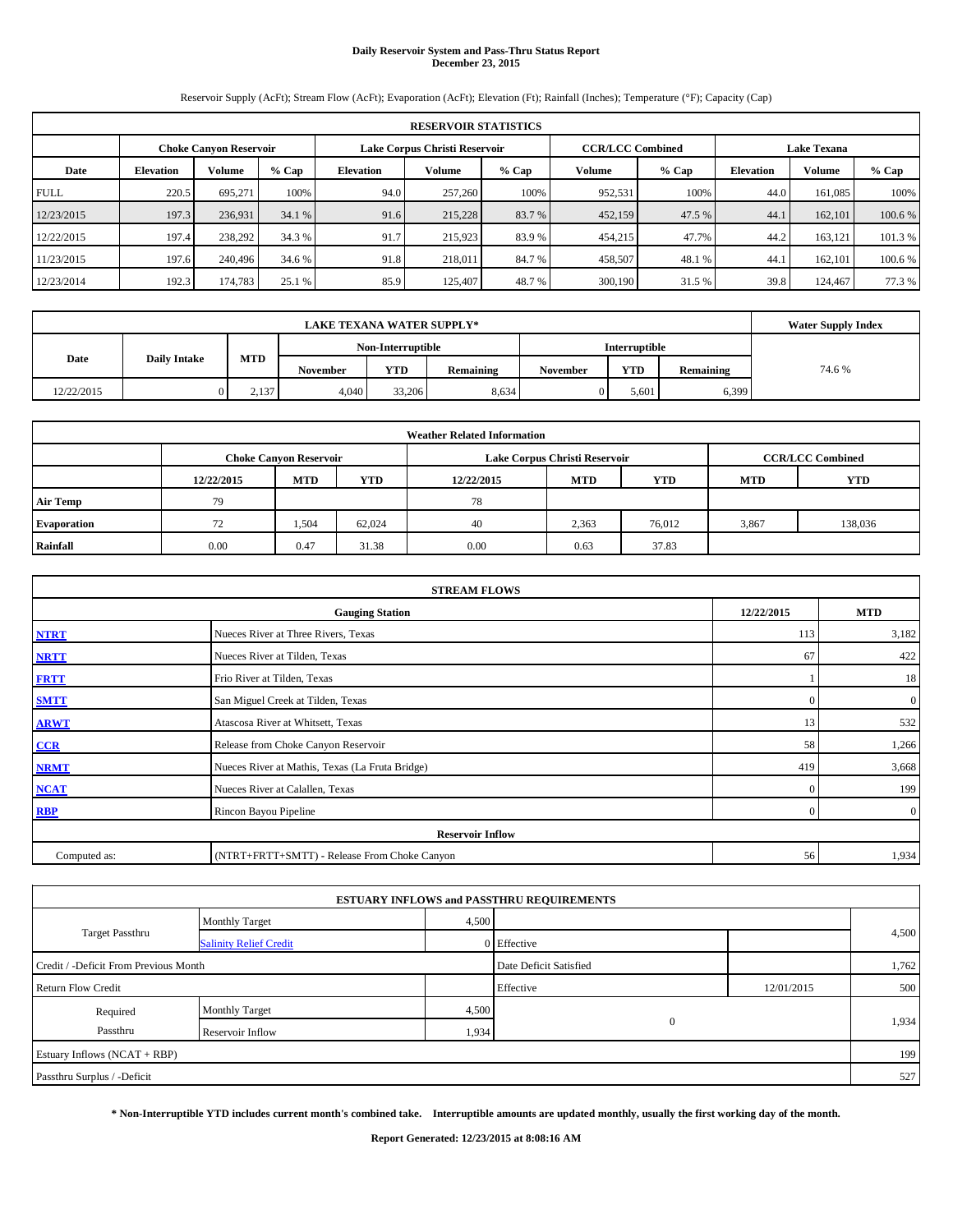# **Daily Reservoir System and Pass-Thru Status Report December 23, 2015**

Reservoir Supply (AcFt); Stream Flow (AcFt); Evaporation (AcFt); Elevation (Ft); Rainfall (Inches); Temperature (°F); Capacity (Cap)

|             | <b>RESERVOIR STATISTICS</b>   |         |         |                               |         |         |                         |         |                    |               |         |  |  |
|-------------|-------------------------------|---------|---------|-------------------------------|---------|---------|-------------------------|---------|--------------------|---------------|---------|--|--|
|             | <b>Choke Canyon Reservoir</b> |         |         | Lake Corpus Christi Reservoir |         |         | <b>CCR/LCC Combined</b> |         | <b>Lake Texana</b> |               |         |  |  |
| Date        | <b>Elevation</b>              | Volume  | $%$ Cap | <b>Elevation</b>              | Volume  | $%$ Cap | Volume                  | $%$ Cap | <b>Elevation</b>   | <b>Volume</b> | $%$ Cap |  |  |
| <b>FULL</b> | 220.5                         | 695.271 | 100%    | 94.0                          | 257,260 | 100%    | 952,531                 | 100%    | 44.0               | 161.085       | 100%    |  |  |
| 12/23/2015  | 197.3                         | 236,931 | 34.1 %  | 91.6                          | 215,228 | 83.7 %  | 452,159                 | 47.5 %  | 44.1               | 162,101       | 100.6 % |  |  |
| 12/22/2015  | 197.4                         | 238,292 | 34.3 %  | 91.7                          | 215,923 | 83.9 %  | 454,215                 | 47.7%   | 44.2               | 163.121       | 101.3 % |  |  |
| 11/23/2015  | 197.6                         | 240,496 | 34.6 %  | 91.8                          | 218,011 | 84.7 %  | 458,507                 | 48.1%   | 44.                | 162,101       | 100.6 % |  |  |
| 12/23/2014  | 192.3                         | 174,783 | 25.1 %  | 85.9                          | 125,407 | 48.7%   | 300,190                 | 31.5 %  | 39.8               | 124,467       | 77.3 %  |  |  |

|            | <b>Water Supply Index</b> |       |                 |                   |                  |                 |                      |           |       |
|------------|---------------------------|-------|-----------------|-------------------|------------------|-----------------|----------------------|-----------|-------|
|            |                           |       |                 | Non-Interruptible |                  |                 | <b>Interruptible</b> |           |       |
| Date       | <b>Daily Intake</b>       | MTD   | <b>November</b> | <b>YTD</b>        | <b>Remaining</b> | <b>November</b> | <b>YTD</b>           | Remaining | 74.6% |
| 12/22/2015 |                           | 2,137 | 4.040           | 33,206            | 8.634            |                 | 5.601                | 6,399     |       |

| <b>Weather Related Information</b> |            |                               |            |            |                               |                         |            |         |  |  |
|------------------------------------|------------|-------------------------------|------------|------------|-------------------------------|-------------------------|------------|---------|--|--|
|                                    |            | <b>Choke Canyon Reservoir</b> |            |            | Lake Corpus Christi Reservoir | <b>CCR/LCC Combined</b> |            |         |  |  |
|                                    | 12/22/2015 | <b>MTD</b>                    | <b>YTD</b> | 12/22/2015 | <b>MTD</b>                    | <b>YTD</b>              | <b>MTD</b> | YTD     |  |  |
| <b>Air Temp</b>                    | 79         |                               |            | 78         |                               |                         |            |         |  |  |
| Evaporation                        | 72         | 1,504                         | 62,024     | 40         | 2,363                         | 76,012                  | 3,867      | 138,036 |  |  |
| Rainfall                           | 0.00       | 0.47                          | 31.38      | 0.00       | 0.63                          | 37.83                   |            |         |  |  |

|              | <b>STREAM FLOWS</b>                             |              |                |  |  |  |  |  |  |  |  |
|--------------|-------------------------------------------------|--------------|----------------|--|--|--|--|--|--|--|--|
|              | <b>Gauging Station</b>                          | 12/22/2015   | <b>MTD</b>     |  |  |  |  |  |  |  |  |
| <b>NTRT</b>  | Nueces River at Three Rivers, Texas             | 113          | 3,182          |  |  |  |  |  |  |  |  |
| <b>NRTT</b>  | Nueces River at Tilden, Texas                   | 67           | 422            |  |  |  |  |  |  |  |  |
| <b>FRTT</b>  | Frio River at Tilden, Texas                     |              | 18             |  |  |  |  |  |  |  |  |
| <b>SMTT</b>  | San Miguel Creek at Tilden, Texas               | $\Omega$     | $\mathbf{0}$   |  |  |  |  |  |  |  |  |
| <b>ARWT</b>  | Atascosa River at Whitsett, Texas               | 13           | 532            |  |  |  |  |  |  |  |  |
| CCR          | Release from Choke Canyon Reservoir             | 58           | 1,266          |  |  |  |  |  |  |  |  |
| <b>NRMT</b>  | Nueces River at Mathis, Texas (La Fruta Bridge) | 419          | 3,668          |  |  |  |  |  |  |  |  |
| <b>NCAT</b>  | Nueces River at Calallen, Texas                 | $\mathbf{0}$ | 199            |  |  |  |  |  |  |  |  |
| <b>RBP</b>   | Rincon Bayou Pipeline                           | $\Omega$     | $\overline{0}$ |  |  |  |  |  |  |  |  |
|              | <b>Reservoir Inflow</b>                         |              |                |  |  |  |  |  |  |  |  |
| Computed as: | (NTRT+FRTT+SMTT) - Release From Choke Canyon    |              |                |  |  |  |  |  |  |  |  |

| <b>ESTUARY INFLOWS and PASSTHRU REQUIREMENTS</b> |                               |       |                        |            |       |  |  |  |  |  |
|--------------------------------------------------|-------------------------------|-------|------------------------|------------|-------|--|--|--|--|--|
|                                                  | <b>Monthly Target</b>         | 4,500 |                        |            |       |  |  |  |  |  |
| <b>Target Passthru</b>                           | <b>Salinity Relief Credit</b> |       | 0 Effective            |            | 4,500 |  |  |  |  |  |
| Credit / -Deficit From Previous Month            |                               |       | Date Deficit Satisfied |            | 1,762 |  |  |  |  |  |
| <b>Return Flow Credit</b>                        |                               |       | Effective              | 12/01/2015 | 500   |  |  |  |  |  |
| Required                                         | <b>Monthly Target</b>         | 4,500 |                        |            |       |  |  |  |  |  |
| Passthru                                         | Reservoir Inflow              | 1,934 | $\mathbf{0}$           |            | 1,934 |  |  |  |  |  |
| Estuary Inflows (NCAT + RBP)                     |                               |       |                        |            | 199   |  |  |  |  |  |
| Passthru Surplus / -Deficit                      |                               |       |                        |            | 527   |  |  |  |  |  |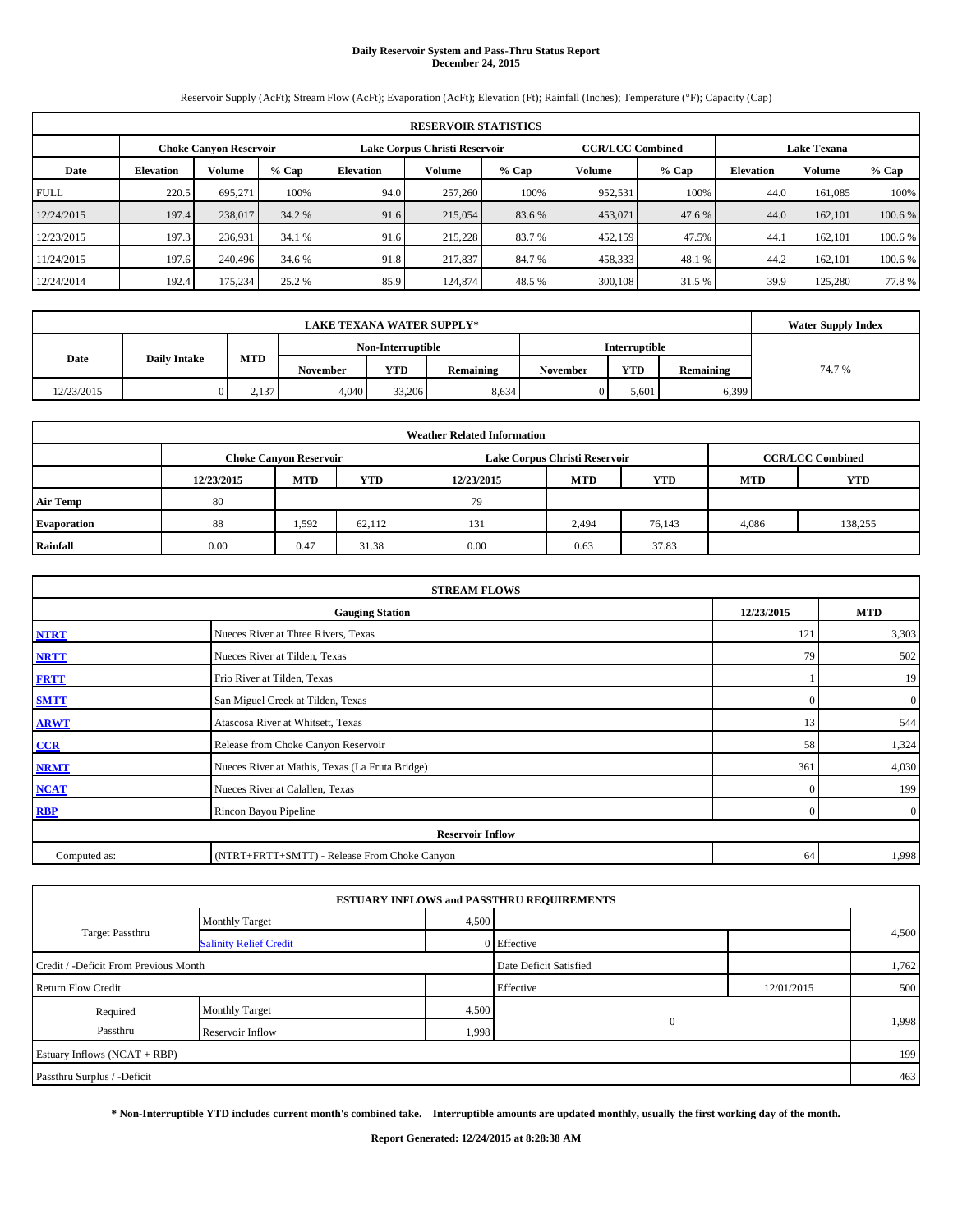# **Daily Reservoir System and Pass-Thru Status Report December 24, 2015**

Reservoir Supply (AcFt); Stream Flow (AcFt); Evaporation (AcFt); Elevation (Ft); Rainfall (Inches); Temperature (°F); Capacity (Cap)

|             | <b>RESERVOIR STATISTICS</b> |                               |         |                  |                               |         |         |                         |                    |               |         |  |  |
|-------------|-----------------------------|-------------------------------|---------|------------------|-------------------------------|---------|---------|-------------------------|--------------------|---------------|---------|--|--|
|             |                             | <b>Choke Canyon Reservoir</b> |         |                  | Lake Corpus Christi Reservoir |         |         | <b>CCR/LCC Combined</b> | <b>Lake Texana</b> |               |         |  |  |
| Date        | <b>Elevation</b>            | Volume                        | $%$ Cap | <b>Elevation</b> | Volume                        | $%$ Cap | Volume  | $%$ Cap                 | <b>Elevation</b>   | <b>Volume</b> | $%$ Cap |  |  |
| <b>FULL</b> | 220.5                       | 695.271                       | 100%    | 94.0             | 257,260                       | 100%    | 952,531 | 100%                    | 44.0               | 161.085       | 100%    |  |  |
| 12/24/2015  | 197.4                       | 238,017                       | 34.2 %  | 91.6             | 215,054                       | 83.6 %  | 453,071 | 47.6 %                  | 44.0               | 162,101       | 100.6 % |  |  |
| 12/23/2015  | 197.3                       | 236,931                       | 34.1 %  | 91.6             | 215,228                       | 83.7 %  | 452,159 | 47.5%                   | 44.1               | 162,101       | 100.6 % |  |  |
| 11/24/2015  | 197.6                       | 240,496                       | 34.6 %  | 91.8             | 217,837                       | 84.7 %  | 458,333 | 48.1%                   | 44.2               | 162,101       | 100.6 % |  |  |
| 12/24/2014  | 192.4                       | 175,234                       | 25.2 %  | 85.9             | 124,874                       | 48.5 %  | 300,108 | 31.5 %                  | 39.9               | 125,280       | 77.8%   |  |  |

|            | <b>Water Supply Index</b> |       |                 |                   |           |                 |                      |           |       |
|------------|---------------------------|-------|-----------------|-------------------|-----------|-----------------|----------------------|-----------|-------|
|            |                           |       |                 | Non-Interruptible |           |                 | <b>Interruptible</b> |           |       |
| Date       | <b>Daily Intake</b>       | MTD   | <b>November</b> | <b>YTD</b>        | Remaining | <b>November</b> | <b>YTD</b>           | Remaining | 74.7% |
| 12/23/2015 |                           | 2,137 | 4.040           | 33,206            | 8.634     |                 | 5.601                | 6,399     |       |

| <b>Weather Related Information</b> |            |                               |            |            |                               |                         |            |            |  |  |  |
|------------------------------------|------------|-------------------------------|------------|------------|-------------------------------|-------------------------|------------|------------|--|--|--|
|                                    |            | <b>Choke Canyon Reservoir</b> |            |            | Lake Corpus Christi Reservoir | <b>CCR/LCC Combined</b> |            |            |  |  |  |
|                                    | 12/23/2015 | <b>MTD</b>                    | <b>YTD</b> | 12/23/2015 | <b>MTD</b>                    | <b>YTD</b>              | <b>MTD</b> | <b>YTD</b> |  |  |  |
| <b>Air Temp</b>                    | 80         |                               |            | 79         |                               |                         |            |            |  |  |  |
| Evaporation                        | 88         | 1.592                         | 62.112     | 131        | 2,494                         | 76,143                  | 4.086      | 138,255    |  |  |  |
| Rainfall                           | 0.00       | 0.47                          | 31.38      | 0.00       | 0.63                          | 37.83                   |            |            |  |  |  |

| <b>STREAM FLOWS</b> |                                                 |                |                  |  |  |  |  |  |  |  |
|---------------------|-------------------------------------------------|----------------|------------------|--|--|--|--|--|--|--|
|                     | <b>Gauging Station</b>                          | 12/23/2015     | <b>MTD</b>       |  |  |  |  |  |  |  |
| <b>NTRT</b>         | Nueces River at Three Rivers, Texas             | 121            | 3,303            |  |  |  |  |  |  |  |
| <b>NRTT</b>         | Nueces River at Tilden, Texas                   | 79             | 502              |  |  |  |  |  |  |  |
| <b>FRTT</b>         | Frio River at Tilden, Texas                     |                | 19               |  |  |  |  |  |  |  |
| <b>SMTT</b>         | San Miguel Creek at Tilden, Texas               | $\Omega$       | $\boldsymbol{0}$ |  |  |  |  |  |  |  |
| <b>ARWT</b>         | Atascosa River at Whitsett, Texas               | 13             | 544              |  |  |  |  |  |  |  |
| CCR                 | Release from Choke Canyon Reservoir             | 58             | 1,324            |  |  |  |  |  |  |  |
| <b>NRMT</b>         | Nueces River at Mathis, Texas (La Fruta Bridge) | 361            | 4,030            |  |  |  |  |  |  |  |
| <b>NCAT</b>         | Nueces River at Calallen, Texas                 | $\mathbf{0}$   | 199              |  |  |  |  |  |  |  |
| <b>RBP</b>          | Rincon Bayou Pipeline                           | $\overline{0}$ | $\overline{0}$   |  |  |  |  |  |  |  |
|                     | <b>Reservoir Inflow</b>                         |                |                  |  |  |  |  |  |  |  |
| Computed as:        | (NTRT+FRTT+SMTT) - Release From Choke Canyon    |                |                  |  |  |  |  |  |  |  |

| <b>ESTUARY INFLOWS and PASSTHRU REQUIREMENTS</b> |                               |                        |              |            |       |  |  |  |  |  |
|--------------------------------------------------|-------------------------------|------------------------|--------------|------------|-------|--|--|--|--|--|
|                                                  | <b>Monthly Target</b>         | 4,500                  |              |            |       |  |  |  |  |  |
| <b>Target Passthru</b>                           | <b>Salinity Relief Credit</b> |                        | 0 Effective  |            | 4,500 |  |  |  |  |  |
| Credit / -Deficit From Previous Month            |                               | Date Deficit Satisfied |              | 1,762      |       |  |  |  |  |  |
| <b>Return Flow Credit</b>                        |                               |                        | Effective    | 12/01/2015 | 500   |  |  |  |  |  |
| Required                                         | <b>Monthly Target</b>         | 4,500                  |              |            |       |  |  |  |  |  |
| Passthru                                         | Reservoir Inflow              | 1,998                  | $\mathbf{0}$ |            | 1,998 |  |  |  |  |  |
| Estuary Inflows (NCAT + RBP)                     |                               |                        |              |            | 199   |  |  |  |  |  |
| Passthru Surplus / -Deficit                      |                               |                        |              |            | 463   |  |  |  |  |  |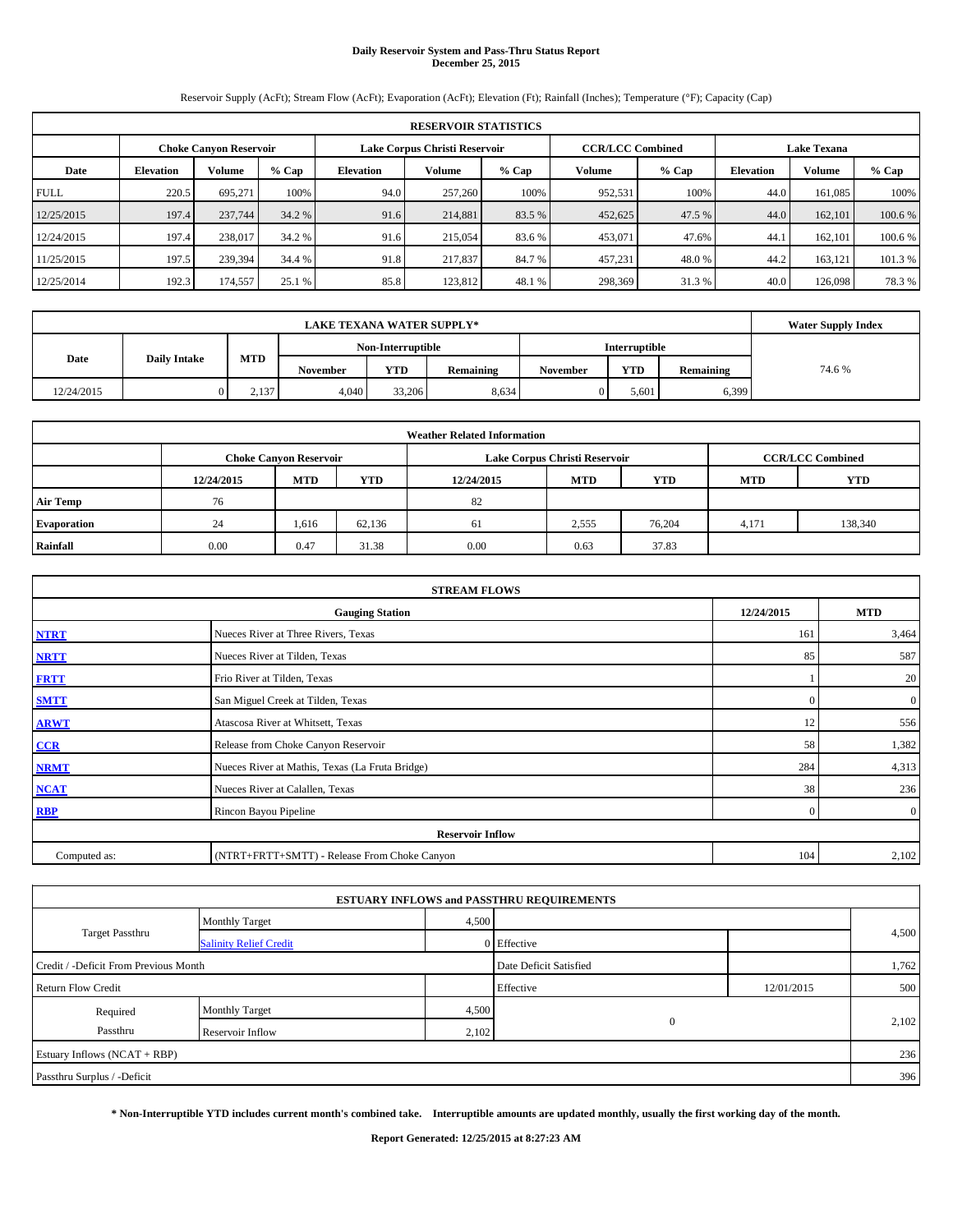# **Daily Reservoir System and Pass-Thru Status Report December 25, 2015**

Reservoir Supply (AcFt); Stream Flow (AcFt); Evaporation (AcFt); Elevation (Ft); Rainfall (Inches); Temperature (°F); Capacity (Cap)

| <b>RESERVOIR STATISTICS</b> |                  |                               |         |                                                                                  |                    |        |         |         |                  |               |         |
|-----------------------------|------------------|-------------------------------|---------|----------------------------------------------------------------------------------|--------------------|--------|---------|---------|------------------|---------------|---------|
|                             |                  | <b>Choke Canyon Reservoir</b> |         | <b>CCR/LCC Combined</b>                                                          | <b>Lake Texana</b> |        |         |         |                  |               |         |
| Date                        | <b>Elevation</b> | Volume                        | $%$ Cap | Lake Corpus Christi Reservoir<br>Volume<br>Volume<br>$%$ Cap<br><b>Elevation</b> |                    |        |         | $%$ Cap | <b>Elevation</b> | <b>Volume</b> | $%$ Cap |
| <b>FULL</b>                 | 220.5            | 695.271                       | 100%    | 94.0                                                                             | 257,260            | 100%   | 952,531 | 100%    | 44.0             | 161.085       | 100%    |
| 12/25/2015                  | 197.4            | 237,744                       | 34.2 %  | 91.6                                                                             | 214,881            | 83.5 % | 452,625 | 47.5 %  | 44.0             | 162,101       | 100.6 % |
| 12/24/2015                  | 197.4            | 238,017                       | 34.2 %  | 91.6                                                                             | 215,054            | 83.6 % | 453,071 | 47.6%   | 44.1             | 162,101       | 100.6 % |
| 11/25/2015                  | 197.5            | 239,394                       | 34.4 %  | 91.8                                                                             | 217,837            | 84.7 % | 457,231 | 48.0%   | 44.2             | 163.121       | 101.3 % |
| 12/25/2014                  | 192.3            | 174,557                       | 25.1 %  | 85.8                                                                             | 123,812            | 48.1 % | 298,369 | 31.3 %  | 40.0             | 126,098       | 78.3 %  |

|            | <b>Water Supply Index</b> |            |                 |                   |           |          |                      |           |       |
|------------|---------------------------|------------|-----------------|-------------------|-----------|----------|----------------------|-----------|-------|
|            |                           |            |                 | Non-Interruptible |           |          | <b>Interruptible</b> |           |       |
| Date       | <b>Daily Intake</b>       | <b>MTD</b> | <b>November</b> | <b>YTD</b>        | Remaining | November | <b>YTD</b>           | Remaining | 74.6% |
| 12/24/2015 |                           | 2,137      | 4.040           | 33,206            | 8,634     | 0        | 5.601                | 6,399     |       |

| <b>Weather Related Information</b> |            |                               |        |            |                               |                         |       |         |  |  |  |
|------------------------------------|------------|-------------------------------|--------|------------|-------------------------------|-------------------------|-------|---------|--|--|--|
|                                    |            | <b>Choke Canyon Reservoir</b> |        |            | Lake Corpus Christi Reservoir | <b>CCR/LCC Combined</b> |       |         |  |  |  |
|                                    | 12/24/2015 | <b>MTD</b>                    | YTD    | <b>YTD</b> |                               |                         |       |         |  |  |  |
| <b>Air Temp</b>                    | 76         |                               |        | 82         |                               |                         |       |         |  |  |  |
| Evaporation                        | 24         | 1,616                         | 62,136 | 61         | 2,555                         | 76,204                  | 4,171 | 138,340 |  |  |  |
| Rainfall                           | 0.00       | 0.47                          | 31.38  | 0.00       | 0.63                          | 37.83                   |       |         |  |  |  |

| <b>STREAM FLOWS</b>                                |                                                 |                |                  |  |  |  |  |  |  |
|----------------------------------------------------|-------------------------------------------------|----------------|------------------|--|--|--|--|--|--|
| 12/24/2015<br><b>MTD</b><br><b>Gauging Station</b> |                                                 |                |                  |  |  |  |  |  |  |
| <b>NTRT</b>                                        | Nueces River at Three Rivers, Texas             | 161            | 3,464            |  |  |  |  |  |  |
| <b>NRTT</b>                                        | Nueces River at Tilden, Texas                   | 85             | 587              |  |  |  |  |  |  |
| <b>FRTT</b>                                        | Frio River at Tilden, Texas                     |                | 20               |  |  |  |  |  |  |
| <b>SMTT</b>                                        | San Miguel Creek at Tilden, Texas               | $\Omega$       | $\boldsymbol{0}$ |  |  |  |  |  |  |
| <b>ARWT</b>                                        | Atascosa River at Whitsett, Texas               | 12             | 556              |  |  |  |  |  |  |
| $CCR$                                              | Release from Choke Canyon Reservoir             | 58             | 1,382            |  |  |  |  |  |  |
| <b>NRMT</b>                                        | Nueces River at Mathis, Texas (La Fruta Bridge) | 284            | 4,313            |  |  |  |  |  |  |
| <b>NCAT</b>                                        | Nueces River at Calallen, Texas                 | 38             | 236              |  |  |  |  |  |  |
| <b>RBP</b>                                         | Rincon Bayou Pipeline                           | $\overline{0}$ | $\overline{0}$   |  |  |  |  |  |  |
|                                                    | <b>Reservoir Inflow</b>                         |                |                  |  |  |  |  |  |  |
| Computed as:                                       | (NTRT+FRTT+SMTT) - Release From Choke Canyon    |                |                  |  |  |  |  |  |  |

|                                                       |                               |       | <b>ESTUARY INFLOWS and PASSTHRU REQUIREMENTS</b> |            |       |  |
|-------------------------------------------------------|-------------------------------|-------|--------------------------------------------------|------------|-------|--|
|                                                       | <b>Monthly Target</b>         | 4,500 |                                                  |            |       |  |
| <b>Target Passthru</b>                                | <b>Salinity Relief Credit</b> |       | 0 Effective                                      |            | 4,500 |  |
| Credit / -Deficit From Previous Month                 |                               |       | Date Deficit Satisfied                           |            | 1,762 |  |
| <b>Return Flow Credit</b>                             |                               |       | Effective                                        | 12/01/2015 | 500   |  |
| Required                                              | <b>Monthly Target</b>         | 4,500 |                                                  |            | 2,102 |  |
| $\mathbf{0}$<br>Passthru<br>Reservoir Inflow<br>2,102 |                               |       |                                                  |            |       |  |
| Estuary Inflows (NCAT + RBP)                          |                               |       |                                                  |            | 236   |  |
| Passthru Surplus / -Deficit                           |                               |       |                                                  |            | 396   |  |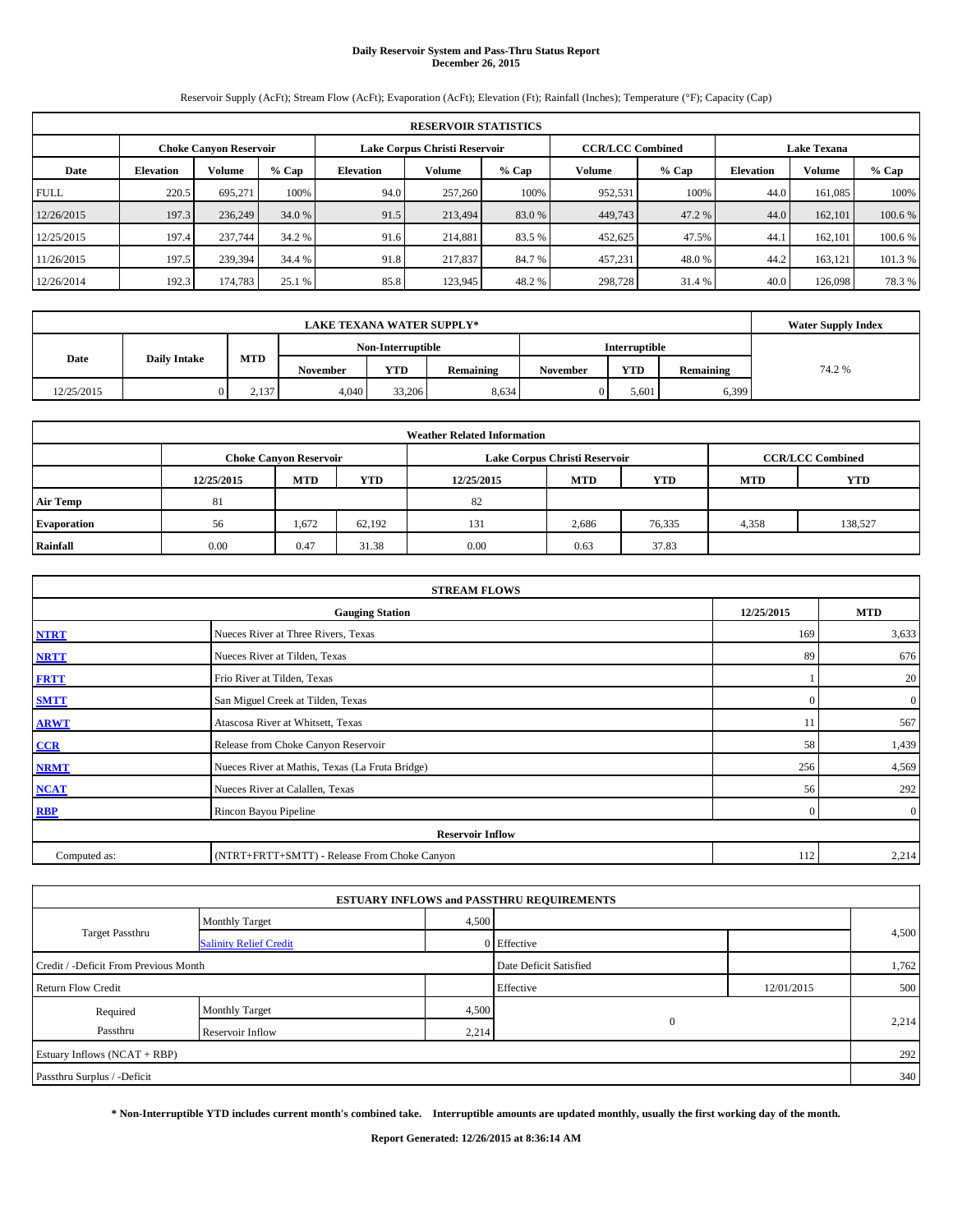# **Daily Reservoir System and Pass-Thru Status Report December 26, 2015**

Reservoir Supply (AcFt); Stream Flow (AcFt); Evaporation (AcFt); Elevation (Ft); Rainfall (Inches); Temperature (°F); Capacity (Cap)

| <b>RESERVOIR STATISTICS</b> |                                                                                                                 |         |         |                  |         |         |         |         |                  |               |         |  |
|-----------------------------|-----------------------------------------------------------------------------------------------------------------|---------|---------|------------------|---------|---------|---------|---------|------------------|---------------|---------|--|
|                             | <b>CCR/LCC Combined</b><br>Lake Corpus Christi Reservoir<br><b>Lake Texana</b><br><b>Choke Canyon Reservoir</b> |         |         |                  |         |         |         |         |                  |               |         |  |
| Date                        | <b>Elevation</b>                                                                                                | Volume  | $%$ Cap | <b>Elevation</b> | Volume  | $%$ Cap | Volume  | $%$ Cap | <b>Elevation</b> | <b>Volume</b> | % Cap   |  |
| <b>FULL</b>                 | 220.5                                                                                                           | 695.271 | 100%    | 94.0             | 257,260 | 100%    | 952,531 | 100%    | 44.0             | 161,085       | 100%    |  |
| 12/26/2015                  | 197.3                                                                                                           | 236,249 | 34.0 %  | 91.5             | 213,494 | 83.0 %  | 449,743 | 47.2 %  | 44.0             | 162,101       | 100.6 % |  |
| 12/25/2015                  | 197.4                                                                                                           | 237,744 | 34.2 %  | 91.6             | 214,881 | 83.5 %  | 452,625 | 47.5%   | 44.1             | 162,101       | 100.6 % |  |
| 11/26/2015                  | 197.5                                                                                                           | 239,394 | 34.4 %  | 91.8             | 217,837 | 84.7 %  | 457,231 | 48.0%   | 44.2             | 163,121       | 101.3 % |  |
| 12/26/2014                  | 192.3                                                                                                           | 174,783 | 25.1 %  | 85.8             | 123,945 | 48.2 %  | 298,728 | 31.4 %  | 40.0             | 126,098       | 78.3%   |  |

|            | <b>Water Supply Index</b> |       |                 |                   |           |                 |                      |           |        |
|------------|---------------------------|-------|-----------------|-------------------|-----------|-----------------|----------------------|-----------|--------|
|            |                           |       |                 | Non-Interruptible |           |                 | <b>Interruptible</b> |           |        |
| Date       | <b>Daily Intake</b>       | MTD   | <b>November</b> | <b>YTD</b>        | Remaining | <b>November</b> | <b>YTD</b>           | Remaining | 74.2 % |
| 12/25/2015 |                           | 2,137 | 4.040           | 33,206            | 8.634     |                 | 5.601                | 6,399     |        |

| <b>Weather Related Information</b> |            |                               |        |            |                                        |                         |       |         |  |  |  |  |
|------------------------------------|------------|-------------------------------|--------|------------|----------------------------------------|-------------------------|-------|---------|--|--|--|--|
|                                    |            | <b>Choke Canyon Reservoir</b> |        |            | Lake Corpus Christi Reservoir          | <b>CCR/LCC Combined</b> |       |         |  |  |  |  |
|                                    | 12/25/2015 | <b>MTD</b>                    | YTD    | 12/25/2015 | <b>MTD</b><br><b>YTD</b><br><b>MTD</b> |                         |       |         |  |  |  |  |
| <b>Air Temp</b>                    | 81         |                               |        | 82         |                                        |                         |       |         |  |  |  |  |
| Evaporation                        | 56         | 1,672                         | 62,192 | 131        | 2,686                                  | 76,335                  | 4,358 | 138,527 |  |  |  |  |
| Rainfall                           | 0.00       | 0.47                          | 31.38  | 0.00       | 0.63                                   | 37.83                   |       |         |  |  |  |  |

| <b>STREAM FLOWS</b>     |                                                    |          |                |  |  |  |  |  |  |  |
|-------------------------|----------------------------------------------------|----------|----------------|--|--|--|--|--|--|--|
|                         | 12/25/2015<br><b>MTD</b><br><b>Gauging Station</b> |          |                |  |  |  |  |  |  |  |
| <b>NTRT</b>             | Nueces River at Three Rivers, Texas                | 169      | 3,633          |  |  |  |  |  |  |  |
| <b>NRTT</b>             | Nueces River at Tilden, Texas                      | 89       | 676            |  |  |  |  |  |  |  |
| <b>FRTT</b>             | Frio River at Tilden, Texas                        |          | 20             |  |  |  |  |  |  |  |
| <b>SMTT</b>             | San Miguel Creek at Tilden, Texas                  | $\Omega$ | $\mathbf{0}$   |  |  |  |  |  |  |  |
| <b>ARWT</b>             | Atascosa River at Whitsett, Texas                  | 11       | 567            |  |  |  |  |  |  |  |
| CCR                     | Release from Choke Canyon Reservoir                | 58       | 1,439          |  |  |  |  |  |  |  |
| <b>NRMT</b>             | Nueces River at Mathis, Texas (La Fruta Bridge)    | 256      | 4,569          |  |  |  |  |  |  |  |
| <b>NCAT</b>             | Nueces River at Calallen, Texas                    | 56       | 292            |  |  |  |  |  |  |  |
| <b>RBP</b>              | Rincon Bayou Pipeline                              | $\Omega$ | $\overline{0}$ |  |  |  |  |  |  |  |
| <b>Reservoir Inflow</b> |                                                    |          |                |  |  |  |  |  |  |  |
| Computed as:            | (NTRT+FRTT+SMTT) - Release From Choke Canyon       |          |                |  |  |  |  |  |  |  |

|                                                       |                               |       | <b>ESTUARY INFLOWS and PASSTHRU REQUIREMENTS</b> |            |       |  |  |
|-------------------------------------------------------|-------------------------------|-------|--------------------------------------------------|------------|-------|--|--|
|                                                       | <b>Monthly Target</b>         | 4,500 |                                                  |            |       |  |  |
| <b>Target Passthru</b>                                | <b>Salinity Relief Credit</b> |       | 0 Effective                                      |            | 4,500 |  |  |
| Credit / -Deficit From Previous Month                 | Date Deficit Satisfied        |       | 1,762                                            |            |       |  |  |
| <b>Return Flow Credit</b>                             |                               |       | Effective                                        | 12/01/2015 | 500   |  |  |
| Required                                              | <b>Monthly Target</b>         | 4,500 |                                                  |            | 2,214 |  |  |
| $\mathbf{0}$<br>Passthru<br>2,214<br>Reservoir Inflow |                               |       |                                                  |            |       |  |  |
| Estuary Inflows (NCAT + RBP)                          |                               |       |                                                  |            |       |  |  |
| Passthru Surplus / -Deficit                           |                               |       |                                                  |            |       |  |  |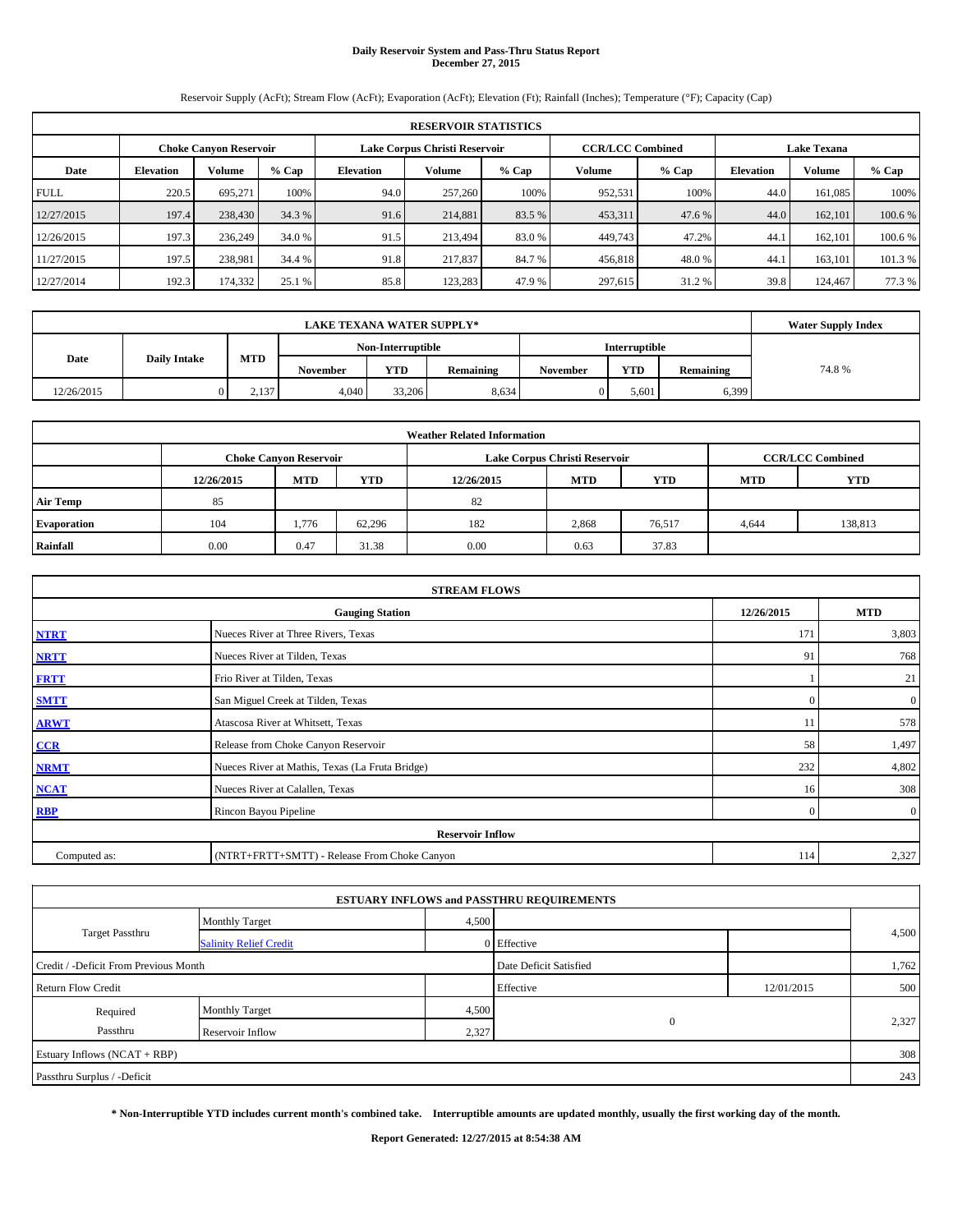# **Daily Reservoir System and Pass-Thru Status Report December 27, 2015**

Reservoir Supply (AcFt); Stream Flow (AcFt); Evaporation (AcFt); Elevation (Ft); Rainfall (Inches); Temperature (°F); Capacity (Cap)

| <b>RESERVOIR STATISTICS</b> |                                                                                                                 |         |         |                  |         |         |         |         |                  |               |         |  |  |
|-----------------------------|-----------------------------------------------------------------------------------------------------------------|---------|---------|------------------|---------|---------|---------|---------|------------------|---------------|---------|--|--|
|                             | <b>CCR/LCC Combined</b><br>Lake Corpus Christi Reservoir<br><b>Lake Texana</b><br><b>Choke Canyon Reservoir</b> |         |         |                  |         |         |         |         |                  |               |         |  |  |
| Date                        | <b>Elevation</b>                                                                                                | Volume  | $%$ Cap | <b>Elevation</b> | Volume  | $%$ Cap | Volume  | $%$ Cap | <b>Elevation</b> | <b>Volume</b> | % Cap   |  |  |
| <b>FULL</b>                 | 220.5                                                                                                           | 695.271 | 100%    | 94.0             | 257,260 | 100%    | 952,531 | 100%    | 44.0             | 161,085       | 100%    |  |  |
| 12/27/2015                  | 197.4                                                                                                           | 238,430 | 34.3 %  | 91.6             | 214,881 | 83.5 %  | 453,311 | 47.6 %  | 44.0             | 162,101       | 100.6 % |  |  |
| 12/26/2015                  | 197.3                                                                                                           | 236.249 | 34.0 %  | 91.5             | 213.494 | 83.0 %  | 449,743 | 47.2%   | 44.1             | 162,101       | 100.6 % |  |  |
| 11/27/2015                  | 197.5                                                                                                           | 238,981 | 34.4 %  | 91.8             | 217,837 | 84.7 %  | 456,818 | 48.0 %  | 44.1             | 163.101       | 101.3 % |  |  |
| 12/27/2014                  | 192.3                                                                                                           | 174,332 | 25.1 %  | 85.8             | 123.283 | 47.9 %  | 297,615 | 31.2 %  | 39.8             | 124,467       | 77.3 %  |  |  |

|            | <b>Water Supply Index</b> |       |          |                   |           |                 |                      |           |       |
|------------|---------------------------|-------|----------|-------------------|-----------|-----------------|----------------------|-----------|-------|
|            |                           |       |          | Non-Interruptible |           |                 | <b>Interruptible</b> |           |       |
| Date       | <b>Daily Intake</b>       | MTD   | November | <b>YTD</b>        | Remaining | <b>November</b> | <b>YTD</b>           | Remaining | 74.8% |
| 12/26/2015 |                           | 2,137 | 4,040    | 33,206            | 8.634     |                 | 5,601                | 6,399     |       |

| <b>Weather Related Information</b> |            |                               |        |            |                               |                         |            |            |  |  |
|------------------------------------|------------|-------------------------------|--------|------------|-------------------------------|-------------------------|------------|------------|--|--|
|                                    |            | <b>Choke Canyon Reservoir</b> |        |            | Lake Corpus Christi Reservoir | <b>CCR/LCC Combined</b> |            |            |  |  |
|                                    | 12/26/2015 | <b>MTD</b>                    | YTD    | 12/26/2015 | <b>MTD</b>                    | <b>YTD</b>              | <b>MTD</b> | <b>YTD</b> |  |  |
| <b>Air Temp</b>                    | 85         |                               |        | 82         |                               |                         |            |            |  |  |
| Evaporation                        | 104        | 1,776                         | 62,296 | 182        | 2,868                         | 76,517                  | 4,644      | 138,813    |  |  |
| Rainfall                           | 0.00       | 0.47                          | 31.38  | 0.00       | 0.63                          | 37.83                   |            |            |  |  |

| <b>STREAM FLOWS</b> |                                                 |                |                  |  |  |  |  |  |  |
|---------------------|-------------------------------------------------|----------------|------------------|--|--|--|--|--|--|
|                     | <b>Gauging Station</b>                          |                |                  |  |  |  |  |  |  |
| <b>NTRT</b>         | Nueces River at Three Rivers, Texas             |                |                  |  |  |  |  |  |  |
| <b>NRTT</b>         | Nueces River at Tilden, Texas                   | 91             | 768              |  |  |  |  |  |  |
| <b>FRTT</b>         | Frio River at Tilden, Texas                     |                | 21               |  |  |  |  |  |  |
| <b>SMTT</b>         | San Miguel Creek at Tilden, Texas               | $\Omega$       | $\boldsymbol{0}$ |  |  |  |  |  |  |
| <b>ARWT</b>         | Atascosa River at Whitsett, Texas               | 11             | 578              |  |  |  |  |  |  |
| $CCR$               | Release from Choke Canyon Reservoir             | 58             | 1,497            |  |  |  |  |  |  |
| <b>NRMT</b>         | Nueces River at Mathis, Texas (La Fruta Bridge) | 232            | 4,802            |  |  |  |  |  |  |
| <b>NCAT</b>         | Nueces River at Calallen, Texas                 | 16             | 308              |  |  |  |  |  |  |
| <b>RBP</b>          | Rincon Bayou Pipeline                           | $\overline{0}$ | $\overline{0}$   |  |  |  |  |  |  |
|                     | <b>Reservoir Inflow</b>                         |                |                  |  |  |  |  |  |  |
| Computed as:        | (NTRT+FRTT+SMTT) - Release From Choke Canyon    | 114            | 2,327            |  |  |  |  |  |  |

|                                       |                               |                        | <b>ESTUARY INFLOWS and PASSTHRU REQUIREMENTS</b> |            |       |
|---------------------------------------|-------------------------------|------------------------|--------------------------------------------------|------------|-------|
|                                       | <b>Monthly Target</b>         | 4,500                  |                                                  |            |       |
| <b>Target Passthru</b>                | <b>Salinity Relief Credit</b> |                        | 0 Effective                                      |            | 4,500 |
| Credit / -Deficit From Previous Month |                               | Date Deficit Satisfied |                                                  | 1,762      |       |
| <b>Return Flow Credit</b>             |                               |                        | Effective                                        | 12/01/2015 | 500   |
| Required                              | <b>Monthly Target</b>         | 4,500                  |                                                  |            |       |
| Passthru                              | Reservoir Inflow              | 2,327                  | $\mathbf{0}$                                     |            | 2,327 |
| Estuary Inflows (NCAT + RBP)          |                               |                        |                                                  |            | 308   |
| Passthru Surplus / -Deficit           |                               |                        |                                                  |            | 243   |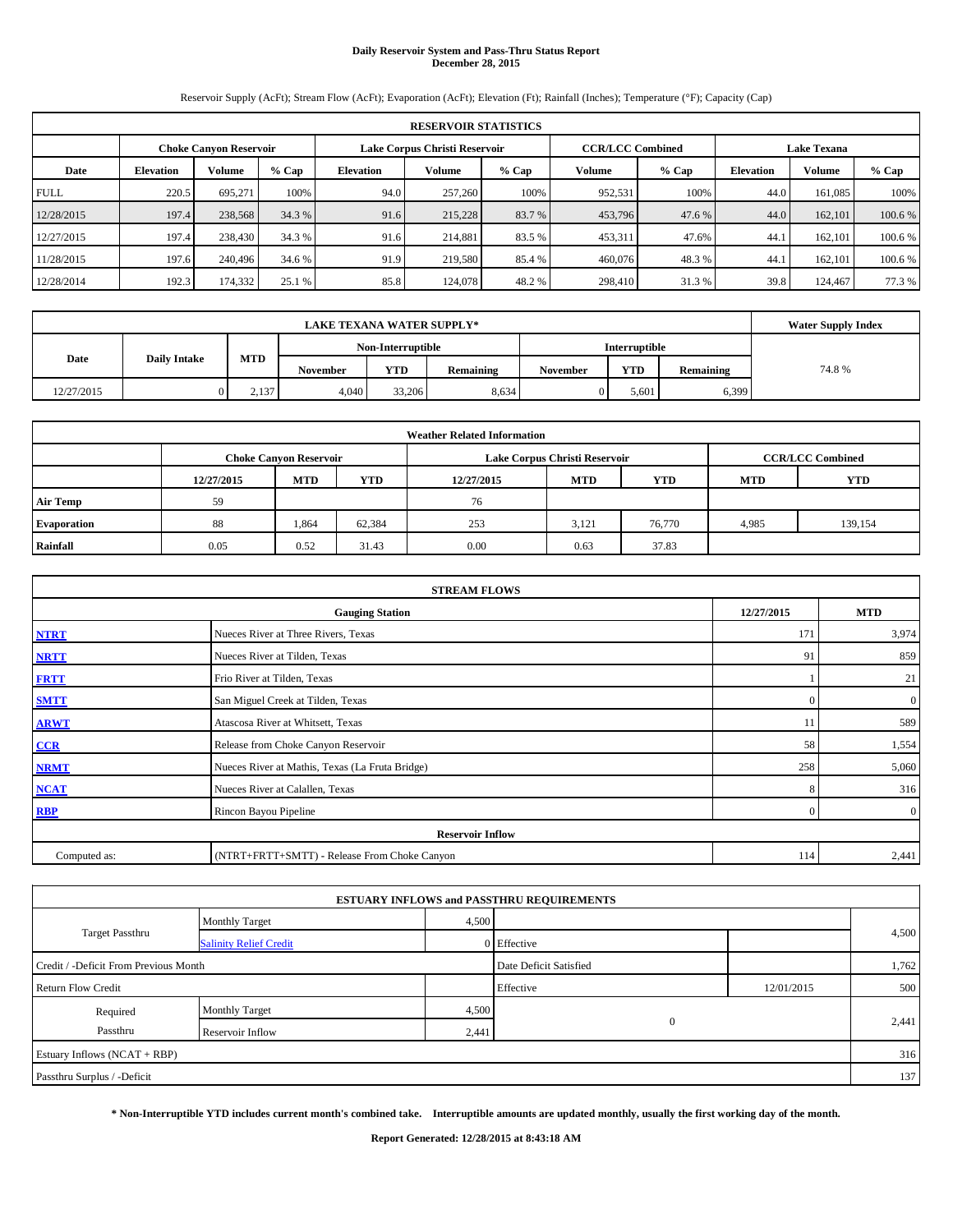# **Daily Reservoir System and Pass-Thru Status Report December 28, 2015**

Reservoir Supply (AcFt); Stream Flow (AcFt); Evaporation (AcFt); Elevation (Ft); Rainfall (Inches); Temperature (°F); Capacity (Cap)

| <b>RESERVOIR STATISTICS</b> |                                                                |         |         |                  |         |         |         |                                               |                  |               |         |
|-----------------------------|----------------------------------------------------------------|---------|---------|------------------|---------|---------|---------|-----------------------------------------------|------------------|---------------|---------|
|                             | Lake Corpus Christi Reservoir<br><b>Choke Canyon Reservoir</b> |         |         |                  |         |         |         | <b>CCR/LCC Combined</b><br><b>Lake Texana</b> |                  |               |         |
| Date                        | <b>Elevation</b>                                               | Volume  | $%$ Cap | <b>Elevation</b> | Volume  | $%$ Cap | Volume  | $%$ Cap                                       | <b>Elevation</b> | <b>Volume</b> | $%$ Cap |
| <b>FULL</b>                 | 220.5                                                          | 695.271 | 100%    | 94.0             | 257,260 | 100%    | 952,531 | 100%                                          | 44.0             | 161.085       | 100%    |
| 12/28/2015                  | 197.4                                                          | 238,568 | 34.3 %  | 91.6             | 215,228 | 83.7 %  | 453,796 | 47.6 %                                        | 44.0             | 162,101       | 100.6 % |
| 12/27/2015                  | 197.4                                                          | 238,430 | 34.3 %  | 91.6             | 214,881 | 83.5 %  | 453,311 | 47.6%                                         | 44.1             | 162,101       | 100.6 % |
| 11/28/2015                  | 197.6                                                          | 240,496 | 34.6 %  | 91.9             | 219,580 | 85.4 %  | 460,076 | 48.3%                                         | 44.              | 162,101       | 100.6 % |
| 12/28/2014                  | 192.3                                                          | 174,332 | 25.1 %  | 85.8             | 124,078 | 48.2 %  | 298,410 | 31.3 %                                        | 39.8             | 124,467       | 77.3 %  |

|            | <b>Water Supply Index</b> |            |                 |                   |           |          |                      |           |       |
|------------|---------------------------|------------|-----------------|-------------------|-----------|----------|----------------------|-----------|-------|
|            |                           |            |                 | Non-Interruptible |           |          | <b>Interruptible</b> |           |       |
| Date       | <b>Daily Intake</b>       | <b>MTD</b> | <b>November</b> | <b>YTD</b>        | Remaining | November | <b>YTD</b>           | Remaining | 74.8% |
| 12/27/2015 |                           | 2,137      | 4.040           | 33,206            | 8,634     | 0        | 5.601                | 6,399     |       |

| <b>Weather Related Information</b> |            |                               |        |            |                               |                         |            |            |  |  |
|------------------------------------|------------|-------------------------------|--------|------------|-------------------------------|-------------------------|------------|------------|--|--|
|                                    |            | <b>Choke Canyon Reservoir</b> |        |            | Lake Corpus Christi Reservoir | <b>CCR/LCC Combined</b> |            |            |  |  |
|                                    | 12/27/2015 | <b>MTD</b>                    | YTD    | 12/27/2015 | <b>MTD</b>                    | <b>YTD</b>              | <b>MTD</b> | <b>YTD</b> |  |  |
| <b>Air Temp</b>                    | 59         |                               |        | 76         |                               |                         |            |            |  |  |
| Evaporation                        | 88         | 1.864                         | 62,384 | 253        | 3,121                         | 76,770                  | 4,985      | 139,154    |  |  |
| Rainfall                           | 0.05       | 0.52                          | 31.43  | 0.00       | 0.63                          | 37.83                   |            |            |  |  |

| <b>STREAM FLOWS</b> |                                                 |                |                  |  |  |  |  |  |  |
|---------------------|-------------------------------------------------|----------------|------------------|--|--|--|--|--|--|
|                     | <b>Gauging Station</b>                          |                |                  |  |  |  |  |  |  |
| <b>NTRT</b>         | Nueces River at Three Rivers, Texas             |                |                  |  |  |  |  |  |  |
| <b>NRTT</b>         | Nueces River at Tilden, Texas                   | 91             | 859              |  |  |  |  |  |  |
| <b>FRTT</b>         | Frio River at Tilden, Texas                     |                | 21               |  |  |  |  |  |  |
| <b>SMTT</b>         | San Miguel Creek at Tilden, Texas               | $\Omega$       | $\boldsymbol{0}$ |  |  |  |  |  |  |
| <b>ARWT</b>         | Atascosa River at Whitsett, Texas               | 11             | 589              |  |  |  |  |  |  |
| CCR                 | Release from Choke Canyon Reservoir             | 58             | 1,554            |  |  |  |  |  |  |
| <b>NRMT</b>         | Nueces River at Mathis, Texas (La Fruta Bridge) | 258            | 5,060            |  |  |  |  |  |  |
| <b>NCAT</b>         | Nueces River at Calallen, Texas                 | 8              | 316              |  |  |  |  |  |  |
| <b>RBP</b>          | Rincon Bayou Pipeline                           | $\overline{0}$ | $\overline{0}$   |  |  |  |  |  |  |
|                     | <b>Reservoir Inflow</b>                         |                |                  |  |  |  |  |  |  |
| Computed as:        | (NTRT+FRTT+SMTT) - Release From Choke Canyon    | 114            | 2,441            |  |  |  |  |  |  |

|                                       |                               |       | <b>ESTUARY INFLOWS and PASSTHRU REQUIREMENTS</b> |            |       |
|---------------------------------------|-------------------------------|-------|--------------------------------------------------|------------|-------|
|                                       | <b>Monthly Target</b>         | 4,500 |                                                  |            |       |
| <b>Target Passthru</b>                | <b>Salinity Relief Credit</b> |       | 0 Effective                                      |            | 4,500 |
| Credit / -Deficit From Previous Month |                               |       | Date Deficit Satisfied                           |            | 1,762 |
| <b>Return Flow Credit</b>             |                               |       | Effective                                        | 12/01/2015 | 500   |
| Required                              | <b>Monthly Target</b>         | 4,500 |                                                  |            |       |
| Passthru                              | Reservoir Inflow              | 2,441 | $\mathbf{0}$                                     |            | 2,441 |
| Estuary Inflows (NCAT + RBP)          |                               |       |                                                  |            | 316   |
| Passthru Surplus / -Deficit           |                               |       |                                                  |            | 137   |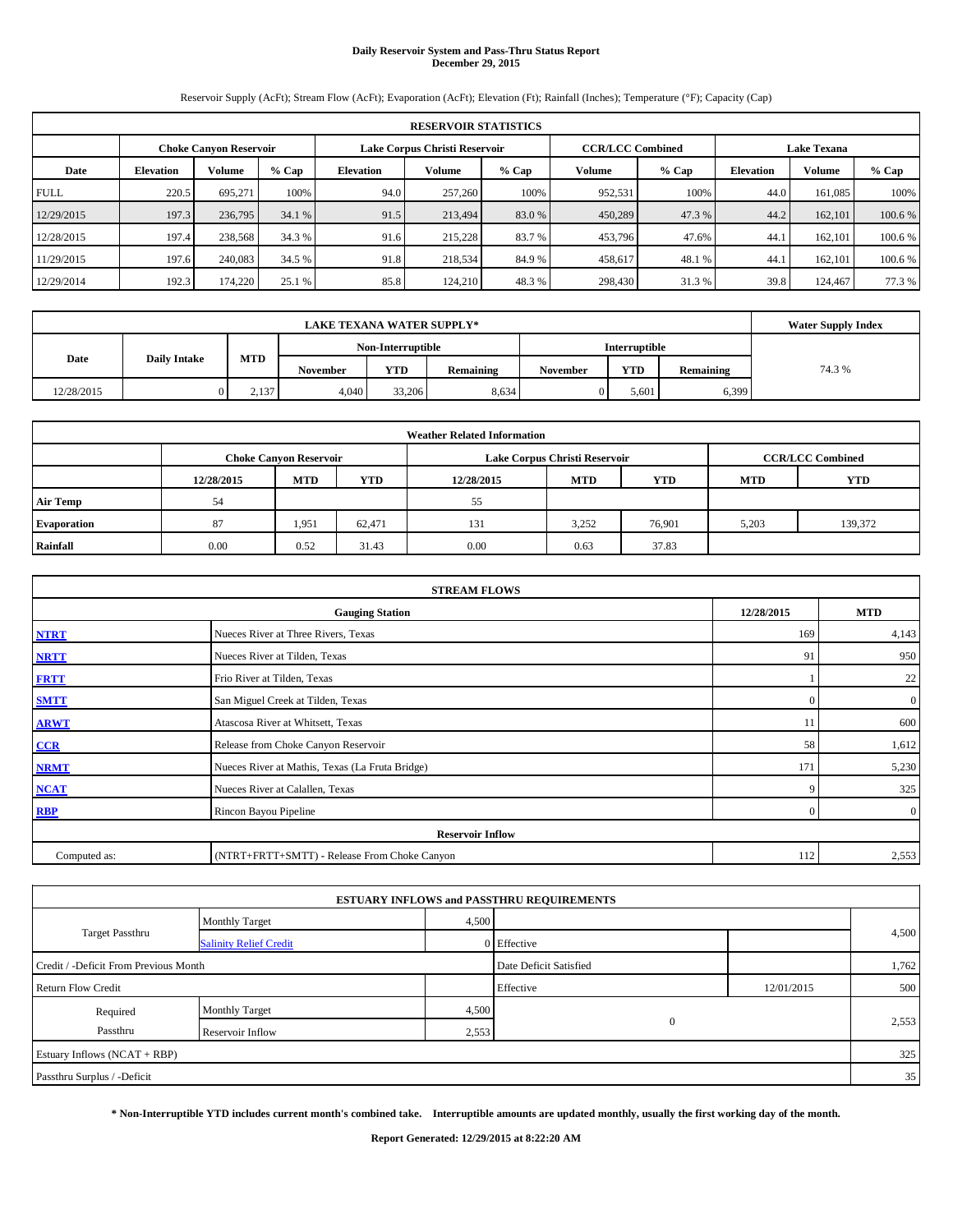# **Daily Reservoir System and Pass-Thru Status Report December 29, 2015**

Reservoir Supply (AcFt); Stream Flow (AcFt); Evaporation (AcFt); Elevation (Ft); Rainfall (Inches); Temperature (°F); Capacity (Cap)

| <b>RESERVOIR STATISTICS</b> |                                                                |         |         |                  |         |         |         |                                               |                  |               |         |
|-----------------------------|----------------------------------------------------------------|---------|---------|------------------|---------|---------|---------|-----------------------------------------------|------------------|---------------|---------|
|                             | Lake Corpus Christi Reservoir<br><b>Choke Canyon Reservoir</b> |         |         |                  |         |         |         | <b>CCR/LCC Combined</b><br><b>Lake Texana</b> |                  |               |         |
| Date                        | <b>Elevation</b>                                               | Volume  | $%$ Cap | <b>Elevation</b> | Volume  | $%$ Cap | Volume  | $%$ Cap                                       | <b>Elevation</b> | <b>Volume</b> | $%$ Cap |
| <b>FULL</b>                 | 220.5                                                          | 695.271 | 100%    | 94.0             | 257,260 | 100%    | 952,531 | 100%                                          | 44.0             | 161.085       | 100%    |
| 12/29/2015                  | 197.3                                                          | 236,795 | 34.1 %  | 91.5             | 213,494 | 83.0 %  | 450,289 | 47.3 %                                        | 44.2             | 162,101       | 100.6 % |
| 12/28/2015                  | 197.4                                                          | 238,568 | 34.3 %  | 91.6             | 215,228 | 83.7 %  | 453,796 | 47.6%                                         | 44.1             | 162,101       | 100.6 % |
| 11/29/2015                  | 197.6                                                          | 240,083 | 34.5 %  | 91.8             | 218,534 | 84.9%   | 458,617 | 48.1%                                         | 44.              | 162,101       | 100.6 % |
| 12/29/2014                  | 192.3                                                          | 174,220 | 25.1 %  | 85.8             | 124,210 | 48.3%   | 298,430 | 31.3%                                         | 39.8             | 124,467       | 77.3 %  |

|            | <b>Water Supply Index</b> |       |                 |                   |           |                 |                      |           |        |
|------------|---------------------------|-------|-----------------|-------------------|-----------|-----------------|----------------------|-----------|--------|
|            |                           |       |                 | Non-Interruptible |           |                 | <b>Interruptible</b> |           |        |
| Date       | <b>Daily Intake</b>       | MTD   | <b>November</b> | <b>YTD</b>        | Remaining | <b>November</b> | <b>YTD</b>           | Remaining | 74.3 % |
| 12/28/2015 |                           | 2,137 | 4.040           | 33,206            | 8.634     |                 | 5.601                | 6,399     |        |

| <b>Weather Related Information</b> |            |                               |            |            |                               |                         |            |            |  |  |
|------------------------------------|------------|-------------------------------|------------|------------|-------------------------------|-------------------------|------------|------------|--|--|
|                                    |            | <b>Choke Canyon Reservoir</b> |            |            | Lake Corpus Christi Reservoir | <b>CCR/LCC Combined</b> |            |            |  |  |
|                                    | 12/28/2015 | <b>MTD</b>                    | <b>YTD</b> | 12/28/2015 | <b>MTD</b>                    | <b>YTD</b>              | <b>MTD</b> | <b>YTD</b> |  |  |
| <b>Air Temp</b>                    | 54         |                               |            | 55         |                               |                         |            |            |  |  |
| Evaporation                        | 87         | 1,951                         | 62,471     | 131        | 3,252                         | 76,901                  | 5,203      | 139,372    |  |  |
| Rainfall                           | 0.00       | 0.52                          | 31.43      | 0.00       | 0.63                          | 37.83                   |            |            |  |  |

| <b>STREAM FLOWS</b> |                                                 |                |                  |  |  |  |  |  |  |
|---------------------|-------------------------------------------------|----------------|------------------|--|--|--|--|--|--|
|                     | <b>Gauging Station</b>                          |                |                  |  |  |  |  |  |  |
| <b>NTRT</b>         | Nueces River at Three Rivers, Texas             |                |                  |  |  |  |  |  |  |
| <b>NRTT</b>         | Nueces River at Tilden, Texas                   | 91             | 950              |  |  |  |  |  |  |
| <b>FRTT</b>         | Frio River at Tilden, Texas                     |                | 22               |  |  |  |  |  |  |
| <b>SMTT</b>         | San Miguel Creek at Tilden, Texas               | $\Omega$       | $\boldsymbol{0}$ |  |  |  |  |  |  |
| <b>ARWT</b>         | Atascosa River at Whitsett, Texas               | 11             | 600              |  |  |  |  |  |  |
| $CCR$               | Release from Choke Canyon Reservoir             | 58             | 1,612            |  |  |  |  |  |  |
| <b>NRMT</b>         | Nueces River at Mathis, Texas (La Fruta Bridge) | 171            | 5,230            |  |  |  |  |  |  |
| <b>NCAT</b>         | Nueces River at Calallen, Texas                 | 9              | 325              |  |  |  |  |  |  |
| <b>RBP</b>          | Rincon Bayou Pipeline                           | $\overline{0}$ | $\overline{0}$   |  |  |  |  |  |  |
|                     | <b>Reservoir Inflow</b>                         |                |                  |  |  |  |  |  |  |
| Computed as:        | (NTRT+FRTT+SMTT) - Release From Choke Canyon    | 112            | 2,553            |  |  |  |  |  |  |

|                                       |                               |       | <b>ESTUARY INFLOWS and PASSTHRU REQUIREMENTS</b> |            |       |
|---------------------------------------|-------------------------------|-------|--------------------------------------------------|------------|-------|
|                                       | <b>Monthly Target</b>         | 4,500 |                                                  |            |       |
| <b>Target Passthru</b>                | <b>Salinity Relief Credit</b> |       | 0 Effective                                      |            | 4,500 |
| Credit / -Deficit From Previous Month |                               |       | Date Deficit Satisfied                           |            | 1,762 |
| <b>Return Flow Credit</b>             |                               |       | Effective                                        | 12/01/2015 | 500   |
| Required                              | <b>Monthly Target</b>         | 4,500 |                                                  |            |       |
| Passthru                              | Reservoir Inflow              | 2,553 | $\mathbf{0}$                                     |            | 2,553 |
| Estuary Inflows (NCAT + RBP)          |                               |       |                                                  |            | 325   |
| Passthru Surplus / -Deficit           |                               |       |                                                  |            | 35    |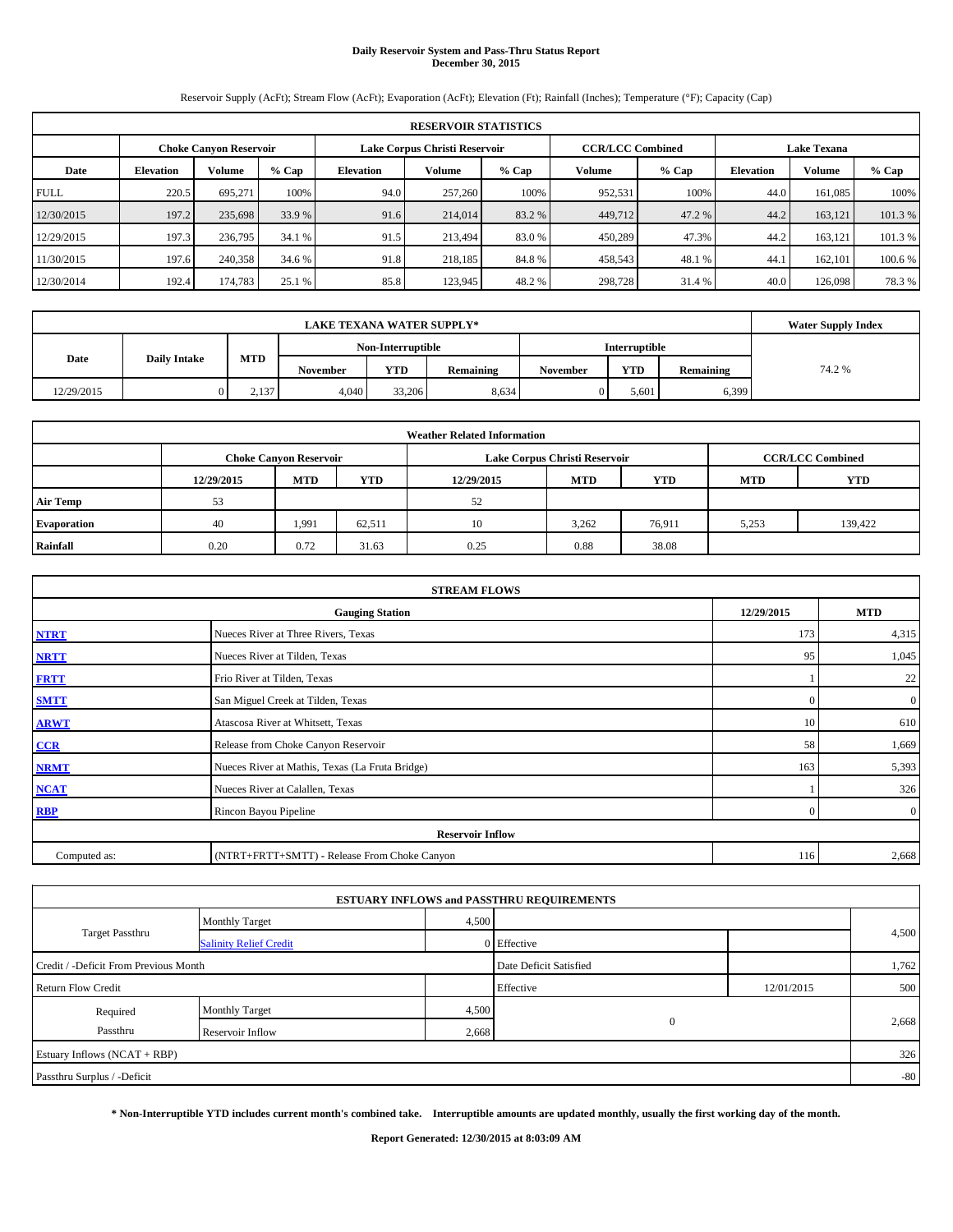# **Daily Reservoir System and Pass-Thru Status Report December 30, 2015**

Reservoir Supply (AcFt); Stream Flow (AcFt); Evaporation (AcFt); Elevation (Ft); Rainfall (Inches); Temperature (°F); Capacity (Cap)

|             | <b>RESERVOIR STATISTICS</b>   |         |         |                  |                                                          |         |         |                    |                  |               |         |  |
|-------------|-------------------------------|---------|---------|------------------|----------------------------------------------------------|---------|---------|--------------------|------------------|---------------|---------|--|
|             | <b>Choke Canyon Reservoir</b> |         |         |                  | <b>CCR/LCC Combined</b><br>Lake Corpus Christi Reservoir |         |         | <b>Lake Texana</b> |                  |               |         |  |
| Date        | <b>Elevation</b>              | Volume  | $%$ Cap | <b>Elevation</b> | Volume                                                   | $%$ Cap | Volume  | $%$ Cap            | <b>Elevation</b> | <b>Volume</b> | $%$ Cap |  |
| <b>FULL</b> | 220.5                         | 695.271 | 100%    | 94.0             | 257,260                                                  | 100%    | 952,531 | 100%               | 44.0             | 161.085       | 100%    |  |
| 12/30/2015  | 197.2                         | 235,698 | 33.9 %  | 91.6             | 214,014                                                  | 83.2 %  | 449,712 | 47.2 %             | 44.2             | 163.121       | 101.3%  |  |
| 12/29/2015  | 197.3                         | 236,795 | 34.1 %  | 91.5             | 213,494                                                  | 83.0 %  | 450,289 | 47.3%              | 44.2             | 163.121       | 101.3 % |  |
| 11/30/2015  | 197.6                         | 240,358 | 34.6 %  | 91.8             | 218,185                                                  | 84.8%   | 458,543 | 48.1%              | 44.              | 162,101       | 100.6 % |  |
| 12/30/2014  | 192.4                         | 174,783 | 25.1 %  | 85.8             | 123,945                                                  | 48.2 %  | 298,728 | 31.4 %             | 40.0             | 126,098       | 78.3%   |  |

|            | <b>Water Supply Index</b> |       |                 |                   |           |                 |                      |           |        |
|------------|---------------------------|-------|-----------------|-------------------|-----------|-----------------|----------------------|-----------|--------|
|            |                           |       |                 | Non-Interruptible |           |                 | <b>Interruptible</b> |           |        |
| Date       | <b>Daily Intake</b>       | MTD   | <b>November</b> | <b>YTD</b>        | Remaining | <b>November</b> | <b>YTD</b>           | Remaining | 74.2 % |
| 12/29/2015 |                           | 2,137 | 4.040           | 33,206            | 8.634     |                 | 5.601                | 6,399     |        |

|                 | <b>Weather Related Information</b> |            |        |            |                               |                         |            |            |  |  |  |
|-----------------|------------------------------------|------------|--------|------------|-------------------------------|-------------------------|------------|------------|--|--|--|
|                 | <b>Choke Canyon Reservoir</b>      |            |        |            | Lake Corpus Christi Reservoir | <b>CCR/LCC Combined</b> |            |            |  |  |  |
|                 | 12/29/2015                         | <b>MTD</b> | YTD    | 12/29/2015 | <b>MTD</b>                    | <b>YTD</b>              | <b>MTD</b> | <b>YTD</b> |  |  |  |
| <b>Air Temp</b> | 53                                 |            |        | 52         |                               |                         |            |            |  |  |  |
| Evaporation     | 40                                 | 1,991      | 62,511 | 10         | 3,262                         | 76,911                  | 5,253      | 139,422    |  |  |  |
| Rainfall        | 0.20                               | 0.72       | 31.63  | 0.25       | 0.88                          | 38.08                   |            |            |  |  |  |

| <b>STREAM FLOWS</b> |                                                 |            |                  |  |  |  |  |  |  |
|---------------------|-------------------------------------------------|------------|------------------|--|--|--|--|--|--|
|                     | <b>Gauging Station</b>                          | 12/29/2015 | <b>MTD</b>       |  |  |  |  |  |  |
| <b>NTRT</b>         | Nueces River at Three Rivers, Texas             | 173        | 4,315            |  |  |  |  |  |  |
| <b>NRTT</b>         | Nueces River at Tilden, Texas                   | 95         | 1,045            |  |  |  |  |  |  |
| <b>FRTT</b>         | Frio River at Tilden, Texas                     |            | 22               |  |  |  |  |  |  |
| <b>SMTT</b>         | San Miguel Creek at Tilden, Texas               | $\Omega$   | $\boldsymbol{0}$ |  |  |  |  |  |  |
| <b>ARWT</b>         | Atascosa River at Whitsett, Texas               | 10         | 610              |  |  |  |  |  |  |
| CCR                 | Release from Choke Canyon Reservoir             | 58         | 1,669            |  |  |  |  |  |  |
| <b>NRMT</b>         | Nueces River at Mathis, Texas (La Fruta Bridge) | 163        | 5,393            |  |  |  |  |  |  |
| <b>NCAT</b>         | Nueces River at Calallen, Texas                 |            | 326              |  |  |  |  |  |  |
| <b>RBP</b>          | Rincon Bayou Pipeline                           | $\Omega$   | $\overline{0}$   |  |  |  |  |  |  |
|                     | <b>Reservoir Inflow</b>                         |            |                  |  |  |  |  |  |  |
| Computed as:        | (NTRT+FRTT+SMTT) - Release From Choke Canyon    |            |                  |  |  |  |  |  |  |

|                                       |                               |                        | <b>ESTUARY INFLOWS and PASSTHRU REQUIREMENTS</b> |            |       |
|---------------------------------------|-------------------------------|------------------------|--------------------------------------------------|------------|-------|
|                                       | <b>Monthly Target</b>         | 4,500                  |                                                  |            |       |
| <b>Target Passthru</b>                | <b>Salinity Relief Credit</b> |                        | 0 Effective                                      |            | 4,500 |
| Credit / -Deficit From Previous Month |                               | Date Deficit Satisfied |                                                  | 1,762      |       |
| <b>Return Flow Credit</b>             |                               |                        | Effective                                        | 12/01/2015 | 500   |
| Required                              | <b>Monthly Target</b>         | 4,500                  |                                                  |            |       |
| Passthru                              | Reservoir Inflow              | 2,668                  | $\mathbf{0}$                                     |            | 2,668 |
| Estuary Inflows (NCAT + RBP)          |                               |                        |                                                  |            | 326   |
| Passthru Surplus / -Deficit           |                               |                        |                                                  |            | $-80$ |